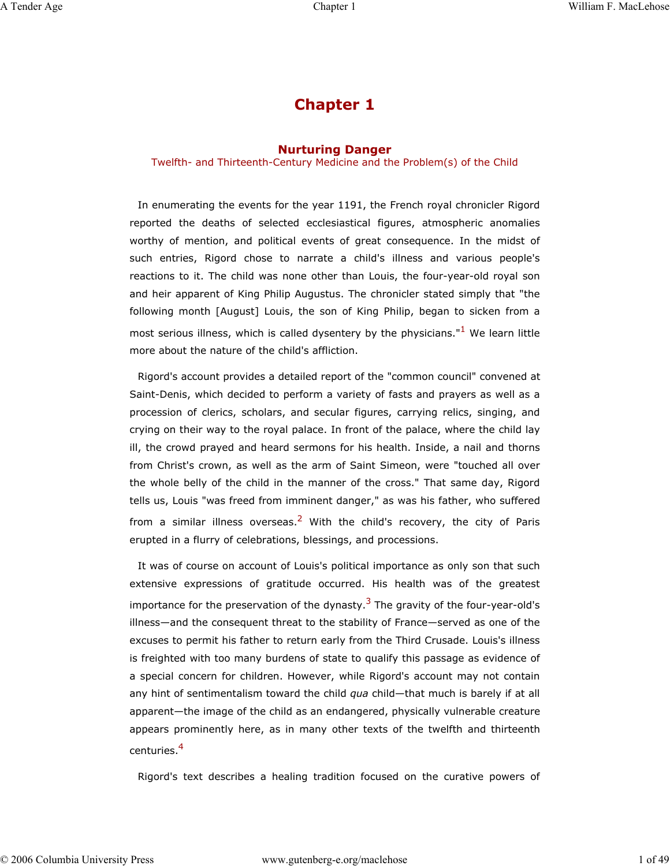# **Chapter 1**

## **Nurturing Danger**

Twelfth- and Thirteenth-Century Medicine and the Problem(s) of the Child

In enumerating the events for the year 1191, the French royal chronicler Rigord reported the deaths of selected ecclesiastical figures, atmospheric anomalies worthy of mention, and political events of great consequence. In the midst of such entries, Rigord chose to narrate a child's illness and various people's reactions to it. The child was none other than Louis, the four-year-old royal son and heir apparent of King Philip Augustus. The chronicler stated simply that "the following month [August] Louis, the son of King Philip, began to sicken from a most serious illness, which is called dysentery by the physicians." $1$  We learn little more about the nature of the child's affliction.

Rigord's account provides a detailed report of the "common council" convened at Saint-Denis, which decided to perform a variety of fasts and prayers as well as a procession of clerics, scholars, and secular figures, carrying relics, singing, and crying on their way to the royal palace. In front of the palace, where the child lay ill, the crowd prayed and heard sermons for his health. Inside, a nail and thorns from Christ's crown, as well as the arm of Saint Simeon, were "touched all over the whole belly of the child in the manner of the cross." That same day, Rigord tells us, Louis "was freed from imminent danger," as was his father, who suffered from a similar illness overseas.<sup>2</sup> With the child's recovery, the city of Paris erupted in a flurry of celebrations, blessings, and processions.

It was of course on account of Louis's political importance as only son that such extensive expressions of gratitude occurred. His health was of the greatest importance for the preservation of the dynasty.<sup>3</sup> The gravity of the four-year-old's illness—and the consequent threat to the stability of France—served as one of the excuses to permit his father to return early from the Third Crusade. Louis's illness is freighted with too many burdens of state to qualify this passage as evidence of a special concern for children. However, while Rigord's account may not contain any hint of sentimentalism toward the child *qua* child—that much is barely if at all apparent—the image of the child as an endangered, physically vulnerable creature appears prominently here, as in many other texts of the twelfth and thirteenth centuries.<sup>4</sup>

Rigord's text describes a healing tradition focused on the curative powers of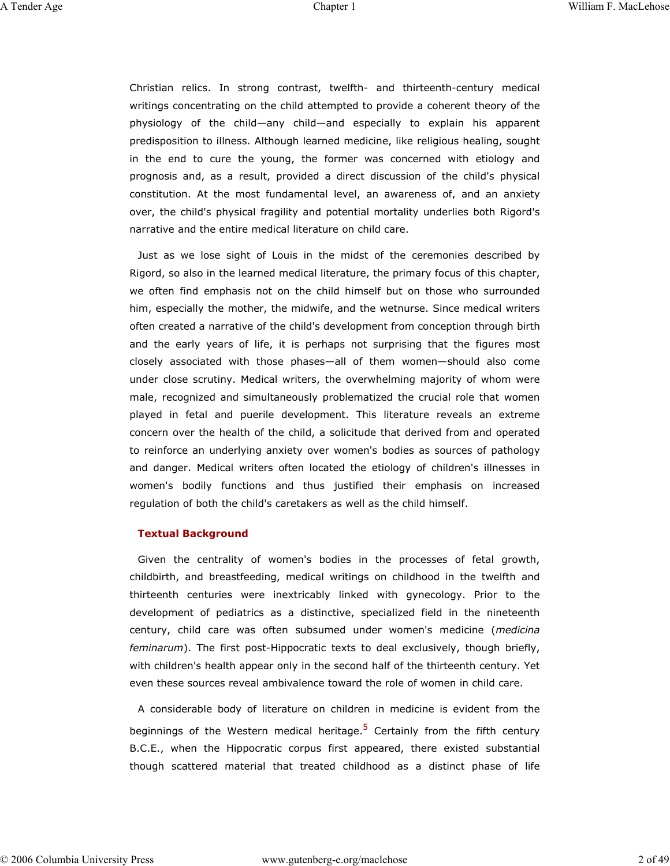Christian relics. In strong contrast, twelfth- and thirteenth-century medical writings concentrating on the child attempted to provide a coherent theory of the physiology of the child—any child—and especially to explain his apparent predisposition to illness. Although learned medicine, like religious healing, sought in the end to cure the young, the former was concerned with etiology and prognosis and, as a result, provided a direct discussion of the child's physical constitution. At the most fundamental level, an awareness of, and an anxiety over, the child's physical fragility and potential mortality underlies both Rigord's narrative and the entire medical literature on child care.

Just as we lose sight of Louis in the midst of the ceremonies described by Rigord, so also in the learned medical literature, the primary focus of this chapter, we often find emphasis not on the child himself but on those who surrounded him, especially the mother, the midwife, and the wetnurse. Since medical writers often created a narrative of the child's development from conception through birth and the early years of life, it is perhaps not surprising that the figures most closely associated with those phases—all of them women—should also come under close scrutiny. Medical writers, the overwhelming majority of whom were male, recognized and simultaneously problematized the crucial role that women played in fetal and puerile development. This literature reveals an extreme concern over the health of the child, a solicitude that derived from and operated to reinforce an underlying anxiety over women's bodies as sources of pathology and danger. Medical writers often located the etiology of children's illnesses in women's bodily functions and thus justified their emphasis on increased regulation of both the child's caretakers as well as the child himself.

#### **Textual Background**

Given the centrality of women's bodies in the processes of fetal growth, childbirth, and breastfeeding, medical writings on childhood in the twelfth and thirteenth centuries were inextricably linked with gynecology. Prior to the development of pediatrics as a distinctive, specialized field in the nineteenth century, child care was often subsumed under women's medicine (*medicina feminarum*). The first post-Hippocratic texts to deal exclusively, though briefly, with children's health appear only in the second half of the thirteenth century. Yet even these sources reveal ambivalence toward the role of women in child care.

A considerable body of literature on children in medicine is evident from the beginnings of the Western medical heritage.<sup>5</sup> Certainly from the fifth century B.C.E., when the Hippocratic corpus first appeared, there existed substantial though scattered material that treated childhood as a distinct phase of life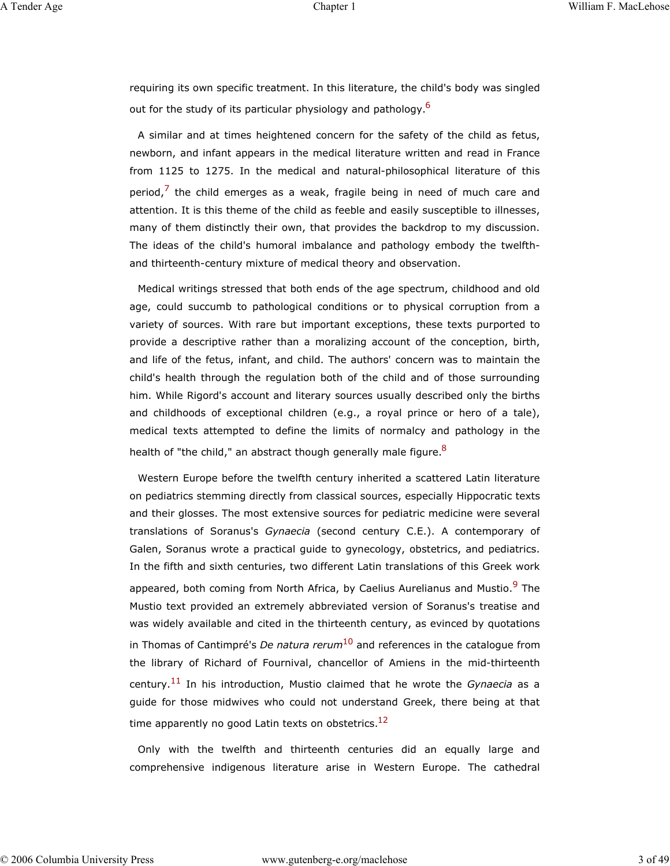requiring its own specific treatment. In this literature, the child's body was singled out for the study of its particular physiology and pathology.<sup>6</sup>

A similar and at times heightened concern for the safety of the child as fetus, newborn, and infant appears in the medical literature written and read in France from 1125 to 1275. In the medical and natural-philosophical literature of this period, $<sup>7</sup>$  the child emerges as a weak, fragile being in need of much care and</sup> attention. It is this theme of the child as feeble and easily susceptible to illnesses, many of them distinctly their own, that provides the backdrop to my discussion. The ideas of the child's humoral imbalance and pathology embody the twelfthand thirteenth-century mixture of medical theory and observation.

Medical writings stressed that both ends of the age spectrum, childhood and old age, could succumb to pathological conditions or to physical corruption from a variety of sources. With rare but important exceptions, these texts purported to provide a descriptive rather than a moralizing account of the conception, birth, and life of the fetus, infant, and child. The authors' concern was to maintain the child's health through the regulation both of the child and of those surrounding him. While Rigord's account and literary sources usually described only the births and childhoods of exceptional children (e.g., a royal prince or hero of a tale), medical texts attempted to define the limits of normalcy and pathology in the health of "the child," an abstract though generally male figure.<sup>8</sup>

Western Europe before the twelfth century inherited a scattered Latin literature on pediatrics stemming directly from classical sources, especially Hippocratic texts and their glosses. The most extensive sources for pediatric medicine were several translations of Soranus's *Gynaecia* (second century C.E.). A contemporary of Galen, Soranus wrote a practical guide to gynecology, obstetrics, and pediatrics. In the fifth and sixth centuries, two different Latin translations of this Greek work appeared, both coming from North Africa, by Caelius Aurelianus and Mustio.<sup>9</sup> The Mustio text provided an extremely abbreviated version of Soranus's treatise and was widely available and cited in the thirteenth century, as evinced by quotations in Thomas of Cantimpré's *De natura rerum*10 and references in the catalogue from the library of Richard of Fournival, chancellor of Amiens in the mid-thirteenth century.11 In his introduction, Mustio claimed that he wrote the *Gynaecia* as a guide for those midwives who could not understand Greek, there being at that time apparently no good Latin texts on obstetrics. $^{12}$ 

Only with the twelfth and thirteenth centuries did an equally large and comprehensive indigenous literature arise in Western Europe. The cathedral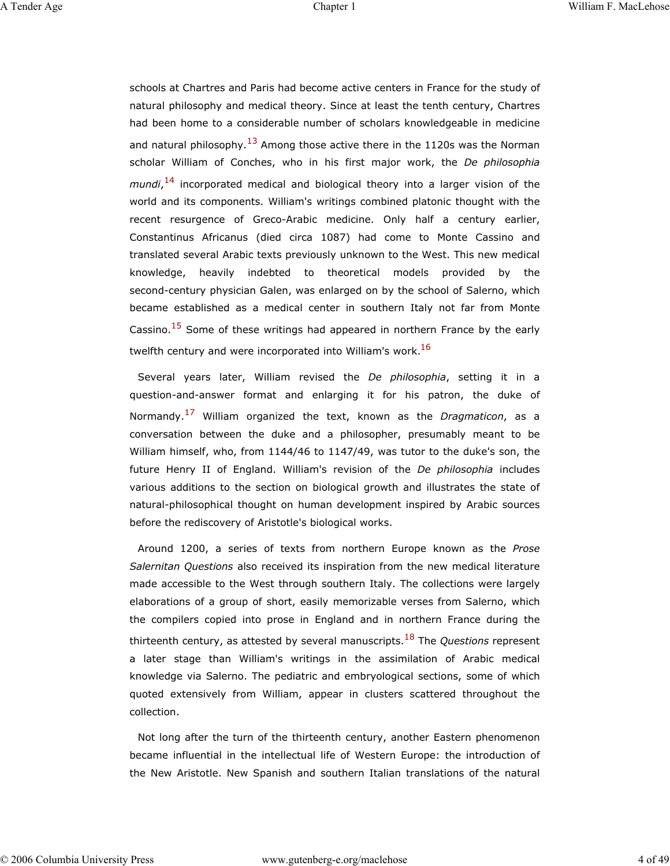schools at Chartres and Paris had become active centers in France for the study of natural philosophy and medical theory. Since at least the tenth century, Chartres had been home to a considerable number of scholars knowledgeable in medicine and natural philosophy.<sup>13</sup> Among those active there in the 1120s was the Norman scholar William of Conches, who in his first major work, the *De philosophia mundi*, 14 incorporated medical and biological theory into a larger vision of the world and its components. William's writings combined platonic thought with the recent resurgence of Greco-Arabic medicine. Only half a century earlier, Constantinus Africanus (died circa 1087) had come to Monte Cassino and translated several Arabic texts previously unknown to the West. This new medical knowledge, heavily indebted to theoretical models provided by the second-century physician Galen, was enlarged on by the school of Salerno, which became established as a medical center in southern Italy not far from Monte Cassino. $15$  Some of these writings had appeared in northern France by the early twelfth century and were incorporated into William's work.<sup>16</sup>

Several years later, William revised the *De philosophia*, setting it in a question-and-answer format and enlarging it for his patron, the duke of Normandy.17 William organized the text, known as the *Dragmaticon*, as a conversation between the duke and a philosopher, presumably meant to be William himself, who, from 1144/46 to 1147/49, was tutor to the duke's son, the future Henry II of England. William's revision of the *De philosophia* includes various additions to the section on biological growth and illustrates the state of natural-philosophical thought on human development inspired by Arabic sources before the rediscovery of Aristotle's biological works.

Around 1200, a series of texts from northern Europe known as the *Prose Salernitan Questions* also received its inspiration from the new medical literature made accessible to the West through southern Italy. The collections were largely elaborations of a group of short, easily memorizable verses from Salerno, which the compilers copied into prose in England and in northern France during the thirteenth century, as attested by several manuscripts.18 The *Questions* represent a later stage than William's writings in the assimilation of Arabic medical knowledge via Salerno. The pediatric and embryological sections, some of which quoted extensively from William, appear in clusters scattered throughout the collection.

Not long after the turn of the thirteenth century, another Eastern phenomenon became influential in the intellectual life of Western Europe: the introduction of the New Aristotle. New Spanish and southern Italian translations of the natural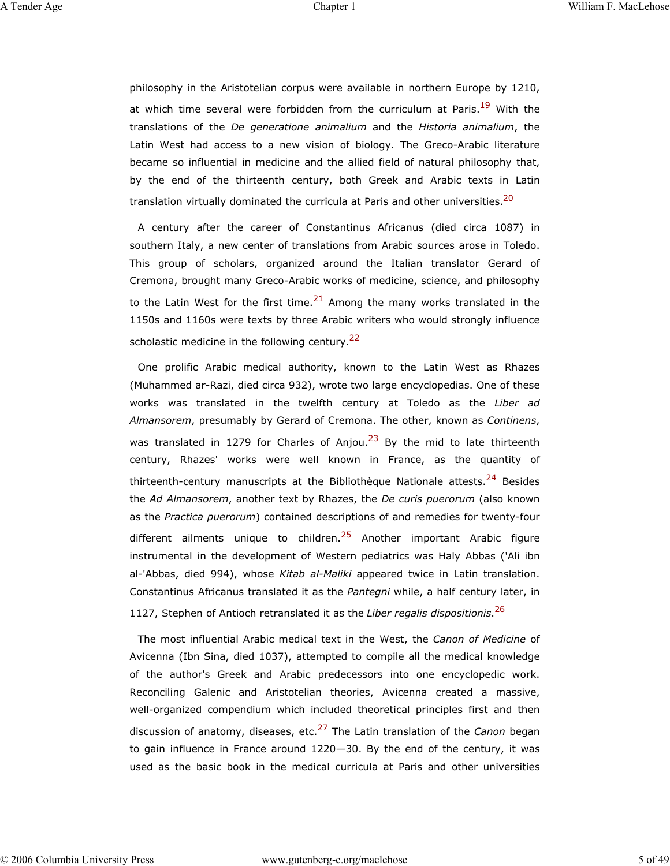philosophy in the Aristotelian corpus were available in northern Europe by 1210, at which time several were forbidden from the curriculum at Paris.<sup>19</sup> With the translations of the *De generatione animalium* and the *Historia animalium*, the Latin West had access to a new vision of biology. The Greco-Arabic literature became so influential in medicine and the allied field of natural philosophy that, by the end of the thirteenth century, both Greek and Arabic texts in Latin translation virtually dominated the curricula at Paris and other universities.<sup>20</sup>

A century after the career of Constantinus Africanus (died circa 1087) in southern Italy, a new center of translations from Arabic sources arose in Toledo. This group of scholars, organized around the Italian translator Gerard of Cremona, brought many Greco-Arabic works of medicine, science, and philosophy to the Latin West for the first time. $2<sup>1</sup>$  Among the many works translated in the 1150s and 1160s were texts by three Arabic writers who would strongly influence scholastic medicine in the following century. $22$ 

One prolific Arabic medical authority, known to the Latin West as Rhazes (Muhammed ar-Razi, died circa 932), wrote two large encyclopedias. One of these works was translated in the twelfth century at Toledo as the *Liber ad Almansorem*, presumably by Gerard of Cremona. The other, known as *Continens*, was translated in 1279 for Charles of Anjou.<sup>23</sup> By the mid to late thirteenth century, Rhazes' works were well known in France, as the quantity of thirteenth-century manuscripts at the Bibliothèque Nationale attests.<sup>24</sup> Besides the *Ad Almansorem*, another text by Rhazes, the *De curis puerorum* (also known as the *Practica puerorum*) contained descriptions of and remedies for twenty-four different ailments unique to children.<sup>25</sup> Another important Arabic figure instrumental in the development of Western pediatrics was Haly Abbas ('Ali ibn al-'Abbas, died 994), whose *Kitab al-Maliki* appeared twice in Latin translation. Constantinus Africanus translated it as the *Pantegni* while, a half century later, in 1127, Stephen of Antioch retranslated it as the *Liber regalis dispositionis*. 26

The most influential Arabic medical text in the West, the *Canon of Medicine* of Avicenna (Ibn Sina, died 1037), attempted to compile all the medical knowledge of the author's Greek and Arabic predecessors into one encyclopedic work. Reconciling Galenic and Aristotelian theories, Avicenna created a massive, well-organized compendium which included theoretical principles first and then discussion of anatomy, diseases, etc.27 The Latin translation of the *Canon* began to gain influence in France around 1220—30. By the end of the century, it was used as the basic book in the medical curricula at Paris and other universities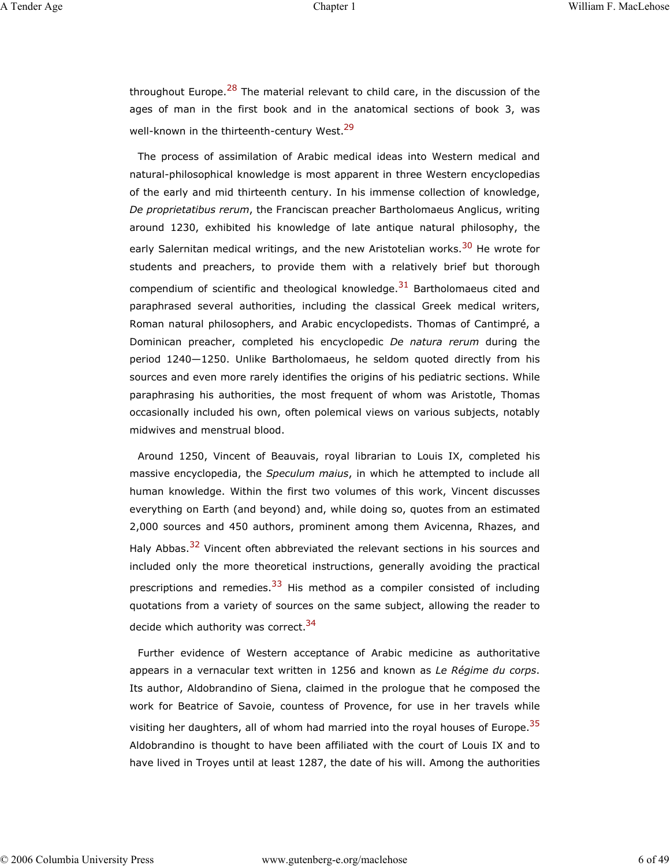throughout Europe.<sup>28</sup> The material relevant to child care, in the discussion of the ages of man in the first book and in the anatomical sections of book 3, was well-known in the thirteenth-century West.<sup>29</sup>

The process of assimilation of Arabic medical ideas into Western medical and natural-philosophical knowledge is most apparent in three Western encyclopedias of the early and mid thirteenth century. In his immense collection of knowledge, *De proprietatibus rerum*, the Franciscan preacher Bartholomaeus Anglicus, writing around 1230, exhibited his knowledge of late antique natural philosophy, the early Salernitan medical writings, and the new Aristotelian works.<sup>30</sup> He wrote for students and preachers, to provide them with a relatively brief but thorough compendium of scientific and theological knowledge. $31$  Bartholomaeus cited and paraphrased several authorities, including the classical Greek medical writers, Roman natural philosophers, and Arabic encyclopedists. Thomas of Cantimpré, a Dominican preacher, completed his encyclopedic *De natura rerum* during the period 1240—1250. Unlike Bartholomaeus, he seldom quoted directly from his sources and even more rarely identifies the origins of his pediatric sections. While paraphrasing his authorities, the most frequent of whom was Aristotle, Thomas occasionally included his own, often polemical views on various subjects, notably midwives and menstrual blood.

Around 1250, Vincent of Beauvais, royal librarian to Louis IX, completed his massive encyclopedia, the *Speculum maius*, in which he attempted to include all human knowledge. Within the first two volumes of this work, Vincent discusses everything on Earth (and beyond) and, while doing so, quotes from an estimated 2,000 sources and 450 authors, prominent among them Avicenna, Rhazes, and Haly Abbas.<sup>32</sup> Vincent often abbreviated the relevant sections in his sources and included only the more theoretical instructions, generally avoiding the practical prescriptions and remedies.<sup>33</sup> His method as a compiler consisted of including quotations from a variety of sources on the same subject, allowing the reader to decide which authority was correct.<sup>34</sup>

Further evidence of Western acceptance of Arabic medicine as authoritative appears in a vernacular text written in 1256 and known as *Le Régime du corps*. Its author, Aldobrandino of Siena, claimed in the prologue that he composed the work for Beatrice of Savoie, countess of Provence, for use in her travels while visiting her daughters, all of whom had married into the royal houses of Europe.<sup>35</sup> Aldobrandino is thought to have been affiliated with the court of Louis IX and to have lived in Troyes until at least 1287, the date of his will. Among the authorities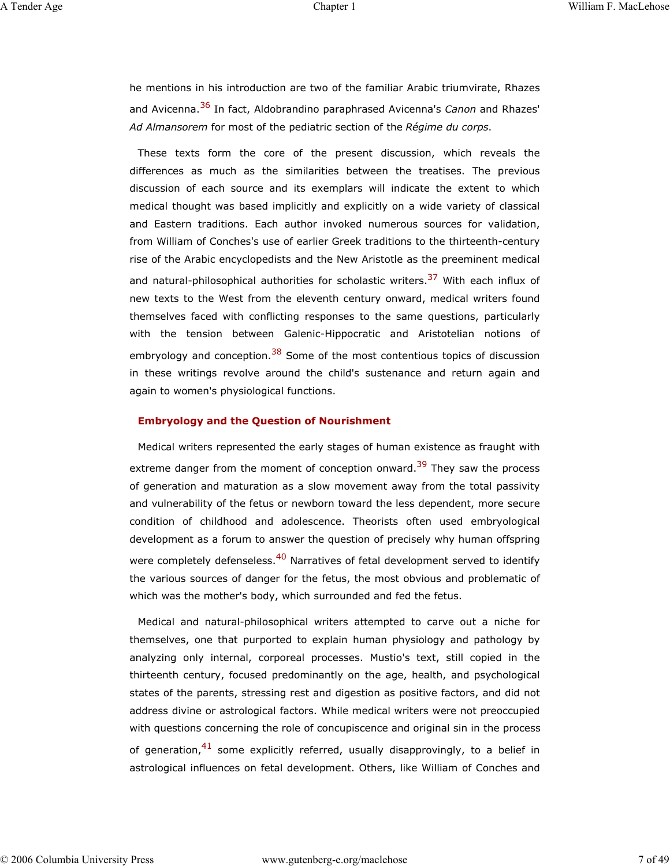he mentions in his introduction are two of the familiar Arabic triumvirate, Rhazes and Avicenna.36 In fact, Aldobrandino paraphrased Avicenna's *Canon* and Rhazes' *Ad Almansorem* for most of the pediatric section of the *Régime du corps*.

These texts form the core of the present discussion, which reveals the differences as much as the similarities between the treatises. The previous discussion of each source and its exemplars will indicate the extent to which medical thought was based implicitly and explicitly on a wide variety of classical and Eastern traditions. Each author invoked numerous sources for validation, from William of Conches's use of earlier Greek traditions to the thirteenth-century rise of the Arabic encyclopedists and the New Aristotle as the preeminent medical and natural-philosophical authorities for scholastic writers.<sup>37</sup> With each influx of new texts to the West from the eleventh century onward, medical writers found themselves faced with conflicting responses to the same questions, particularly with the tension between Galenic-Hippocratic and Aristotelian notions of embryology and conception.<sup>38</sup> Some of the most contentious topics of discussion in these writings revolve around the child's sustenance and return again and again to women's physiological functions.

## **Embryology and the Question of Nourishment**

Medical writers represented the early stages of human existence as fraught with extreme danger from the moment of conception onward.<sup>39</sup> They saw the process of generation and maturation as a slow movement away from the total passivity and vulnerability of the fetus or newborn toward the less dependent, more secure condition of childhood and adolescence. Theorists often used embryological development as a forum to answer the question of precisely why human offspring were completely defenseless.<sup>40</sup> Narratives of fetal development served to identify the various sources of danger for the fetus, the most obvious and problematic of which was the mother's body, which surrounded and fed the fetus.

Medical and natural-philosophical writers attempted to carve out a niche for themselves, one that purported to explain human physiology and pathology by analyzing only internal, corporeal processes. Mustio's text, still copied in the thirteenth century, focused predominantly on the age, health, and psychological states of the parents, stressing rest and digestion as positive factors, and did not address divine or astrological factors. While medical writers were not preoccupied with questions concerning the role of concupiscence and original sin in the process of generation,  $41$  some explicitly referred, usually disapprovingly, to a belief in astrological influences on fetal development. Others, like William of Conches and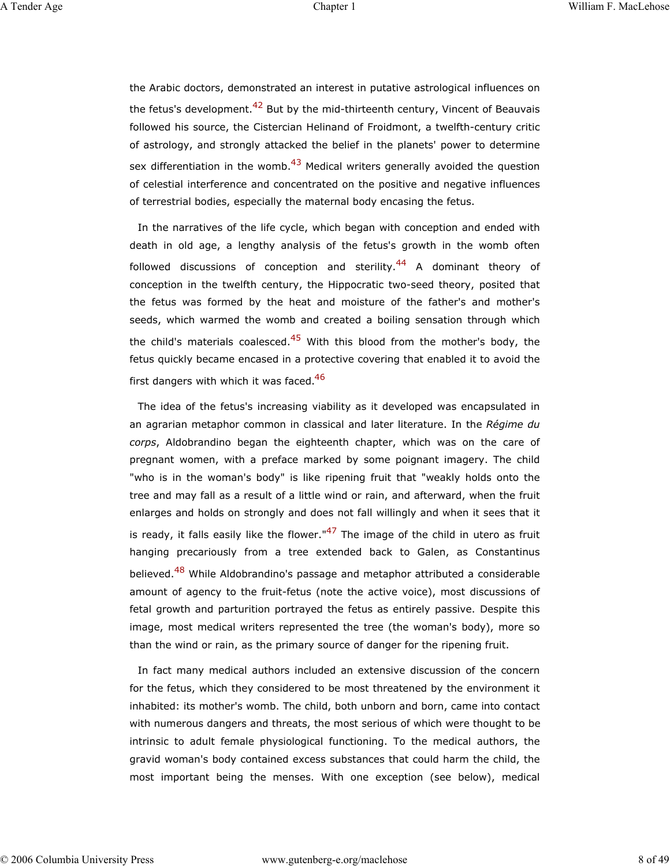the Arabic doctors, demonstrated an interest in putative astrological influences on the fetus's development.<sup>42</sup> But by the mid-thirteenth century, Vincent of Beauvais followed his source, the Cistercian Helinand of Froidmont, a twelfth-century critic of astrology, and strongly attacked the belief in the planets' power to determine sex differentiation in the womb.<sup>43</sup> Medical writers generally avoided the question of celestial interference and concentrated on the positive and negative influences of terrestrial bodies, especially the maternal body encasing the fetus.

In the narratives of the life cycle, which began with conception and ended with death in old age, a lengthy analysis of the fetus's growth in the womb often followed discussions of conception and sterility.<sup>44</sup> A dominant theory of conception in the twelfth century, the Hippocratic two-seed theory, posited that the fetus was formed by the heat and moisture of the father's and mother's seeds, which warmed the womb and created a boiling sensation through which the child's materials coalesced.<sup>45</sup> With this blood from the mother's body, the fetus quickly became encased in a protective covering that enabled it to avoid the first dangers with which it was faced. $46$ 

The idea of the fetus's increasing viability as it developed was encapsulated in an agrarian metaphor common in classical and later literature. In the *Régime du corps*, Aldobrandino began the eighteenth chapter, which was on the care of pregnant women, with a preface marked by some poignant imagery. The child "who is in the woman's body" is like ripening fruit that "weakly holds onto the tree and may fall as a result of a little wind or rain, and afterward, when the fruit enlarges and holds on strongly and does not fall willingly and when it sees that it is ready, it falls easily like the flower." $47$  The image of the child in utero as fruit hanging precariously from a tree extended back to Galen, as Constantinus believed.<sup>48</sup> While Aldobrandino's passage and metaphor attributed a considerable amount of agency to the fruit-fetus (note the active voice), most discussions of fetal growth and parturition portrayed the fetus as entirely passive. Despite this image, most medical writers represented the tree (the woman's body), more so than the wind or rain, as the primary source of danger for the ripening fruit.

In fact many medical authors included an extensive discussion of the concern for the fetus, which they considered to be most threatened by the environment it inhabited: its mother's womb. The child, both unborn and born, came into contact with numerous dangers and threats, the most serious of which were thought to be intrinsic to adult female physiological functioning. To the medical authors, the gravid woman's body contained excess substances that could harm the child, the most important being the menses. With one exception (see below), medical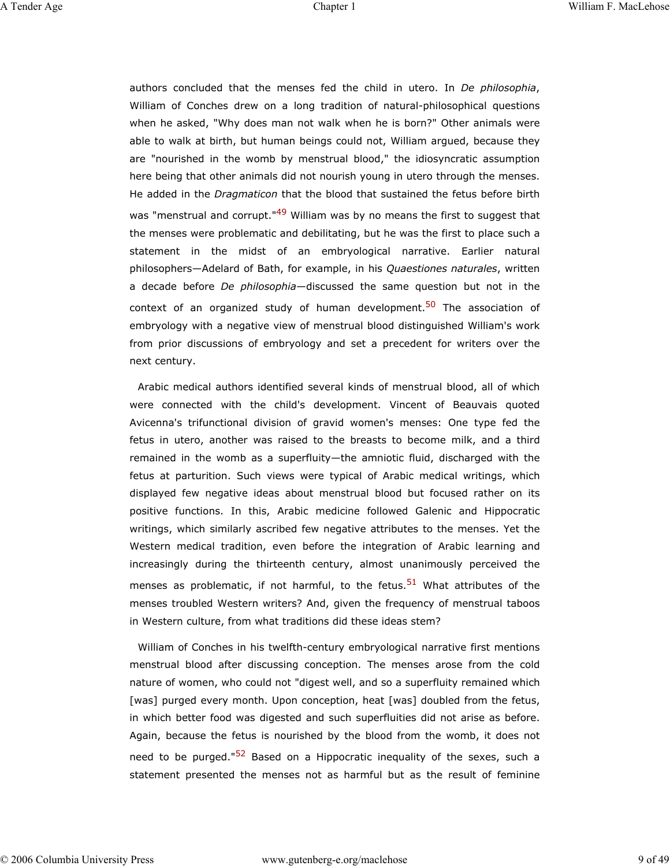authors concluded that the menses fed the child in utero. In *De philosophia*, William of Conches drew on a long tradition of natural-philosophical questions when he asked, "Why does man not walk when he is born?" Other animals were able to walk at birth, but human beings could not, William argued, because they are "nourished in the womb by menstrual blood," the idiosyncratic assumption here being that other animals did not nourish young in utero through the menses. He added in the *Dragmaticon* that the blood that sustained the fetus before birth was "menstrual and corrupt."<sup>49</sup> William was by no means the first to suggest that the menses were problematic and debilitating, but he was the first to place such a statement in the midst of an embryological narrative. Earlier natural philosophers—Adelard of Bath, for example, in his *Quaestiones naturales*, written a decade before *De philosophia*—discussed the same question but not in the context of an organized study of human development.<sup>50</sup> The association of embryology with a negative view of menstrual blood distinguished William's work from prior discussions of embryology and set a precedent for writers over the next century.

Arabic medical authors identified several kinds of menstrual blood, all of which were connected with the child's development. Vincent of Beauvais quoted Avicenna's trifunctional division of gravid women's menses: One type fed the fetus in utero, another was raised to the breasts to become milk, and a third remained in the womb as a superfluity—the amniotic fluid, discharged with the fetus at parturition. Such views were typical of Arabic medical writings, which displayed few negative ideas about menstrual blood but focused rather on its positive functions. In this, Arabic medicine followed Galenic and Hippocratic writings, which similarly ascribed few negative attributes to the menses. Yet the Western medical tradition, even before the integration of Arabic learning and increasingly during the thirteenth century, almost unanimously perceived the menses as problematic, if not harmful, to the fetus.<sup>51</sup> What attributes of the menses troubled Western writers? And, given the frequency of menstrual taboos in Western culture, from what traditions did these ideas stem?

William of Conches in his twelfth-century embryological narrative first mentions menstrual blood after discussing conception. The menses arose from the cold nature of women, who could not "digest well, and so a superfluity remained which [was] purged every month. Upon conception, heat [was] doubled from the fetus, in which better food was digested and such superfluities did not arise as before. Again, because the fetus is nourished by the blood from the womb, it does not need to be purged."<sup>52</sup> Based on a Hippocratic inequality of the sexes, such a statement presented the menses not as harmful but as the result of feminine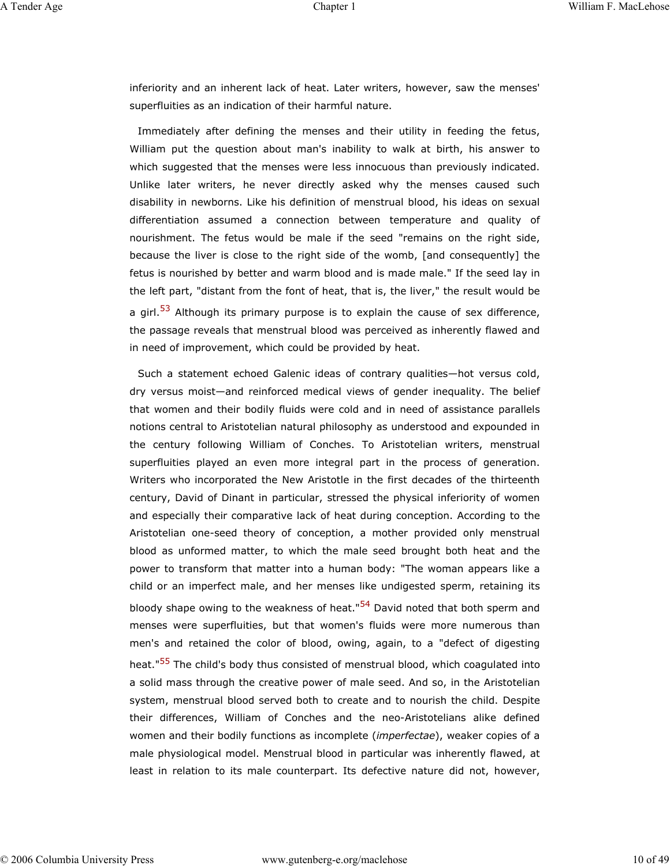inferiority and an inherent lack of heat. Later writers, however, saw the menses' superfluities as an indication of their harmful nature.

Immediately after defining the menses and their utility in feeding the fetus, William put the question about man's inability to walk at birth, his answer to which suggested that the menses were less innocuous than previously indicated. Unlike later writers, he never directly asked why the menses caused such disability in newborns. Like his definition of menstrual blood, his ideas on sexual differentiation assumed a connection between temperature and quality of nourishment. The fetus would be male if the seed "remains on the right side, because the liver is close to the right side of the womb, [and consequently] the fetus is nourished by better and warm blood and is made male." If the seed lay in the left part, "distant from the font of heat, that is, the liver," the result would be a girl. $53$  Although its primary purpose is to explain the cause of sex difference, the passage reveals that menstrual blood was perceived as inherently flawed and in need of improvement, which could be provided by heat.

Such a statement echoed Galenic ideas of contrary qualities—hot versus cold, dry versus moist—and reinforced medical views of gender inequality. The belief that women and their bodily fluids were cold and in need of assistance parallels notions central to Aristotelian natural philosophy as understood and expounded in the century following William of Conches. To Aristotelian writers, menstrual superfluities played an even more integral part in the process of generation. Writers who incorporated the New Aristotle in the first decades of the thirteenth century, David of Dinant in particular, stressed the physical inferiority of women and especially their comparative lack of heat during conception. According to the Aristotelian one-seed theory of conception, a mother provided only menstrual blood as unformed matter, to which the male seed brought both heat and the power to transform that matter into a human body: "The woman appears like a child or an imperfect male, and her menses like undigested sperm, retaining its bloody shape owing to the weakness of heat."<sup>54</sup> David noted that both sperm and menses were superfluities, but that women's fluids were more numerous than men's and retained the color of blood, owing, again, to a "defect of digesting heat."<sup>55</sup> The child's body thus consisted of menstrual blood, which coagulated into a solid mass through the creative power of male seed. And so, in the Aristotelian system, menstrual blood served both to create and to nourish the child. Despite their differences, William of Conches and the neo-Aristotelians alike defined women and their bodily functions as incomplete (*imperfectae*), weaker copies of a male physiological model. Menstrual blood in particular was inherently flawed, at least in relation to its male counterpart. Its defective nature did not, however,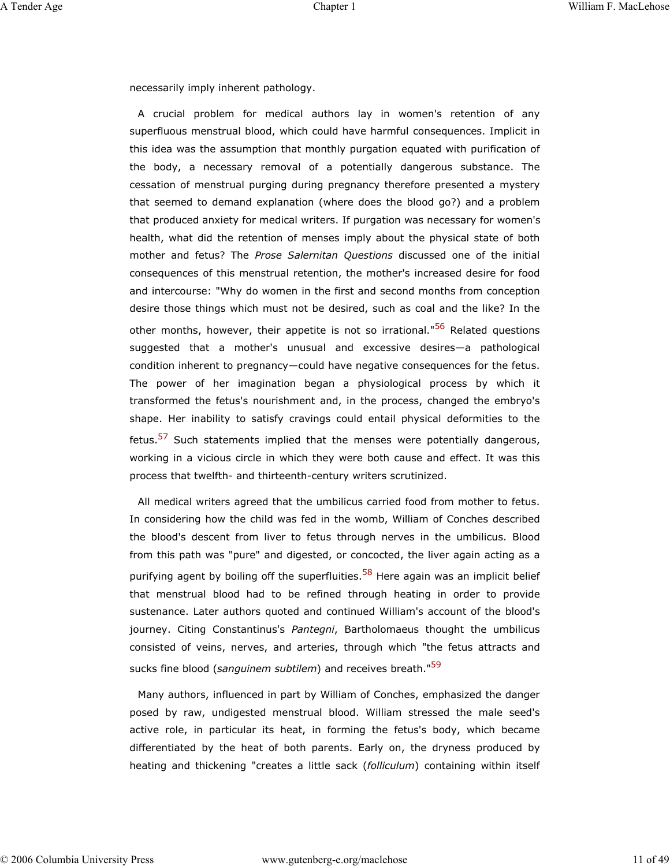necessarily imply inherent pathology.

A crucial problem for medical authors lay in women's retention of any superfluous menstrual blood, which could have harmful consequences. Implicit in this idea was the assumption that monthly purgation equated with purification of the body, a necessary removal of a potentially dangerous substance. The cessation of menstrual purging during pregnancy therefore presented a mystery that seemed to demand explanation (where does the blood go?) and a problem that produced anxiety for medical writers. If purgation was necessary for women's health, what did the retention of menses imply about the physical state of both mother and fetus? The *Prose Salernitan Questions* discussed one of the initial consequences of this menstrual retention, the mother's increased desire for food and intercourse: "Why do women in the first and second months from conception desire those things which must not be desired, such as coal and the like? In the other months, however, their appetite is not so irrational."<sup>56</sup> Related questions suggested that a mother's unusual and excessive desires—a pathological condition inherent to pregnancy—could have negative consequences for the fetus. The power of her imagination began a physiological process by which it transformed the fetus's nourishment and, in the process, changed the embryo's shape. Her inability to satisfy cravings could entail physical deformities to the fetus.<sup>57</sup> Such statements implied that the menses were potentially dangerous, working in a vicious circle in which they were both cause and effect. It was this process that twelfth- and thirteenth-century writers scrutinized.

All medical writers agreed that the umbilicus carried food from mother to fetus. In considering how the child was fed in the womb, William of Conches described the blood's descent from liver to fetus through nerves in the umbilicus. Blood from this path was "pure" and digested, or concocted, the liver again acting as a purifying agent by boiling off the superfluities.<sup>58</sup> Here again was an implicit belief that menstrual blood had to be refined through heating in order to provide sustenance. Later authors quoted and continued William's account of the blood's journey. Citing Constantinus's *Pantegni*, Bartholomaeus thought the umbilicus consisted of veins, nerves, and arteries, through which "the fetus attracts and sucks fine blood (*sanguinem subtilem*) and receives breath."59

Many authors, influenced in part by William of Conches, emphasized the danger posed by raw, undigested menstrual blood. William stressed the male seed's active role, in particular its heat, in forming the fetus's body, which became differentiated by the heat of both parents. Early on, the dryness produced by heating and thickening "creates a little sack (*folliculum*) containing within itself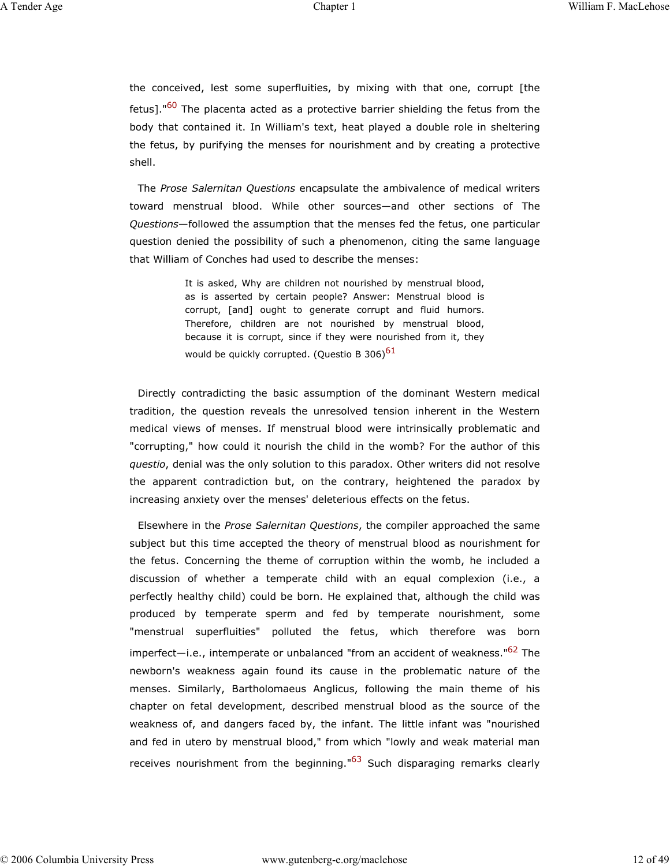the conceived, lest some superfluities, by mixing with that one, corrupt [the fetus]."<sup>60</sup> The placenta acted as a protective barrier shielding the fetus from the body that contained it. In William's text, heat played a double role in sheltering the fetus, by purifying the menses for nourishment and by creating a protective shell.

The *Prose Salernitan Questions* encapsulate the ambivalence of medical writers toward menstrual blood. While other sources—and other sections of The *Questions*—followed the assumption that the menses fed the fetus, one particular question denied the possibility of such a phenomenon, citing the same language that William of Conches had used to describe the menses:

> It is asked, Why are children not nourished by menstrual blood, as is asserted by certain people? Answer: Menstrual blood is corrupt, [and] ought to generate corrupt and fluid humors. Therefore, children are not nourished by menstrual blood, because it is corrupt, since if they were nourished from it, they would be quickly corrupted. (Questio B 306) $61$

Directly contradicting the basic assumption of the dominant Western medical tradition, the question reveals the unresolved tension inherent in the Western medical views of menses. If menstrual blood were intrinsically problematic and "corrupting," how could it nourish the child in the womb? For the author of this *questio*, denial was the only solution to this paradox. Other writers did not resolve the apparent contradiction but, on the contrary, heightened the paradox by increasing anxiety over the menses' deleterious effects on the fetus.

Elsewhere in the *Prose Salernitan Questions*, the compiler approached the same subject but this time accepted the theory of menstrual blood as nourishment for the fetus. Concerning the theme of corruption within the womb, he included a discussion of whether a temperate child with an equal complexion (i.e., a perfectly healthy child) could be born. He explained that, although the child was produced by temperate sperm and fed by temperate nourishment, some "menstrual superfluities" polluted the fetus, which therefore was born imperfect—i.e., intemperate or unbalanced "from an accident of weakness."<sup>62</sup> The newborn's weakness again found its cause in the problematic nature of the menses. Similarly, Bartholomaeus Anglicus, following the main theme of his chapter on fetal development, described menstrual blood as the source of the weakness of, and dangers faced by, the infant. The little infant was "nourished and fed in utero by menstrual blood," from which "lowly and weak material man receives nourishment from the beginning."<sup>63</sup> Such disparaging remarks clearly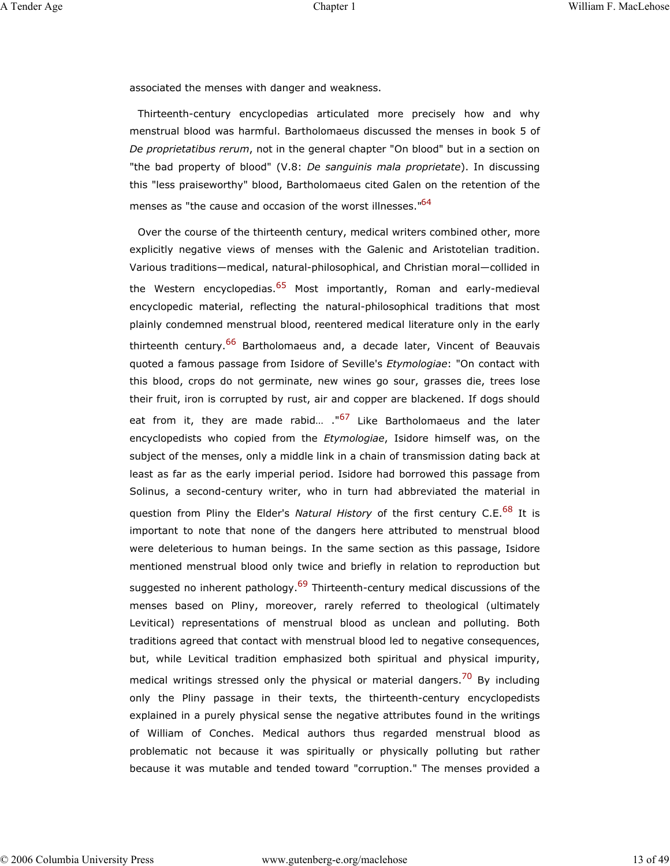associated the menses with danger and weakness.

Thirteenth-century encyclopedias articulated more precisely how and why menstrual blood was harmful. Bartholomaeus discussed the menses in book 5 of *De proprietatibus rerum*, not in the general chapter "On blood" but in a section on "the bad property of blood" (V.8: *De sanguinis mala proprietate*). In discussing this "less praiseworthy" blood, Bartholomaeus cited Galen on the retention of the menses as "the cause and occasion of the worst illnesses."<sup>64</sup>

Over the course of the thirteenth century, medical writers combined other, more explicitly negative views of menses with the Galenic and Aristotelian tradition. Various traditions—medical, natural-philosophical, and Christian moral—collided in the Western encyclopedias.<sup>65</sup> Most importantly, Roman and early-medieval encyclopedic material, reflecting the natural-philosophical traditions that most plainly condemned menstrual blood, reentered medical literature only in the early thirteenth century.<sup>66</sup> Bartholomaeus and, a decade later, Vincent of Beauvais quoted a famous passage from Isidore of Seville's *Etymologiae*: "On contact with this blood, crops do not germinate, new wines go sour, grasses die, trees lose their fruit, iron is corrupted by rust, air and copper are blackened. If dogs should eat from it, they are made rabid... ."<sup>67</sup> Like Bartholomaeus and the later encyclopedists who copied from the *Etymologiae*, Isidore himself was, on the subject of the menses, only a middle link in a chain of transmission dating back at least as far as the early imperial period. Isidore had borrowed this passage from Solinus, a second-century writer, who in turn had abbreviated the material in question from Pliny the Elder's *Natural History* of the first century C.E.<sup>68</sup> It is important to note that none of the dangers here attributed to menstrual blood were deleterious to human beings. In the same section as this passage, Isidore mentioned menstrual blood only twice and briefly in relation to reproduction but suggested no inherent pathology.<sup>69</sup> Thirteenth-century medical discussions of the menses based on Pliny, moreover, rarely referred to theological (ultimately Levitical) representations of menstrual blood as unclean and polluting. Both traditions agreed that contact with menstrual blood led to negative consequences, but, while Levitical tradition emphasized both spiritual and physical impurity, medical writings stressed only the physical or material dangers.<sup>70</sup> By including only the Pliny passage in their texts, the thirteenth-century encyclopedists explained in a purely physical sense the negative attributes found in the writings of William of Conches. Medical authors thus regarded menstrual blood as problematic not because it was spiritually or physically polluting but rather because it was mutable and tended toward "corruption." The menses provided a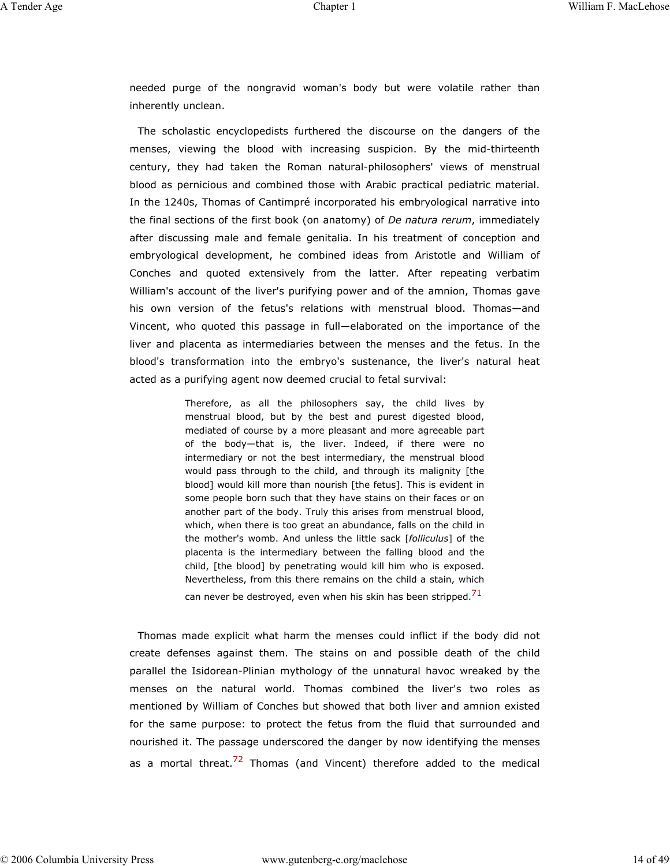needed purge of the nongravid woman's body but were volatile rather than inherently unclean.

The scholastic encyclopedists furthered the discourse on the dangers of the menses, viewing the blood with increasing suspicion. By the mid-thirteenth century, they had taken the Roman natural-philosophers' views of menstrual blood as pernicious and combined those with Arabic practical pediatric material. In the 1240s, Thomas of Cantimpré incorporated his embryological narrative into the final sections of the first book (on anatomy) of *De natura rerum*, immediately after discussing male and female genitalia. In his treatment of conception and embryological development, he combined ideas from Aristotle and William of Conches and quoted extensively from the latter. After repeating verbatim William's account of the liver's purifying power and of the amnion, Thomas gave his own version of the fetus's relations with menstrual blood. Thomas—and Vincent, who quoted this passage in full—elaborated on the importance of the liver and placenta as intermediaries between the menses and the fetus. In the blood's transformation into the embryo's sustenance, the liver's natural heat acted as a purifying agent now deemed crucial to fetal survival:

> Therefore, as all the philosophers say, the child lives by menstrual blood, but by the best and purest digested blood, mediated of course by a more pleasant and more agreeable part of the body—that is, the liver. Indeed, if there were no intermediary or not the best intermediary, the menstrual blood would pass through to the child, and through its malignity [the blood] would kill more than nourish [the fetus]. This is evident in some people born such that they have stains on their faces or on another part of the body. Truly this arises from menstrual blood, which, when there is too great an abundance, falls on the child in the mother's womb. And unless the little sack [*folliculus*] of the placenta is the intermediary between the falling blood and the child, [the blood] by penetrating would kill him who is exposed. Nevertheless, from this there remains on the child a stain, which can never be destroyed, even when his skin has been stripped. $71$

Thomas made explicit what harm the menses could inflict if the body did not create defenses against them. The stains on and possible death of the child parallel the Isidorean-Plinian mythology of the unnatural havoc wreaked by the menses on the natural world. Thomas combined the liver's two roles as mentioned by William of Conches but showed that both liver and amnion existed for the same purpose: to protect the fetus from the fluid that surrounded and nourished it. The passage underscored the danger by now identifying the menses as a mortal threat.<sup>72</sup> Thomas (and Vincent) therefore added to the medical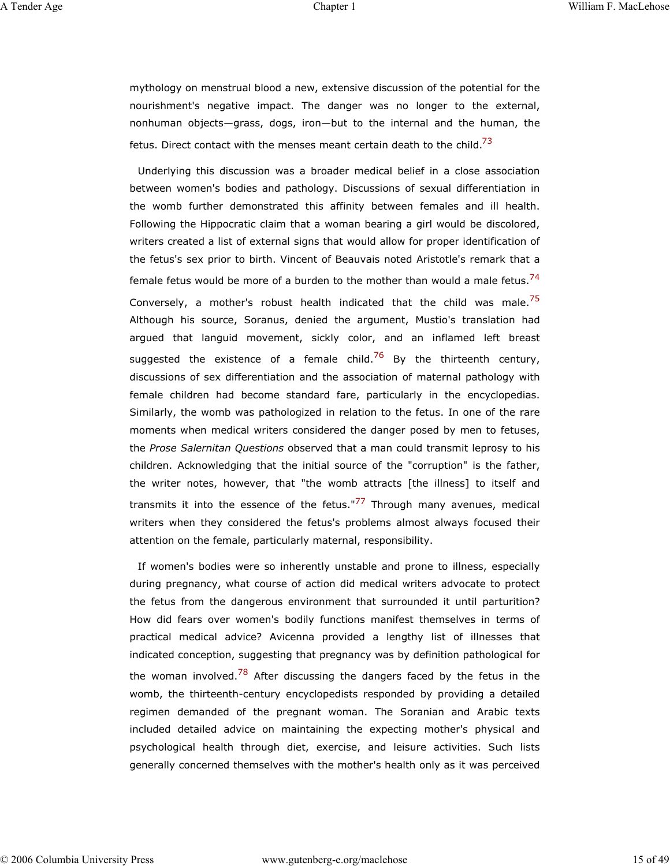mythology on menstrual blood a new, extensive discussion of the potential for the nourishment's negative impact. The danger was no longer to the external, nonhuman objects—grass, dogs, iron—but to the internal and the human, the fetus. Direct contact with the menses meant certain death to the child.<sup>73</sup>

Underlying this discussion was a broader medical belief in a close association between women's bodies and pathology. Discussions of sexual differentiation in the womb further demonstrated this affinity between females and ill health. Following the Hippocratic claim that a woman bearing a girl would be discolored, writers created a list of external signs that would allow for proper identification of the fetus's sex prior to birth. Vincent of Beauvais noted Aristotle's remark that a female fetus would be more of a burden to the mother than would a male fetus.<sup>74</sup> Conversely, a mother's robust health indicated that the child was male.<sup>75</sup> Although his source, Soranus, denied the argument, Mustio's translation had argued that languid movement, sickly color, and an inflamed left breast suggested the existence of a female child.<sup>76</sup> By the thirteenth century, discussions of sex differentiation and the association of maternal pathology with female children had become standard fare, particularly in the encyclopedias. Similarly, the womb was pathologized in relation to the fetus. In one of the rare moments when medical writers considered the danger posed by men to fetuses, the *Prose Salernitan Questions* observed that a man could transmit leprosy to his children. Acknowledging that the initial source of the "corruption" is the father, the writer notes, however, that "the womb attracts [the illness] to itself and transmits it into the essence of the fetus."<sup>77</sup> Through many avenues, medical writers when they considered the fetus's problems almost always focused their attention on the female, particularly maternal, responsibility.

If women's bodies were so inherently unstable and prone to illness, especially during pregnancy, what course of action did medical writers advocate to protect the fetus from the dangerous environment that surrounded it until parturition? How did fears over women's bodily functions manifest themselves in terms of practical medical advice? Avicenna provided a lengthy list of illnesses that indicated conception, suggesting that pregnancy was by definition pathological for the woman involved.<sup>78</sup> After discussing the dangers faced by the fetus in the womb, the thirteenth-century encyclopedists responded by providing a detailed regimen demanded of the pregnant woman. The Soranian and Arabic texts included detailed advice on maintaining the expecting mother's physical and psychological health through diet, exercise, and leisure activities. Such lists generally concerned themselves with the mother's health only as it was perceived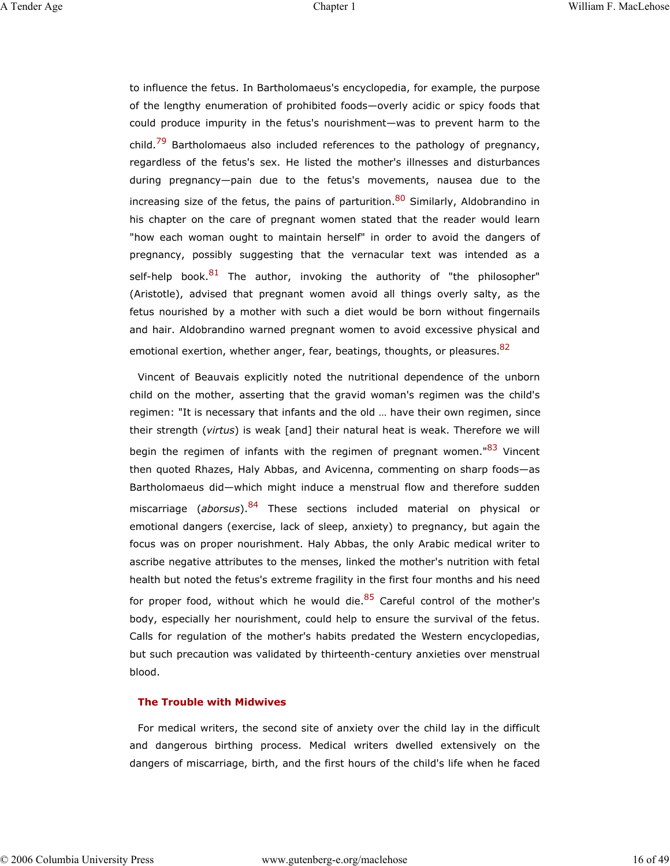to influence the fetus. In Bartholomaeus's encyclopedia, for example, the purpose of the lengthy enumeration of prohibited foods—overly acidic or spicy foods that could produce impurity in the fetus's nourishment—was to prevent harm to the child.<sup>79</sup> Bartholomaeus also included references to the pathology of pregnancy, regardless of the fetus's sex. He listed the mother's illnesses and disturbances during pregnancy—pain due to the fetus's movements, nausea due to the increasing size of the fetus, the pains of parturition.<sup>80</sup> Similarly, Aldobrandino in his chapter on the care of pregnant women stated that the reader would learn "how each woman ought to maintain herself" in order to avoid the dangers of pregnancy, possibly suggesting that the vernacular text was intended as a self-help book.<sup>81</sup> The author, invoking the authority of "the philosopher" (Aristotle), advised that pregnant women avoid all things overly salty, as the fetus nourished by a mother with such a diet would be born without fingernails and hair. Aldobrandino warned pregnant women to avoid excessive physical and emotional exertion, whether anger, fear, beatings, thoughts, or pleasures. <sup>82</sup>

Vincent of Beauvais explicitly noted the nutritional dependence of the unborn child on the mother, asserting that the gravid woman's regimen was the child's regimen: "It is necessary that infants and the old … have their own regimen, since their strength (*virtus*) is weak [and] their natural heat is weak. Therefore we will begin the regimen of infants with the regimen of pregnant women."<sup>83</sup> Vincent then quoted Rhazes, Haly Abbas, and Avicenna, commenting on sharp foods—as Bartholomaeus did—which might induce a menstrual flow and therefore sudden miscarriage (*aborsus*).84 These sections included material on physical or emotional dangers (exercise, lack of sleep, anxiety) to pregnancy, but again the focus was on proper nourishment. Haly Abbas, the only Arabic medical writer to ascribe negative attributes to the menses, linked the mother's nutrition with fetal health but noted the fetus's extreme fragility in the first four months and his need for proper food, without which he would die.<sup>85</sup> Careful control of the mother's body, especially her nourishment, could help to ensure the survival of the fetus. Calls for regulation of the mother's habits predated the Western encyclopedias, but such precaution was validated by thirteenth-century anxieties over menstrual blood.

#### **The Trouble with Midwives**

For medical writers, the second site of anxiety over the child lay in the difficult and dangerous birthing process. Medical writers dwelled extensively on the dangers of miscarriage, birth, and the first hours of the child's life when he faced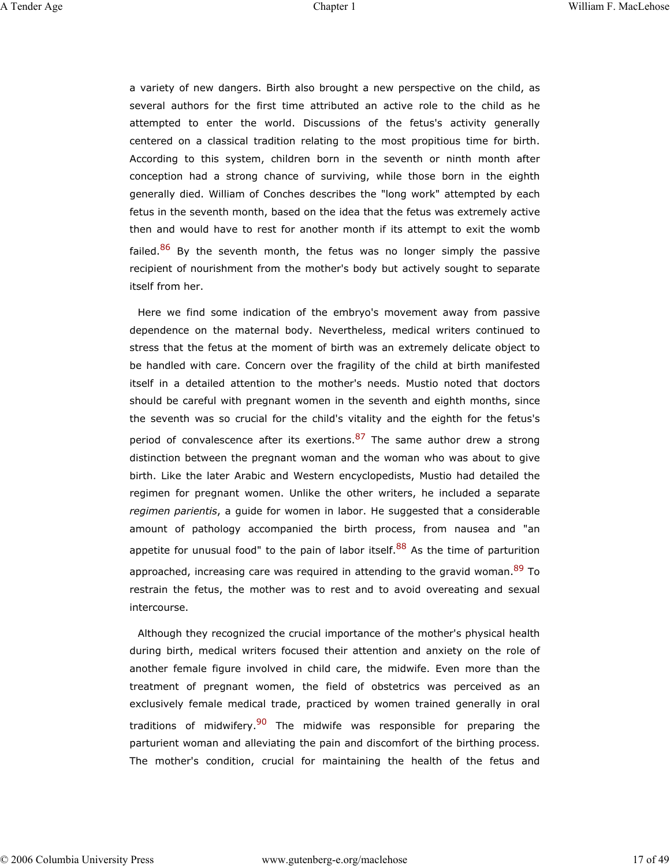a variety of new dangers. Birth also brought a new perspective on the child, as several authors for the first time attributed an active role to the child as he attempted to enter the world. Discussions of the fetus's activity generally centered on a classical tradition relating to the most propitious time for birth. According to this system, children born in the seventh or ninth month after conception had a strong chance of surviving, while those born in the eighth generally died. William of Conches describes the "long work" attempted by each fetus in the seventh month, based on the idea that the fetus was extremely active then and would have to rest for another month if its attempt to exit the womb failed.<sup>86</sup> By the seventh month, the fetus was no longer simply the passive recipient of nourishment from the mother's body but actively sought to separate itself from her.

Here we find some indication of the embryo's movement away from passive dependence on the maternal body. Nevertheless, medical writers continued to stress that the fetus at the moment of birth was an extremely delicate object to be handled with care. Concern over the fragility of the child at birth manifested itself in a detailed attention to the mother's needs. Mustio noted that doctors should be careful with pregnant women in the seventh and eighth months, since the seventh was so crucial for the child's vitality and the eighth for the fetus's period of convalescence after its exertions.  $87$  The same author drew a strong distinction between the pregnant woman and the woman who was about to give birth. Like the later Arabic and Western encyclopedists, Mustio had detailed the regimen for pregnant women. Unlike the other writers, he included a separate *regimen parientis*, a guide for women in labor. He suggested that a considerable amount of pathology accompanied the birth process, from nausea and "an appetite for unusual food" to the pain of labor itself.  $88$  As the time of parturition approached, increasing care was required in attending to the gravid woman.<sup>89</sup> To restrain the fetus, the mother was to rest and to avoid overeating and sexual intercourse.

Although they recognized the crucial importance of the mother's physical health during birth, medical writers focused their attention and anxiety on the role of another female figure involved in child care, the midwife. Even more than the treatment of pregnant women, the field of obstetrics was perceived as an exclusively female medical trade, practiced by women trained generally in oral traditions of midwifery.<sup>90</sup> The midwife was responsible for preparing the parturient woman and alleviating the pain and discomfort of the birthing process. The mother's condition, crucial for maintaining the health of the fetus and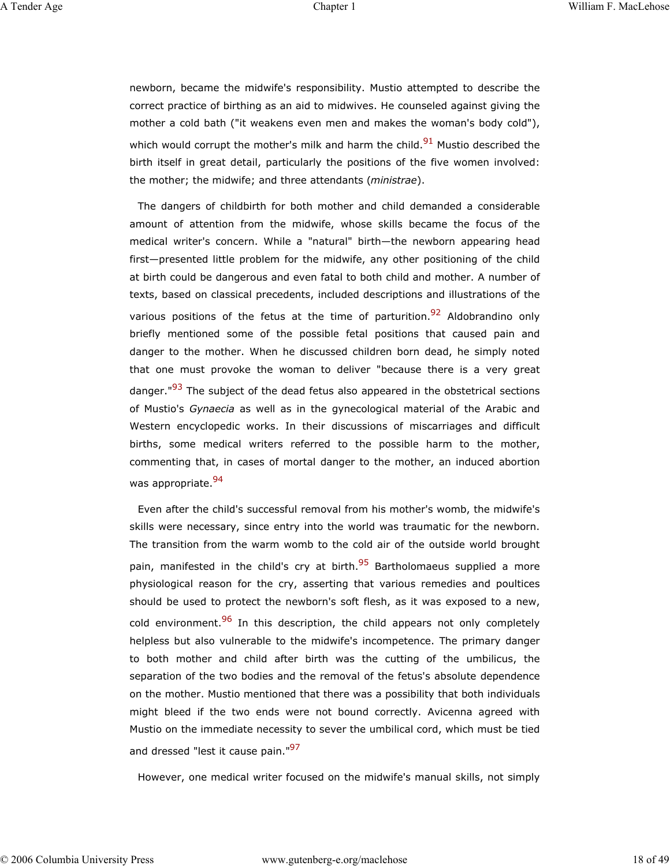newborn, became the midwife's responsibility. Mustio attempted to describe the correct practice of birthing as an aid to midwives. He counseled against giving the mother a cold bath ("it weakens even men and makes the woman's body cold"), which would corrupt the mother's milk and harm the child. $91$  Mustio described the birth itself in great detail, particularly the positions of the five women involved: the mother; the midwife; and three attendants (*ministrae*).

The dangers of childbirth for both mother and child demanded a considerable amount of attention from the midwife, whose skills became the focus of the medical writer's concern. While a "natural" birth—the newborn appearing head first—presented little problem for the midwife, any other positioning of the child at birth could be dangerous and even fatal to both child and mother. A number of texts, based on classical precedents, included descriptions and illustrations of the various positions of the fetus at the time of parturition.<sup>92</sup> Aldobrandino only briefly mentioned some of the possible fetal positions that caused pain and danger to the mother. When he discussed children born dead, he simply noted that one must provoke the woman to deliver "because there is a very great danger."<sup>93</sup> The subject of the dead fetus also appeared in the obstetrical sections of Mustio's *Gynaecia* as well as in the gynecological material of the Arabic and Western encyclopedic works. In their discussions of miscarriages and difficult births, some medical writers referred to the possible harm to the mother, commenting that, in cases of mortal danger to the mother, an induced abortion was appropriate.<sup>94</sup>

Even after the child's successful removal from his mother's womb, the midwife's skills were necessary, since entry into the world was traumatic for the newborn. The transition from the warm womb to the cold air of the outside world brought pain, manifested in the child's cry at birth.<sup>95</sup> Bartholomaeus supplied a more physiological reason for the cry, asserting that various remedies and poultices should be used to protect the newborn's soft flesh, as it was exposed to a new, cold environment.<sup>96</sup> In this description, the child appears not only completely helpless but also vulnerable to the midwife's incompetence. The primary danger to both mother and child after birth was the cutting of the umbilicus, the separation of the two bodies and the removal of the fetus's absolute dependence on the mother. Mustio mentioned that there was a possibility that both individuals might bleed if the two ends were not bound correctly. Avicenna agreed with Mustio on the immediate necessity to sever the umbilical cord, which must be tied and dressed "lest it cause pain."<sup>97</sup>

However, one medical writer focused on the midwife's manual skills, not simply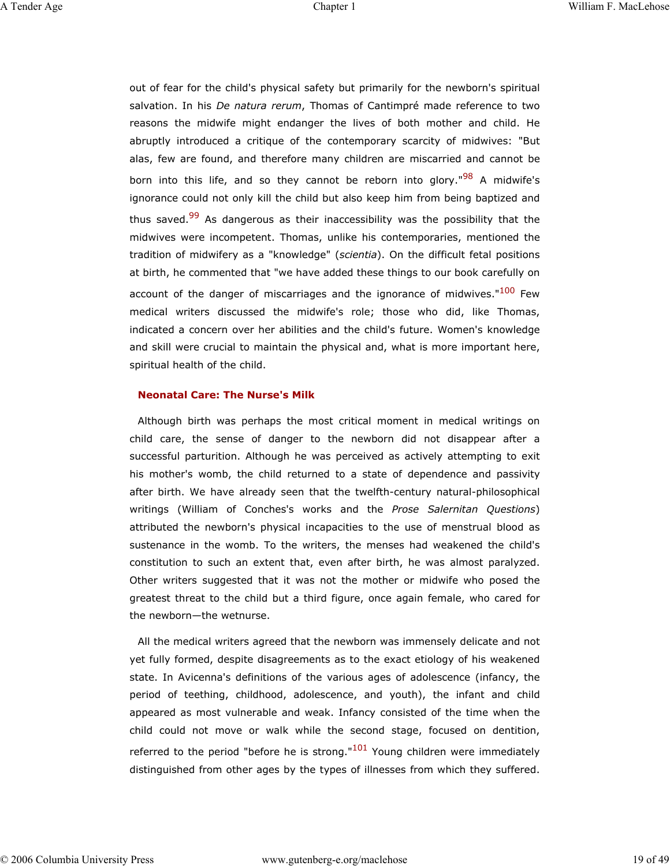out of fear for the child's physical safety but primarily for the newborn's spiritual salvation. In his *De natura rerum*, Thomas of Cantimpré made reference to two reasons the midwife might endanger the lives of both mother and child. He abruptly introduced a critique of the contemporary scarcity of midwives: "But alas, few are found, and therefore many children are miscarried and cannot be born into this life, and so they cannot be reborn into glory."<sup>98</sup> A midwife's ignorance could not only kill the child but also keep him from being baptized and thus saved.<sup>99</sup> As dangerous as their inaccessibility was the possibility that the midwives were incompetent. Thomas, unlike his contemporaries, mentioned the tradition of midwifery as a "knowledge" (*scientia*). On the difficult fetal positions at birth, he commented that "we have added these things to our book carefully on account of the danger of miscarriages and the ignorance of midwives."<sup>100</sup> Few medical writers discussed the midwife's role; those who did, like Thomas, indicated a concern over her abilities and the child's future. Women's knowledge and skill were crucial to maintain the physical and, what is more important here, spiritual health of the child.

#### **Neonatal Care: The Nurse's Milk**

Although birth was perhaps the most critical moment in medical writings on child care, the sense of danger to the newborn did not disappear after a successful parturition. Although he was perceived as actively attempting to exit his mother's womb, the child returned to a state of dependence and passivity after birth. We have already seen that the twelfth-century natural-philosophical writings (William of Conches's works and the *Prose Salernitan Questions*) attributed the newborn's physical incapacities to the use of menstrual blood as sustenance in the womb. To the writers, the menses had weakened the child's constitution to such an extent that, even after birth, he was almost paralyzed. Other writers suggested that it was not the mother or midwife who posed the greatest threat to the child but a third figure, once again female, who cared for the newborn—the wetnurse.

All the medical writers agreed that the newborn was immensely delicate and not yet fully formed, despite disagreements as to the exact etiology of his weakened state. In Avicenna's definitions of the various ages of adolescence (infancy, the period of teething, childhood, adolescence, and youth), the infant and child appeared as most vulnerable and weak. Infancy consisted of the time when the child could not move or walk while the second stage, focused on dentition, referred to the period "before he is strong."<sup>101</sup> Young children were immediately distinguished from other ages by the types of illnesses from which they suffered.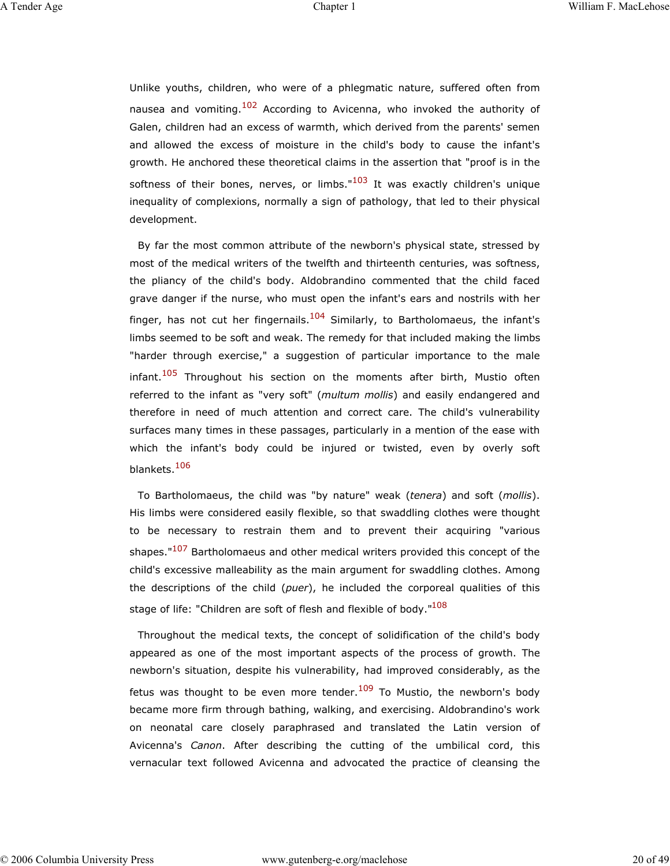Unlike youths, children, who were of a phlegmatic nature, suffered often from nausea and vomiting.<sup>102</sup> According to Avicenna, who invoked the authority of Galen, children had an excess of warmth, which derived from the parents' semen and allowed the excess of moisture in the child's body to cause the infant's growth. He anchored these theoretical claims in the assertion that "proof is in the softness of their bones, nerves, or limbs." $103$  It was exactly children's unique inequality of complexions, normally a sign of pathology, that led to their physical development.

By far the most common attribute of the newborn's physical state, stressed by most of the medical writers of the twelfth and thirteenth centuries, was softness, the pliancy of the child's body. Aldobrandino commented that the child faced grave danger if the nurse, who must open the infant's ears and nostrils with her finger, has not cut her fingernails. $104$  Similarly, to Bartholomaeus, the infant's limbs seemed to be soft and weak. The remedy for that included making the limbs "harder through exercise," a suggestion of particular importance to the male infant.<sup>105</sup> Throughout his section on the moments after birth, Mustio often referred to the infant as "very soft" (*multum mollis*) and easily endangered and therefore in need of much attention and correct care. The child's vulnerability surfaces many times in these passages, particularly in a mention of the ease with which the infant's body could be injured or twisted, even by overly soft blankets.106

To Bartholomaeus, the child was "by nature" weak (*tenera*) and soft (*mollis*). His limbs were considered easily flexible, so that swaddling clothes were thought to be necessary to restrain them and to prevent their acquiring "various shapes."<sup>107</sup> Bartholomaeus and other medical writers provided this concept of the child's excessive malleability as the main argument for swaddling clothes. Among the descriptions of the child (*puer*), he included the corporeal qualities of this stage of life: "Children are soft of flesh and flexible of bodv."<sup>108</sup>

Throughout the medical texts, the concept of solidification of the child's body appeared as one of the most important aspects of the process of growth. The newborn's situation, despite his vulnerability, had improved considerably, as the fetus was thought to be even more tender.<sup>109</sup> To Mustio, the newborn's body became more firm through bathing, walking, and exercising. Aldobrandino's work on neonatal care closely paraphrased and translated the Latin version of Avicenna's *Canon*. After describing the cutting of the umbilical cord, this vernacular text followed Avicenna and advocated the practice of cleansing the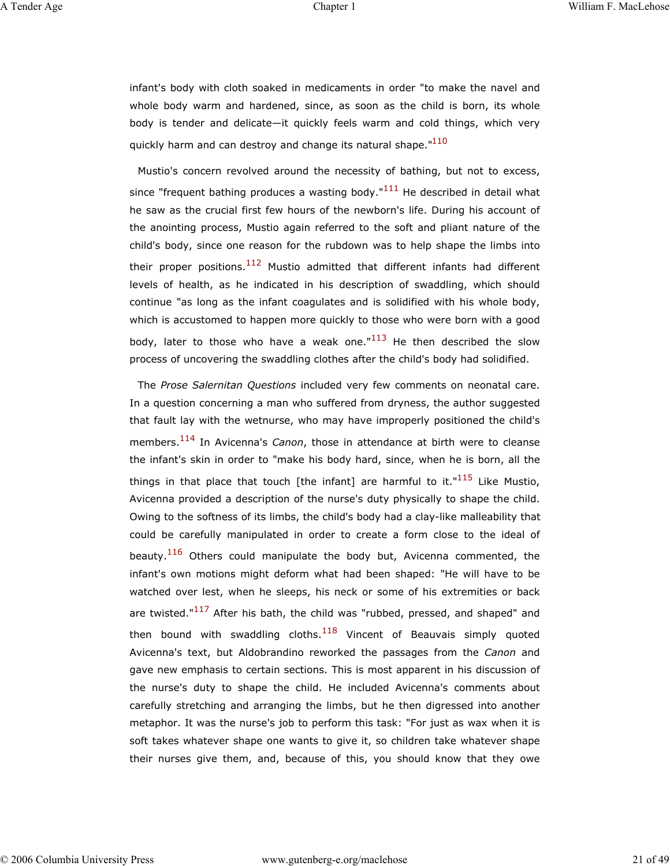infant's body with cloth soaked in medicaments in order "to make the navel and whole body warm and hardened, since, as soon as the child is born, its whole body is tender and delicate—it quickly feels warm and cold things, which very quickly harm and can destroy and change its natural shape."<sup>110</sup>

Mustio's concern revolved around the necessity of bathing, but not to excess, since "frequent bathing produces a wasting body." $111$  He described in detail what he saw as the crucial first few hours of the newborn's life. During his account of the anointing process, Mustio again referred to the soft and pliant nature of the child's body, since one reason for the rubdown was to help shape the limbs into their proper positions.<sup>112</sup> Mustio admitted that different infants had different levels of health, as he indicated in his description of swaddling, which should continue "as long as the infant coagulates and is solidified with his whole body, which is accustomed to happen more quickly to those who were born with a good body, later to those who have a weak one." $113$  He then described the slow process of uncovering the swaddling clothes after the child's body had solidified.

The *Prose Salernitan Questions* included very few comments on neonatal care. In a question concerning a man who suffered from dryness, the author suggested that fault lay with the wetnurse, who may have improperly positioned the child's members.114 In Avicenna's *Canon*, those in attendance at birth were to cleanse the infant's skin in order to "make his body hard, since, when he is born, all the things in that place that touch [the infant] are harmful to it."<sup>115</sup> Like Mustio, Avicenna provided a description of the nurse's duty physically to shape the child. Owing to the softness of its limbs, the child's body had a clay-like malleability that could be carefully manipulated in order to create a form close to the ideal of beauty.<sup>116</sup> Others could manipulate the body but, Avicenna commented, the infant's own motions might deform what had been shaped: "He will have to be watched over lest, when he sleeps, his neck or some of his extremities or back are twisted."<sup>117</sup> After his bath, the child was "rubbed, pressed, and shaped" and then bound with swaddling cloths. $118$  Vincent of Beauvais simply quoted Avicenna's text, but Aldobrandino reworked the passages from the *Canon* and gave new emphasis to certain sections. This is most apparent in his discussion of the nurse's duty to shape the child. He included Avicenna's comments about carefully stretching and arranging the limbs, but he then digressed into another metaphor. It was the nurse's job to perform this task: "For just as wax when it is soft takes whatever shape one wants to give it, so children take whatever shape their nurses give them, and, because of this, you should know that they owe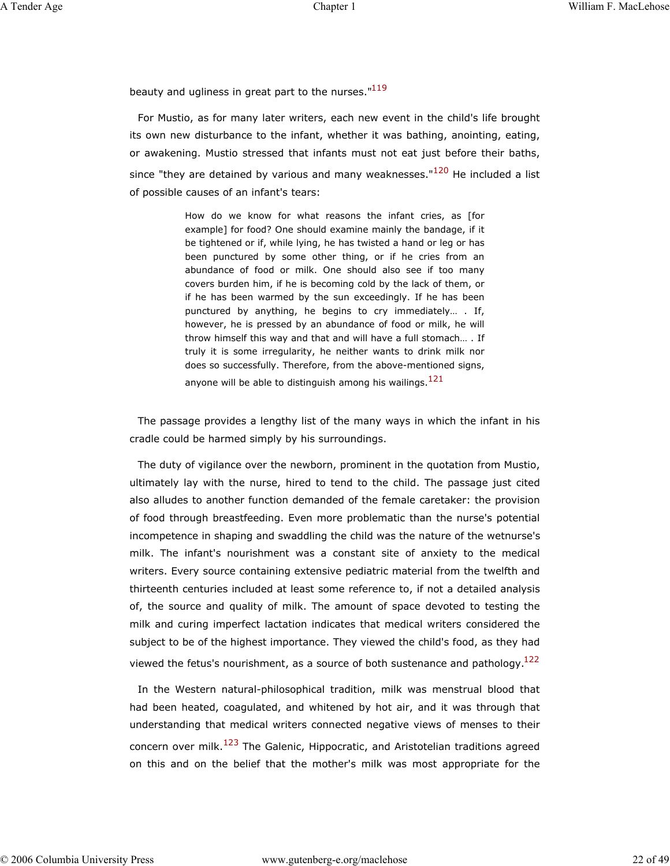beauty and ugliness in great part to the nurses."<sup>119</sup>

For Mustio, as for many later writers, each new event in the child's life brought its own new disturbance to the infant, whether it was bathing, anointing, eating, or awakening. Mustio stressed that infants must not eat just before their baths, since "they are detained by various and many weaknesses." $120$  He included a list of possible causes of an infant's tears:

> How do we know for what reasons the infant cries, as [for example] for food? One should examine mainly the bandage, if it be tightened or if, while lying, he has twisted a hand or leg or has been punctured by some other thing, or if he cries from an abundance of food or milk. One should also see if too many covers burden him, if he is becoming cold by the lack of them, or if he has been warmed by the sun exceedingly. If he has been punctured by anything, he begins to cry immediately… . If, however, he is pressed by an abundance of food or milk, he will throw himself this way and that and will have a full stomach… . If truly it is some irregularity, he neither wants to drink milk nor does so successfully. Therefore, from the above-mentioned signs, anyone will be able to distinguish among his wailings.<sup>121</sup>

The passage provides a lengthy list of the many ways in which the infant in his cradle could be harmed simply by his surroundings.

The duty of vigilance over the newborn, prominent in the quotation from Mustio, ultimately lay with the nurse, hired to tend to the child. The passage just cited also alludes to another function demanded of the female caretaker: the provision of food through breastfeeding. Even more problematic than the nurse's potential incompetence in shaping and swaddling the child was the nature of the wetnurse's milk. The infant's nourishment was a constant site of anxiety to the medical writers. Every source containing extensive pediatric material from the twelfth and thirteenth centuries included at least some reference to, if not a detailed analysis of, the source and quality of milk. The amount of space devoted to testing the milk and curing imperfect lactation indicates that medical writers considered the subject to be of the highest importance. They viewed the child's food, as they had viewed the fetus's nourishment, as a source of both sustenance and pathology. $122$ 

In the Western natural-philosophical tradition, milk was menstrual blood that had been heated, coagulated, and whitened by hot air, and it was through that understanding that medical writers connected negative views of menses to their concern over milk.<sup>123</sup> The Galenic, Hippocratic, and Aristotelian traditions agreed on this and on the belief that the mother's milk was most appropriate for the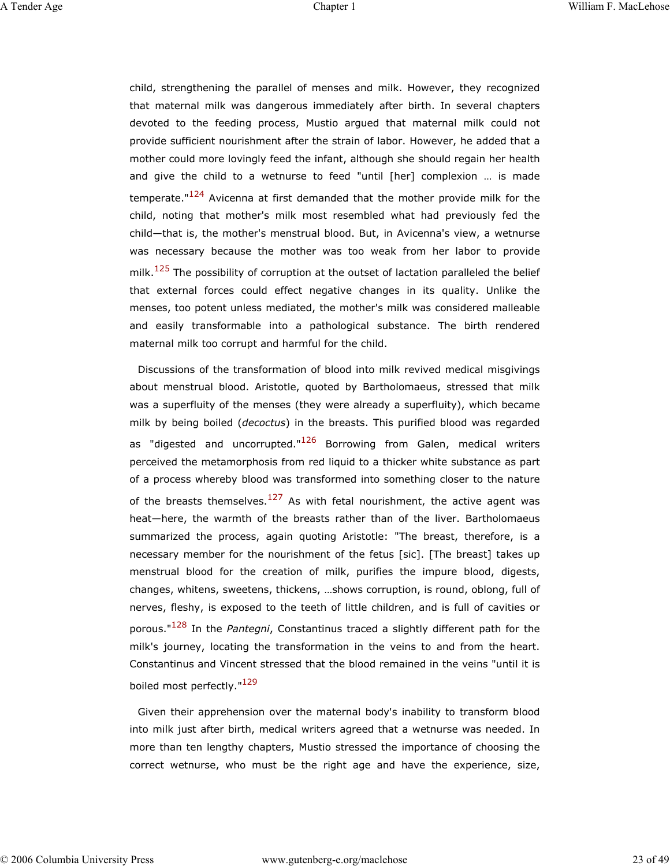child, strengthening the parallel of menses and milk. However, they recognized that maternal milk was dangerous immediately after birth. In several chapters devoted to the feeding process, Mustio argued that maternal milk could not provide sufficient nourishment after the strain of labor. However, he added that a mother could more lovingly feed the infant, although she should regain her health and give the child to a wetnurse to feed "until [her] complexion … is made temperate."<sup>124</sup> Avicenna at first demanded that the mother provide milk for the child, noting that mother's milk most resembled what had previously fed the child—that is, the mother's menstrual blood. But, in Avicenna's view, a wetnurse was necessary because the mother was too weak from her labor to provide milk.<sup>125</sup> The possibility of corruption at the outset of lactation paralleled the belief that external forces could effect negative changes in its quality. Unlike the menses, too potent unless mediated, the mother's milk was considered malleable and easily transformable into a pathological substance. The birth rendered maternal milk too corrupt and harmful for the child.

Discussions of the transformation of blood into milk revived medical misgivings about menstrual blood. Aristotle, quoted by Bartholomaeus, stressed that milk was a superfluity of the menses (they were already a superfluity), which became milk by being boiled (*decoctus*) in the breasts. This purified blood was regarded as "digested and uncorrupted."<sup>126</sup> Borrowing from Galen, medical writers perceived the metamorphosis from red liquid to a thicker white substance as part of a process whereby blood was transformed into something closer to the nature of the breasts themselves.<sup>127</sup> As with fetal nourishment, the active agent was heat—here, the warmth of the breasts rather than of the liver. Bartholomaeus summarized the process, again quoting Aristotle: "The breast, therefore, is a necessary member for the nourishment of the fetus [sic]. [The breast] takes up menstrual blood for the creation of milk, purifies the impure blood, digests, changes, whitens, sweetens, thickens, …shows corruption, is round, oblong, full of nerves, fleshy, is exposed to the teeth of little children, and is full of cavities or porous."128 In the *Pantegni*, Constantinus traced a slightly different path for the milk's journey, locating the transformation in the veins to and from the heart. Constantinus and Vincent stressed that the blood remained in the veins "until it is boiled most perfectly."<sup>129</sup>

Given their apprehension over the maternal body's inability to transform blood into milk just after birth, medical writers agreed that a wetnurse was needed. In more than ten lengthy chapters, Mustio stressed the importance of choosing the correct wetnurse, who must be the right age and have the experience, size,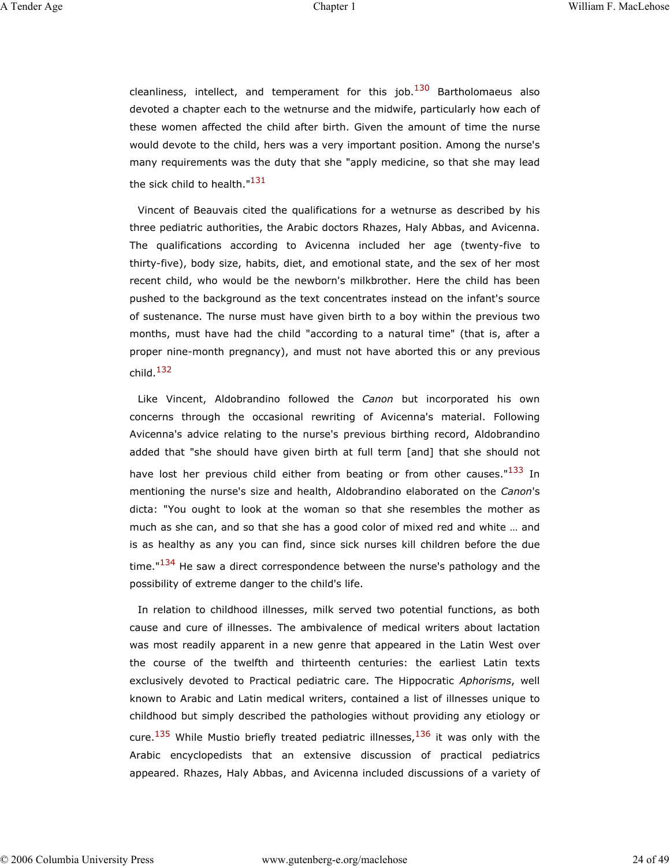cleanliness, intellect, and temperament for this job.<sup>130</sup> Bartholomaeus also devoted a chapter each to the wetnurse and the midwife, particularly how each of these women affected the child after birth. Given the amount of time the nurse would devote to the child, hers was a very important position. Among the nurse's many requirements was the duty that she "apply medicine, so that she may lead the sick child to health."<sup>131</sup>

Vincent of Beauvais cited the qualifications for a wetnurse as described by his three pediatric authorities, the Arabic doctors Rhazes, Haly Abbas, and Avicenna. The qualifications according to Avicenna included her age (twenty-five to thirty-five), body size, habits, diet, and emotional state, and the sex of her most recent child, who would be the newborn's milkbrother. Here the child has been pushed to the background as the text concentrates instead on the infant's source of sustenance. The nurse must have given birth to a boy within the previous two months, must have had the child "according to a natural time" (that is, after a proper nine-month pregnancy), and must not have aborted this or any previous child. $132$ 

Like Vincent, Aldobrandino followed the *Canon* but incorporated his own concerns through the occasional rewriting of Avicenna's material. Following Avicenna's advice relating to the nurse's previous birthing record, Aldobrandino added that "she should have given birth at full term [and] that she should not have lost her previous child either from beating or from other causes."<sup>133</sup> In mentioning the nurse's size and health, Aldobrandino elaborated on the *Canon*'s dicta: "You ought to look at the woman so that she resembles the mother as much as she can, and so that she has a good color of mixed red and white … and is as healthy as any you can find, since sick nurses kill children before the due time."<sup>134</sup> He saw a direct correspondence between the nurse's pathology and the possibility of extreme danger to the child's life.

In relation to childhood illnesses, milk served two potential functions, as both cause and cure of illnesses. The ambivalence of medical writers about lactation was most readily apparent in a new genre that appeared in the Latin West over the course of the twelfth and thirteenth centuries: the earliest Latin texts exclusively devoted to Practical pediatric care. The Hippocratic *Aphorisms*, well known to Arabic and Latin medical writers, contained a list of illnesses unique to childhood but simply described the pathologies without providing any etiology or cure.<sup>135</sup> While Mustio briefly treated pediatric illnesses,<sup>136</sup> it was only with the Arabic encyclopedists that an extensive discussion of practical pediatrics appeared. Rhazes, Haly Abbas, and Avicenna included discussions of a variety of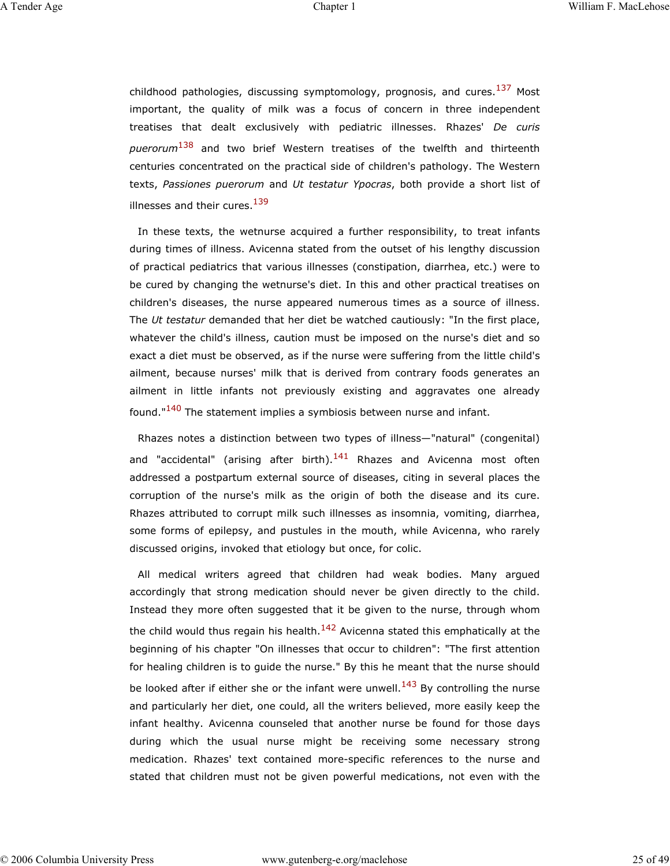childhood pathologies, discussing symptomology, prognosis, and cures.<sup>137</sup> Most important, the quality of milk was a focus of concern in three independent treatises that dealt exclusively with pediatric illnesses. Rhazes' *De curis puerorum*138 and two brief Western treatises of the twelfth and thirteenth centuries concentrated on the practical side of children's pathology. The Western texts, *Passiones puerorum* and *Ut testatur Ypocras*, both provide a short list of illnesses and their cures.<sup>139</sup>

In these texts, the wetnurse acquired a further responsibility, to treat infants during times of illness. Avicenna stated from the outset of his lengthy discussion of practical pediatrics that various illnesses (constipation, diarrhea, etc.) were to be cured by changing the wetnurse's diet. In this and other practical treatises on children's diseases, the nurse appeared numerous times as a source of illness. The *Ut testatur* demanded that her diet be watched cautiously: "In the first place, whatever the child's illness, caution must be imposed on the nurse's diet and so exact a diet must be observed, as if the nurse were suffering from the little child's ailment, because nurses' milk that is derived from contrary foods generates an ailment in little infants not previously existing and aggravates one already found."<sup>140</sup> The statement implies a symbiosis between nurse and infant.

Rhazes notes a distinction between two types of illness—"natural" (congenital) and "accidental" (arising after birth).<sup>141</sup> Rhazes and Avicenna most often addressed a postpartum external source of diseases, citing in several places the corruption of the nurse's milk as the origin of both the disease and its cure. Rhazes attributed to corrupt milk such illnesses as insomnia, vomiting, diarrhea, some forms of epilepsy, and pustules in the mouth, while Avicenna, who rarely discussed origins, invoked that etiology but once, for colic.

All medical writers agreed that children had weak bodies. Many argued accordingly that strong medication should never be given directly to the child. Instead they more often suggested that it be given to the nurse, through whom the child would thus regain his health. $142$  Avicenna stated this emphatically at the beginning of his chapter "On illnesses that occur to children": "The first attention for healing children is to guide the nurse." By this he meant that the nurse should be looked after if either she or the infant were unwell.<sup>143</sup> By controlling the nurse and particularly her diet, one could, all the writers believed, more easily keep the infant healthy. Avicenna counseled that another nurse be found for those days during which the usual nurse might be receiving some necessary strong medication. Rhazes' text contained more-specific references to the nurse and stated that children must not be given powerful medications, not even with the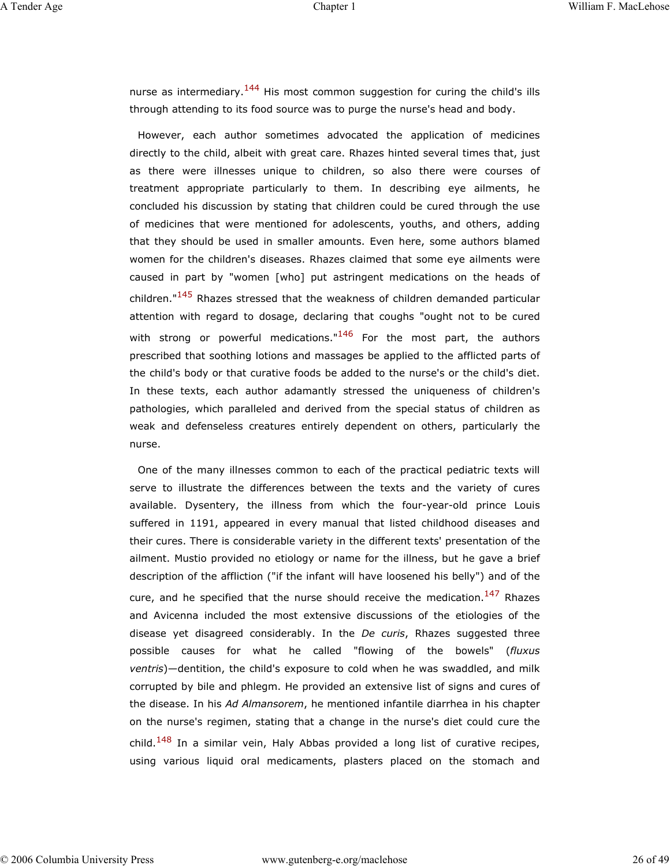nurse as intermediary.<sup>144</sup> His most common suggestion for curing the child's ills through attending to its food source was to purge the nurse's head and body.

However, each author sometimes advocated the application of medicines directly to the child, albeit with great care. Rhazes hinted several times that, just as there were illnesses unique to children, so also there were courses of treatment appropriate particularly to them. In describing eye ailments, he concluded his discussion by stating that children could be cured through the use of medicines that were mentioned for adolescents, youths, and others, adding that they should be used in smaller amounts. Even here, some authors blamed women for the children's diseases. Rhazes claimed that some eye ailments were caused in part by "women [who] put astringent medications on the heads of children."<sup>145</sup> Rhazes stressed that the weakness of children demanded particular attention with regard to dosage, declaring that coughs "ought not to be cured with strong or powerful medications."<sup>146</sup> For the most part, the authors prescribed that soothing lotions and massages be applied to the afflicted parts of the child's body or that curative foods be added to the nurse's or the child's diet. In these texts, each author adamantly stressed the uniqueness of children's pathologies, which paralleled and derived from the special status of children as weak and defenseless creatures entirely dependent on others, particularly the nurse.

One of the many illnesses common to each of the practical pediatric texts will serve to illustrate the differences between the texts and the variety of cures available. Dysentery, the illness from which the four-year-old prince Louis suffered in 1191, appeared in every manual that listed childhood diseases and their cures. There is considerable variety in the different texts' presentation of the ailment. Mustio provided no etiology or name for the illness, but he gave a brief description of the affliction ("if the infant will have loosened his belly") and of the cure, and he specified that the nurse should receive the medication.<sup>147</sup> Rhazes and Avicenna included the most extensive discussions of the etiologies of the disease yet disagreed considerably. In the *De curis*, Rhazes suggested three possible causes for what he called "flowing of the bowels" (*fluxus ventris*)—dentition, the child's exposure to cold when he was swaddled, and milk corrupted by bile and phlegm. He provided an extensive list of signs and cures of the disease. In his *Ad Almansorem*, he mentioned infantile diarrhea in his chapter on the nurse's regimen, stating that a change in the nurse's diet could cure the child.<sup>148</sup> In a similar vein, Haly Abbas provided a long list of curative recipes, using various liquid oral medicaments, plasters placed on the stomach and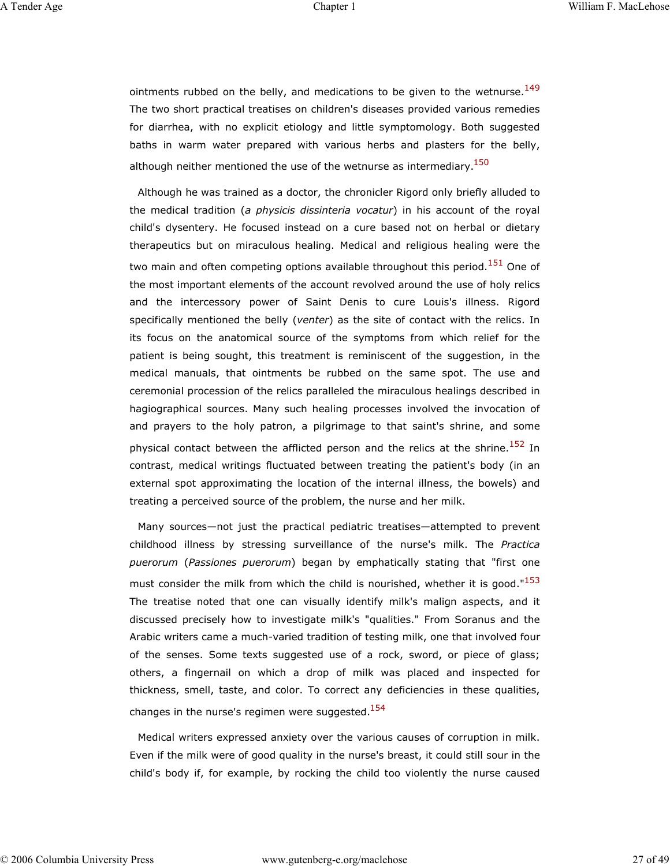ointments rubbed on the belly, and medications to be given to the wetnurse.<sup>149</sup> The two short practical treatises on children's diseases provided various remedies for diarrhea, with no explicit etiology and little symptomology. Both suggested baths in warm water prepared with various herbs and plasters for the belly, although neither mentioned the use of the wetnurse as intermediary.  $150$ 

Although he was trained as a doctor, the chronicler Rigord only briefly alluded to the medical tradition (*a physicis dissinteria vocatur*) in his account of the royal child's dysentery. He focused instead on a cure based not on herbal or dietary therapeutics but on miraculous healing. Medical and religious healing were the two main and often competing options available throughout this period.<sup>151</sup> One of the most important elements of the account revolved around the use of holy relics and the intercessory power of Saint Denis to cure Louis's illness. Rigord specifically mentioned the belly (*venter*) as the site of contact with the relics. In its focus on the anatomical source of the symptoms from which relief for the patient is being sought, this treatment is reminiscent of the suggestion, in the medical manuals, that ointments be rubbed on the same spot. The use and ceremonial procession of the relics paralleled the miraculous healings described in hagiographical sources. Many such healing processes involved the invocation of and prayers to the holy patron, a pilgrimage to that saint's shrine, and some physical contact between the afflicted person and the relics at the shrine.<sup>152</sup> In contrast, medical writings fluctuated between treating the patient's body (in an external spot approximating the location of the internal illness, the bowels) and treating a perceived source of the problem, the nurse and her milk.

Many sources—not just the practical pediatric treatises—attempted to prevent childhood illness by stressing surveillance of the nurse's milk. The *Practica puerorum* (*Passiones puerorum*) began by emphatically stating that "first one must consider the milk from which the child is nourished, whether it is good." $153$ The treatise noted that one can visually identify milk's malign aspects, and it discussed precisely how to investigate milk's "qualities." From Soranus and the Arabic writers came a much-varied tradition of testing milk, one that involved four of the senses. Some texts suggested use of a rock, sword, or piece of glass; others, a fingernail on which a drop of milk was placed and inspected for thickness, smell, taste, and color. To correct any deficiencies in these qualities, changes in the nurse's regimen were suggested.<sup>154</sup>

Medical writers expressed anxiety over the various causes of corruption in milk. Even if the milk were of good quality in the nurse's breast, it could still sour in the child's body if, for example, by rocking the child too violently the nurse caused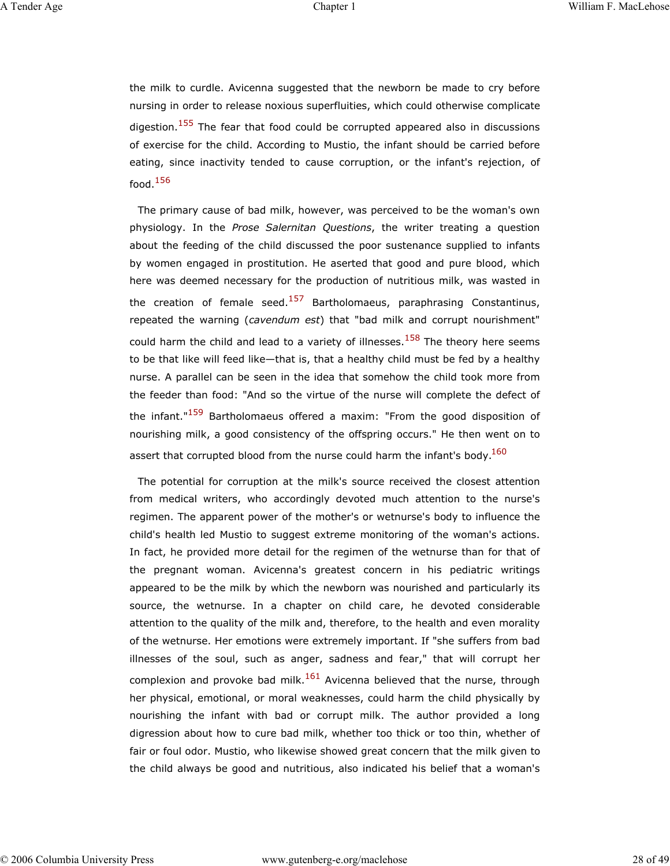the milk to curdle. Avicenna suggested that the newborn be made to cry before nursing in order to release noxious superfluities, which could otherwise complicate digestion.<sup>155</sup> The fear that food could be corrupted appeared also in discussions of exercise for the child. According to Mustio, the infant should be carried before eating, since inactivity tended to cause corruption, or the infant's rejection, of food.<sup>156</sup>

The primary cause of bad milk, however, was perceived to be the woman's own physiology. In the *Prose Salernitan Questions*, the writer treating a question about the feeding of the child discussed the poor sustenance supplied to infants by women engaged in prostitution. He aserted that good and pure blood, which here was deemed necessary for the production of nutritious milk, was wasted in the creation of female seed.<sup>157</sup> Bartholomaeus, paraphrasing Constantinus, repeated the warning (*cavendum est*) that "bad milk and corrupt nourishment" could harm the child and lead to a variety of illnesses.<sup>158</sup> The theory here seems to be that like will feed like—that is, that a healthy child must be fed by a healthy nurse. A parallel can be seen in the idea that somehow the child took more from the feeder than food: "And so the virtue of the nurse will complete the defect of the infant."<sup>159</sup> Bartholomaeus offered a maxim: "From the good disposition of nourishing milk, a good consistency of the offspring occurs." He then went on to assert that corrupted blood from the nurse could harm the infant's body. $^{160}$ 

The potential for corruption at the milk's source received the closest attention from medical writers, who accordingly devoted much attention to the nurse's regimen. The apparent power of the mother's or wetnurse's body to influence the child's health led Mustio to suggest extreme monitoring of the woman's actions. In fact, he provided more detail for the regimen of the wetnurse than for that of the pregnant woman. Avicenna's greatest concern in his pediatric writings appeared to be the milk by which the newborn was nourished and particularly its source, the wetnurse. In a chapter on child care, he devoted considerable attention to the quality of the milk and, therefore, to the health and even morality of the wetnurse. Her emotions were extremely important. If "she suffers from bad illnesses of the soul, such as anger, sadness and fear," that will corrupt her complexion and provoke bad milk.<sup>161</sup> Avicenna believed that the nurse, through her physical, emotional, or moral weaknesses, could harm the child physically by nourishing the infant with bad or corrupt milk. The author provided a long digression about how to cure bad milk, whether too thick or too thin, whether of fair or foul odor. Mustio, who likewise showed great concern that the milk given to the child always be good and nutritious, also indicated his belief that a woman's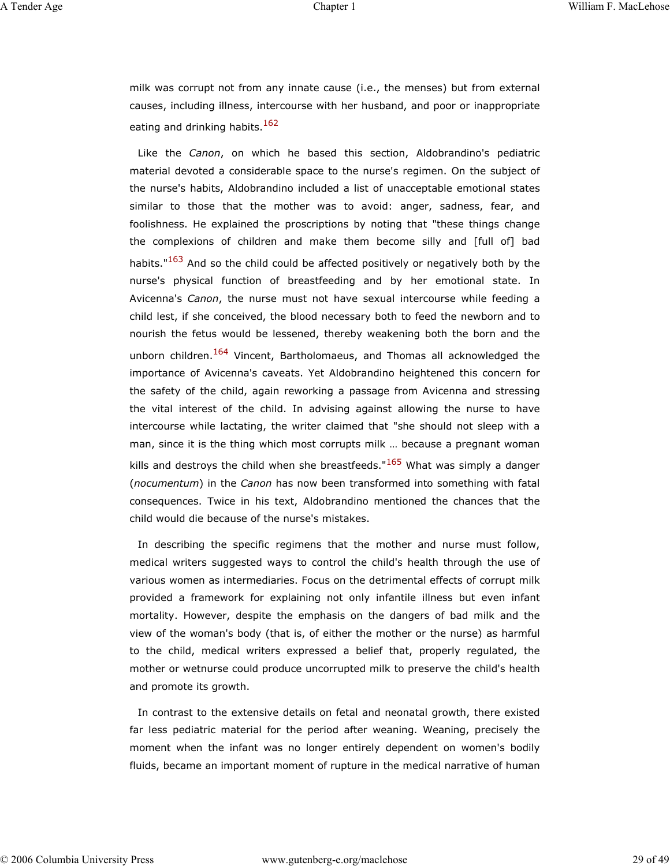milk was corrupt not from any innate cause (i.e., the menses) but from external causes, including illness, intercourse with her husband, and poor or inappropriate eating and drinking habits.<sup>162</sup>

Like the *Canon*, on which he based this section, Aldobrandino's pediatric material devoted a considerable space to the nurse's regimen. On the subject of the nurse's habits, Aldobrandino included a list of unacceptable emotional states similar to those that the mother was to avoid: anger, sadness, fear, and foolishness. He explained the proscriptions by noting that "these things change the complexions of children and make them become silly and [full of] bad habits."<sup>163</sup> And so the child could be affected positively or negatively both by the nurse's physical function of breastfeeding and by her emotional state. In Avicenna's *Canon*, the nurse must not have sexual intercourse while feeding a child lest, if she conceived, the blood necessary both to feed the newborn and to nourish the fetus would be lessened, thereby weakening both the born and the unborn children.<sup>164</sup> Vincent, Bartholomaeus, and Thomas all acknowledged the importance of Avicenna's caveats. Yet Aldobrandino heightened this concern for the safety of the child, again reworking a passage from Avicenna and stressing the vital interest of the child. In advising against allowing the nurse to have intercourse while lactating, the writer claimed that "she should not sleep with a man, since it is the thing which most corrupts milk … because a pregnant woman kills and destroys the child when she breastfeeds."<sup>165</sup> What was simply a danger (*nocumentum*) in the *Canon* has now been transformed into something with fatal consequences. Twice in his text, Aldobrandino mentioned the chances that the child would die because of the nurse's mistakes.

In describing the specific regimens that the mother and nurse must follow, medical writers suggested ways to control the child's health through the use of various women as intermediaries. Focus on the detrimental effects of corrupt milk provided a framework for explaining not only infantile illness but even infant mortality. However, despite the emphasis on the dangers of bad milk and the view of the woman's body (that is, of either the mother or the nurse) as harmful to the child, medical writers expressed a belief that, properly regulated, the mother or wetnurse could produce uncorrupted milk to preserve the child's health and promote its growth.

In contrast to the extensive details on fetal and neonatal growth, there existed far less pediatric material for the period after weaning. Weaning, precisely the moment when the infant was no longer entirely dependent on women's bodily fluids, became an important moment of rupture in the medical narrative of human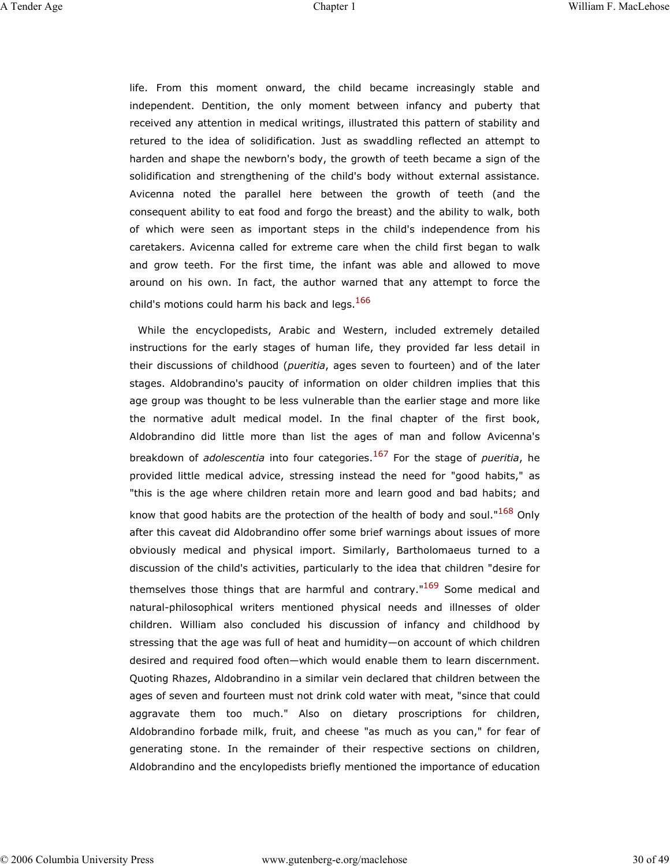life. From this moment onward, the child became increasingly stable and independent. Dentition, the only moment between infancy and puberty that received any attention in medical writings, illustrated this pattern of stability and retured to the idea of solidification. Just as swaddling reflected an attempt to harden and shape the newborn's body, the growth of teeth became a sign of the solidification and strengthening of the child's body without external assistance. Avicenna noted the parallel here between the growth of teeth (and the consequent ability to eat food and forgo the breast) and the ability to walk, both of which were seen as important steps in the child's independence from his caretakers. Avicenna called for extreme care when the child first began to walk and grow teeth. For the first time, the infant was able and allowed to move around on his own. In fact, the author warned that any attempt to force the child's motions could harm his back and legs. $166$ 

While the encyclopedists, Arabic and Western, included extremely detailed instructions for the early stages of human life, they provided far less detail in their discussions of childhood (*pueritia*, ages seven to fourteen) and of the later stages. Aldobrandino's paucity of information on older children implies that this age group was thought to be less vulnerable than the earlier stage and more like the normative adult medical model. In the final chapter of the first book, Aldobrandino did little more than list the ages of man and follow Avicenna's breakdown of *adolescentia* into four categories.167 For the stage of *pueritia*, he provided little medical advice, stressing instead the need for "good habits," as "this is the age where children retain more and learn good and bad habits; and know that good habits are the protection of the health of body and soul."168 Only after this caveat did Aldobrandino offer some brief warnings about issues of more obviously medical and physical import. Similarly, Bartholomaeus turned to a discussion of the child's activities, particularly to the idea that children "desire for themselves those things that are harmful and contrary."<sup>169</sup> Some medical and natural-philosophical writers mentioned physical needs and illnesses of older children. William also concluded his discussion of infancy and childhood by stressing that the age was full of heat and humidity—on account of which children desired and required food often—which would enable them to learn discernment. Quoting Rhazes, Aldobrandino in a similar vein declared that children between the ages of seven and fourteen must not drink cold water with meat, "since that could aggravate them too much." Also on dietary proscriptions for children, Aldobrandino forbade milk, fruit, and cheese "as much as you can," for fear of generating stone. In the remainder of their respective sections on children, Aldobrandino and the encylopedists briefly mentioned the importance of education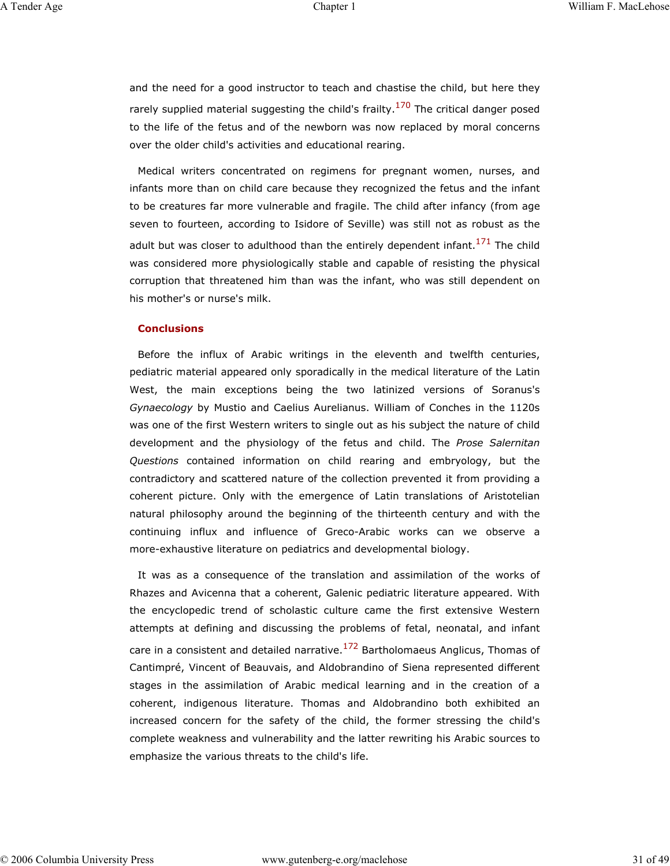and the need for a good instructor to teach and chastise the child, but here they rarely supplied material suggesting the child's frailty.<sup>170</sup> The critical danger posed to the life of the fetus and of the newborn was now replaced by moral concerns over the older child's activities and educational rearing.

Medical writers concentrated on regimens for pregnant women, nurses, and infants more than on child care because they recognized the fetus and the infant to be creatures far more vulnerable and fragile. The child after infancy (from age seven to fourteen, according to Isidore of Seville) was still not as robust as the adult but was closer to adulthood than the entirely dependent infant.<sup>171</sup> The child was considered more physiologically stable and capable of resisting the physical corruption that threatened him than was the infant, who was still dependent on his mother's or nurse's milk.

#### **Conclusions**

Before the influx of Arabic writings in the eleventh and twelfth centuries, pediatric material appeared only sporadically in the medical literature of the Latin West, the main exceptions being the two latinized versions of Soranus's *Gynaecology* by Mustio and Caelius Aurelianus. William of Conches in the 1120s was one of the first Western writers to single out as his subject the nature of child development and the physiology of the fetus and child. The *Prose Salernitan Questions* contained information on child rearing and embryology, but the contradictory and scattered nature of the collection prevented it from providing a coherent picture. Only with the emergence of Latin translations of Aristotelian natural philosophy around the beginning of the thirteenth century and with the continuing influx and influence of Greco-Arabic works can we observe a more-exhaustive literature on pediatrics and developmental biology.

It was as a consequence of the translation and assimilation of the works of Rhazes and Avicenna that a coherent, Galenic pediatric literature appeared. With the encyclopedic trend of scholastic culture came the first extensive Western attempts at defining and discussing the problems of fetal, neonatal, and infant care in a consistent and detailed narrative. $172$  Bartholomaeus Anglicus, Thomas of Cantimpré, Vincent of Beauvais, and Aldobrandino of Siena represented different stages in the assimilation of Arabic medical learning and in the creation of a coherent, indigenous literature. Thomas and Aldobrandino both exhibited an increased concern for the safety of the child, the former stressing the child's complete weakness and vulnerability and the latter rewriting his Arabic sources to emphasize the various threats to the child's life.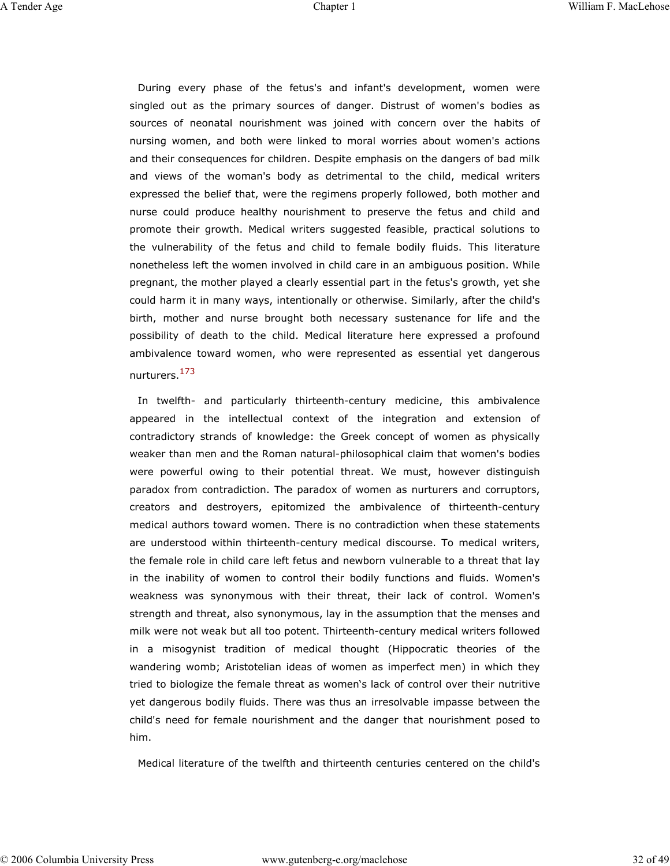During every phase of the fetus's and infant's development, women were singled out as the primary sources of danger. Distrust of women's bodies as sources of neonatal nourishment was joined with concern over the habits of nursing women, and both were linked to moral worries about women's actions and their consequences for children. Despite emphasis on the dangers of bad milk and views of the woman's body as detrimental to the child, medical writers expressed the belief that, were the regimens properly followed, both mother and nurse could produce healthy nourishment to preserve the fetus and child and promote their growth. Medical writers suggested feasible, practical solutions to the vulnerability of the fetus and child to female bodily fluids. This literature nonetheless left the women involved in child care in an ambiguous position. While pregnant, the mother played a clearly essential part in the fetus's growth, yet she could harm it in many ways, intentionally or otherwise. Similarly, after the child's birth, mother and nurse brought both necessary sustenance for life and the possibility of death to the child. Medical literature here expressed a profound ambivalence toward women, who were represented as essential yet dangerous nurturers.173

In twelfth- and particularly thirteenth-century medicine, this ambivalence appeared in the intellectual context of the integration and extension of contradictory strands of knowledge: the Greek concept of women as physically weaker than men and the Roman natural-philosophical claim that women's bodies were powerful owing to their potential threat. We must, however distinguish paradox from contradiction. The paradox of women as nurturers and corruptors, creators and destroyers, epitomized the ambivalence of thirteenth-century medical authors toward women. There is no contradiction when these statements are understood within thirteenth-century medical discourse. To medical writers, the female role in child care left fetus and newborn vulnerable to a threat that lay in the inability of women to control their bodily functions and fluids. Women's weakness was synonymous with their threat, their lack of control. Women's strength and threat, also synonymous, lay in the assumption that the menses and milk were not weak but all too potent. Thirteenth-century medical writers followed in a misogynist tradition of medical thought (Hippocratic theories of the wandering womb; Aristotelian ideas of women as imperfect men) in which they tried to biologize the female threat as women's lack of control over their nutritive yet dangerous bodily fluids. There was thus an irresolvable impasse between the child's need for female nourishment and the danger that nourishment posed to him.

Medical literature of the twelfth and thirteenth centuries centered on the child's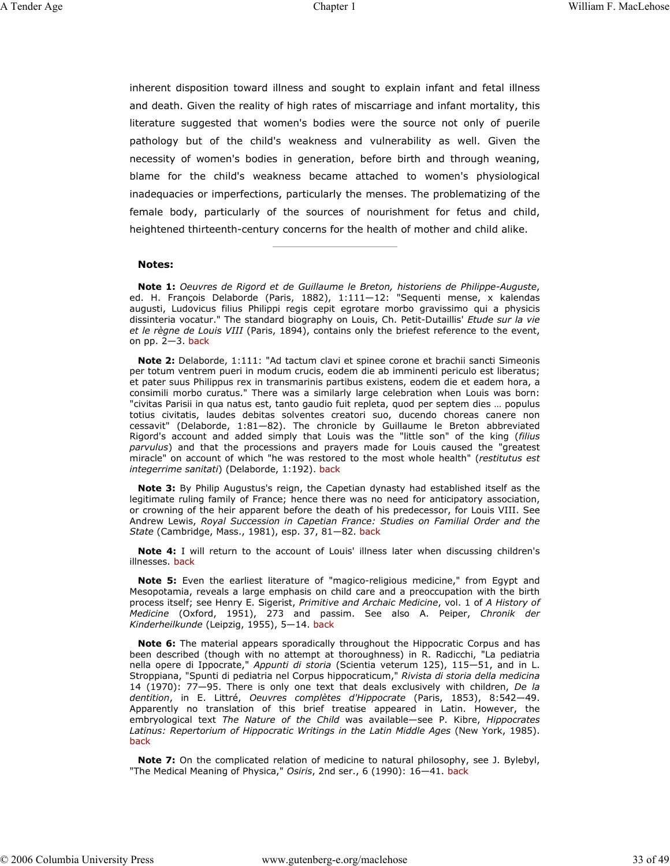inherent disposition toward illness and sought to explain infant and fetal illness and death. Given the reality of high rates of miscarriage and infant mortality, this literature suggested that women's bodies were the source not only of puerile pathology but of the child's weakness and vulnerability as well. Given the necessity of women's bodies in generation, before birth and through weaning, blame for the child's weakness became attached to women's physiological inadequacies or imperfections, particularly the menses. The problematizing of the female body, particularly of the sources of nourishment for fetus and child, heightened thirteenth-century concerns for the health of mother and child alike.

#### **Notes:**

**Note 1:** *Oeuvres de Rigord et de Guillaume le Breton, historiens de Philippe-Auguste*, ed. H. François Delaborde (Paris, 1882), 1:111-12: "Sequenti mense, x kalendas augusti, Ludovicus filius Philippi regis cepit egrotare morbo gravissimo qui a physicis dissinteria vocatur." The standard biography on Louis, Ch. Petit-Dutaillis' *Etude sur la vie et le règne de Louis VIII* (Paris, 1894), contains only the briefest reference to the event, on  $pp.$   $2-3.$  back

**Note 2:** Delaborde, 1:111: "Ad tactum clavi et spinee corone et brachii sancti Simeonis per totum ventrem pueri in modum crucis, eodem die ab imminenti periculo est liberatus; et pater suus Philippus rex in transmarinis partibus existens, eodem die et eadem hora, a consimili morbo curatus." There was a similarly large celebration when Louis was born: "civitas Parisii in qua natus est, tanto gaudio fuit repleta, quod per septem dies … populus totius civitatis, laudes debitas solventes creatori suo, ducendo choreas canere non cessavit" (Delaborde, 1:81—82). The chronicle by Guillaume le Breton abbreviated Rigord's account and added simply that Louis was the "little son" of the king (*filius parvulus*) and that the processions and prayers made for Louis caused the "greatest miracle" on account of which "he was restored to the most whole health" (*restitutus est integerrime sanitati*) (Delaborde, 1:192). back

**Note 3:** By Philip Augustus's reign, the Capetian dynasty had established itself as the legitimate ruling family of France; hence there was no need for anticipatory association, or crowning of the heir apparent before the death of his predecessor, for Louis VIII. See Andrew Lewis, *Royal Succession in Capetian France: Studies on Familial Order and the State* (Cambridge, Mass., 1981), esp. 37, 81—82. back

**Note 4:** I will return to the account of Louis' illness later when discussing children's illnesses. back

**Note 5:** Even the earliest literature of "magico-religious medicine," from Egypt and Mesopotamia, reveals a large emphasis on child care and a preoccupation with the birth process itself; see Henry E. Sigerist, *Primitive and Archaic Medicine*, vol. 1 of *A History of Medicine* (Oxford, 1951), 273 and passim. See also A. Peiper, *Chronik der Kinderheilkunde* (Leipzig, 1955), 5—14. back

**Note 6:** The material appears sporadically throughout the Hippocratic Corpus and has been described (though with no attempt at thoroughness) in R. Radicchi, "La pediatria nella opere di Ippocrate," *Appunti di storia* (Scientia veterum 125), 115—51, and in L. Stroppiana, "Spunti di pediatria nel Corpus hippocraticum," *Rivista di storia della medicina* 14 (1970): 77—95. There is only one text that deals exclusively with children, *De la dentition*, in E. Littré, *Oeuvres complètes d'Hippocrate* (Paris, 1853), 8:542—49. Apparently no translation of this brief treatise appeared in Latin. However, the embryological text *The Nature of the Child* was available—see P. Kibre, *Hippocrates Latinus: Repertorium of Hippocratic Writings in the Latin Middle Ages* (New York, 1985). back

**Note 7:** On the complicated relation of medicine to natural philosophy, see J. Bylebyl, "The Medical Meaning of Physica," *Osiris*, 2nd ser., 6 (1990): 16—41. back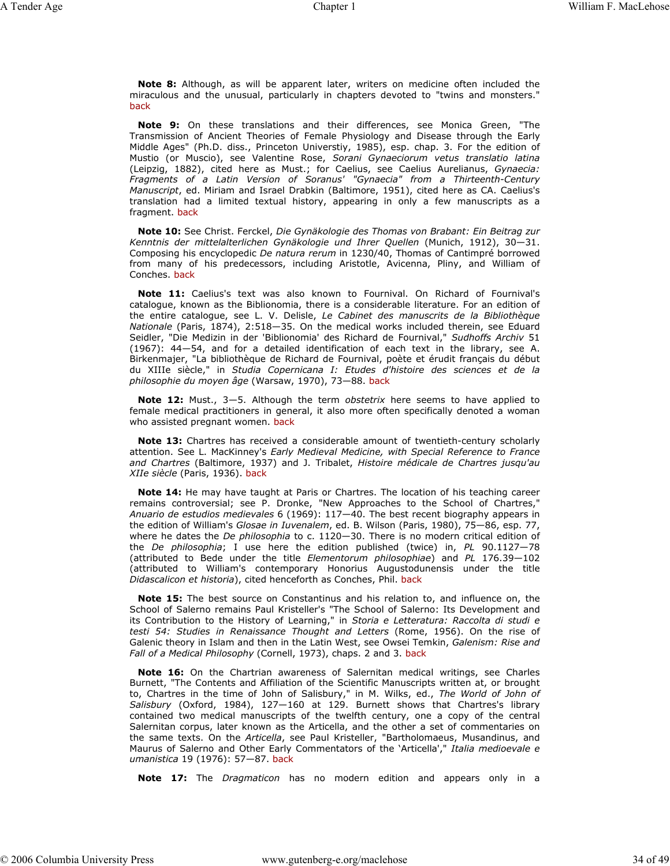**Note 8:** Although, as will be apparent later, writers on medicine often included the miraculous and the unusual, particularly in chapters devoted to "twins and monsters." back

**Note 9:** On these translations and their differences, see Monica Green, "The Transmission of Ancient Theories of Female Physiology and Disease through the Early Middle Ages" (Ph.D. diss., Princeton Universtiy, 1985), esp. chap. 3. For the edition of Mustio (or Muscio), see Valentine Rose, *Sorani Gynaeciorum vetus translatio latina* (Leipzig, 1882), cited here as Must.; for Caelius, see Caelius Aurelianus, *Gynaecia: Fragments of a Latin Version of Soranus' "Gynaecia" from a Thirteenth-Century Manuscript*, ed. Miriam and Israel Drabkin (Baltimore, 1951), cited here as CA. Caelius's translation had a limited textual history, appearing in only a few manuscripts as a fragment. back

**Note 10:** See Christ. Ferckel, *Die Gynäkologie des Thomas von Brabant: Ein Beitrag zur Kenntnis der mittelalterlichen Gynäkologie und Ihrer Quellen* (Munich, 1912), 30—31. Composing his encyclopedic *De natura rerum* in 1230/40, Thomas of Cantimpré borrowed from many of his predecessors, including Aristotle, Avicenna, Pliny, and William of Conches. back

**Note 11:** Caelius's text was also known to Fournival. On Richard of Fournival's catalogue, known as the Biblionomia, there is a considerable literature. For an edition of the entire catalogue, see L. V. Delisle, *Le Cabinet des manuscrits de la Bibliothèque Nationale* (Paris, 1874), 2:518—35. On the medical works included therein, see Eduard Seidler, "Die Medizin in der 'Biblionomia' des Richard de Fournival," *Sudhoffs Archiv* 51 (1967): 44—54, and for a detailed identification of each text in the library, see A. Birkenmajer, "La bibliothèque de Richard de Fournival, poète et érudit français du début du XIIIe siècle," in *Studia Copernicana I: Etudes d'histoire des sciences et de la philosophie du moyen âge* (Warsaw, 1970), 73—88. back

**Note 12:** Must., 3—5. Although the term *obstetrix* here seems to have applied to female medical practitioners in general, it also more often specifically denoted a woman who assisted pregnant women. back

**Note 13:** Chartres has received a considerable amount of twentieth-century scholarly attention. See L. MacKinney's *Early Medieval Medicine, with Special Reference to France and Chartres* (Baltimore, 1937) and J. Tribalet, *Histoire médicale de Chartres jusqu'au XIIe siècle* (Paris, 1936). back

**Note 14:** He may have taught at Paris or Chartres. The location of his teaching career remains controversial; see P. Dronke, "New Approaches to the School of Chartres," *Anuario de estudios medievales* 6 (1969): 117—40. The best recent biography appears in the edition of William's *Glosae in Iuvenalem*, ed. B. Wilson (Paris, 1980), 75—86, esp. 77, where he dates the *De philosophia* to c. 1120—30. There is no modern critical edition of the *De philosophia*; I use here the edition published (twice) in, *PL* 90.1127—78 (attributed to Bede under the title *Elementorum philosophiae*) and *PL* 176.39—102 (attributed to William's contemporary Honorius Augustodunensis under the title *Didascalicon et historia*), cited henceforth as Conches, Phil. back

**Note 15:** The best source on Constantinus and his relation to, and influence on, the School of Salerno remains Paul Kristeller's "The School of Salerno: Its Development and its Contribution to the History of Learning," in *Storia e Letteratura: Raccolta di studi e testi 54: Studies in Renaissance Thought and Letters* (Rome, 1956). On the rise of Galenic theory in Islam and then in the Latin West, see Owsei Temkin, *Galenism: Rise and Fall of a Medical Philosophy* (Cornell, 1973), chaps. 2 and 3. back

**Note 16:** On the Chartrian awareness of Salernitan medical writings, see Charles Burnett, "The Contents and Affiliation of the Scientific Manuscripts written at, or brought to, Chartres in the time of John of Salisbury," in M. Wilks, ed., *The World of John of Salisbury* (Oxford, 1984), 127—160 at 129. Burnett shows that Chartres's library contained two medical manuscripts of the twelfth century, one a copy of the central Salernitan corpus, later known as the Articella, and the other a set of commentaries on the same texts. On the *Articella*, see Paul Kristeller, "Bartholomaeus, Musandinus, and Maurus of Salerno and Other Early Commentators of the 'Articella'," *Italia medioevale e umanistica* 19 (1976): 57—87. back

**Note 17:** The *Dragmaticon* has no modern edition and appears only in a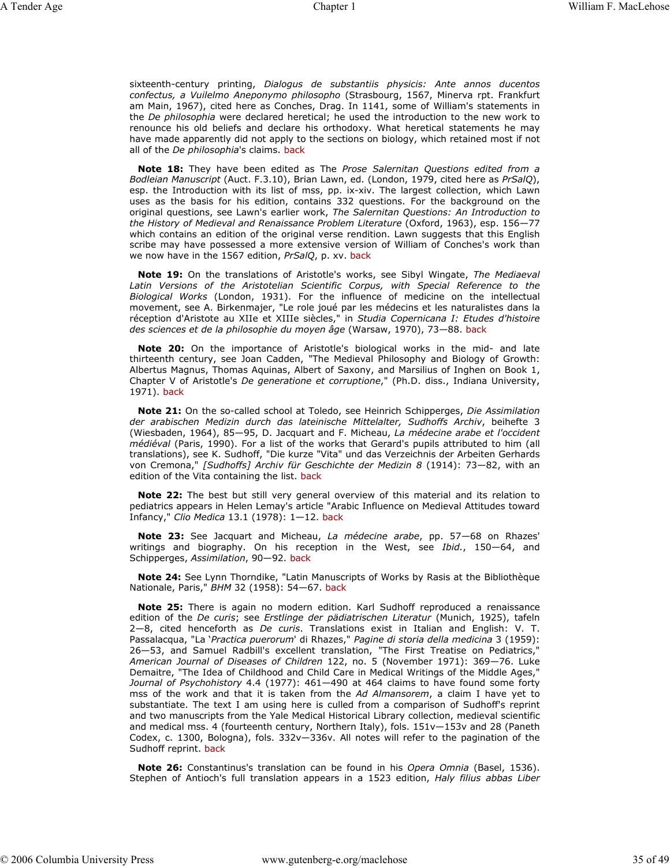sixteenth-century printing, *Dialogus de substantiis physicis: Ante annos ducentos confectus, a Vuilelmo Aneponymo philosopho* (Strasbourg, 1567, Minerva rpt. Frankfurt am Main, 1967), cited here as Conches, Drag. In 1141, some of William's statements in the *De philosophia* were declared heretical; he used the introduction to the new work to renounce his old beliefs and declare his orthodoxy. What heretical statements he may have made apparently did not apply to the sections on biology, which retained most if not all of the *De philosophia*'s claims. back

**Note 18:** They have been edited as The *Prose Salernitan Questions edited from a Bodleian Manuscript* (Auct. F.3.10), Brian Lawn, ed. (London, 1979, cited here as *PrSalQ*), esp. the Introduction with its list of mss, pp. ix-xiv. The largest collection, which Lawn uses as the basis for his edition, contains 332 questions. For the background on the original questions, see Lawn's earlier work, *The Salernitan Questions: An Introduction to the History of Medieval and Renaissance Problem Literature* (Oxford, 1963), esp. 156—77 which contains an edition of the original verse rendition. Lawn suggests that this English scribe may have possessed a more extensive version of William of Conches's work than we now have in the 1567 edition, *PrSalQ*, p. xv. back

**Note 19:** On the translations of Aristotle's works, see Sibyl Wingate, *The Mediaeval Latin Versions of the Aristotelian Scientific Corpus, with Special Reference to the Biological Works* (London, 1931). For the influence of medicine on the intellectual movement, see A. Birkenmajer, "Le role joué par les médecins et les naturalistes dans la réception d'Aristote au XIIe et XIIIe siècles," in *Studia Copernicana I: Etudes d'histoire des sciences et de la philosophie du moyen âge* (Warsaw, 1970), 73—88. back

**Note 20:** On the importance of Aristotle's biological works in the mid- and late thirteenth century, see Joan Cadden, "The Medieval Philosophy and Biology of Growth: Albertus Magnus, Thomas Aquinas, Albert of Saxony, and Marsilius of Inghen on Book 1, Chapter V of Aristotle's *De generatione et corruptione*," (Ph.D. diss., Indiana University, 1971). back

**Note 21:** On the so-called school at Toledo, see Heinrich Schipperges, *Die Assimilation der arabischen Medizin durch das lateinische Mittelalter, Sudhoffs Archiv*, beihefte 3 (Wiesbaden, 1964), 85—95, D. Jacquart and F. Micheau, *La médecine arabe et l'occident médiéval* (Paris, 1990). For a list of the works that Gerard's pupils attributed to him (all translations), see K. Sudhoff, "Die kurze "Vita" und das Verzeichnis der Arbeiten Gerhards von Cremona," *[Sudhoffs] Archiv für Geschichte der Medizin 8* (1914): 73—82, with an edition of the Vita containing the list. back

**Note 22:** The best but still very general overview of this material and its relation to pediatrics appears in Helen Lemay's article "Arabic Influence on Medieval Attitudes toward Infancy," *Clio Medica* 13.1 (1978): 1—12. back

**Note 23:** See Jacquart and Micheau, *La médecine arabe*, pp. 57—68 on Rhazes' writings and biography. On his reception in the West, see *Ibid.*, 150—64, and Schipperges, *Assimilation*, 90—92. back

**Note 24:** See Lynn Thorndike, "Latin Manuscripts of Works by Rasis at the Bibliothèque Nationale, Paris," *BHM* 32 (1958): 54—67. back

**Note 25:** There is again no modern edition. Karl Sudhoff reproduced a renaissance edition of the *De curis*; see *Erstlinge der pädiatrischen Literatur* (Munich, 1925), tafeln 2—8, cited henceforth as *De curis*. Translations exist in Italian and English: V. T. Passalacqua, "La '*Practica puerorum*' di Rhazes," *Pagine di storia della medicina* 3 (1959): 26—53, and Samuel Radbill's excellent translation, "The First Treatise on Pediatrics," *American Journal of Diseases of Children* 122, no. 5 (November 1971): 369—76. Luke Demaitre, "The Idea of Childhood and Child Care in Medical Writings of the Middle Ages," *Journal of Psychohistory* 4.4 (1977): 461—490 at 464 claims to have found some forty mss of the work and that it is taken from the *Ad Almansorem*, a claim I have yet to substantiate. The text I am using here is culled from a comparison of Sudhoff's reprint and two manuscripts from the Yale Medical Historical Library collection, medieval scientific and medical mss. 4 (fourteenth century, Northern Italy), fols. 151v—153v and 28 (Paneth Codex, c. 1300, Bologna), fols. 332v—336v. All notes will refer to the pagination of the Sudhoff reprint. back

**Note 26:** Constantinus's translation can be found in his *Opera Omnia* (Basel, 1536). Stephen of Antioch's full translation appears in a 1523 edition, *Haly filius abbas Liber*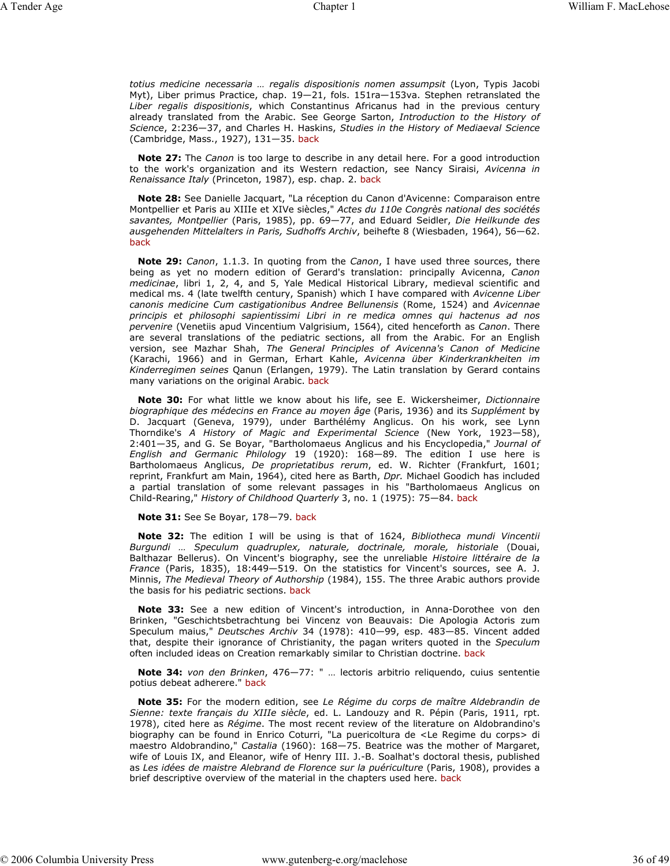*totius medicine necessaria … regalis dispositionis nomen assumpsit* (Lyon, Typis Jacobi Myt), Liber primus Practice, chap. 19—21, fols. 151ra—153va. Stephen retranslated the *Liber regalis dispositionis*, which Constantinus Africanus had in the previous century already translated from the Arabic. See George Sarton, *Introduction to the History of Science*, 2:236—37, and Charles H. Haskins, *Studies in the History of Mediaeval Science* (Cambridge, Mass., 1927), 131—35. back

**Note 27:** The *Canon* is too large to describe in any detail here. For a good introduction to the work's organization and its Western redaction, see Nancy Siraisi, *Avicenna in Renaissance Italy* (Princeton, 1987), esp. chap. 2. back

**Note 28:** See Danielle Jacquart, "La réception du Canon d'Avicenne: Comparaison entre Montpellier et Paris au XIIIe et XIVe siècles," *Actes du 110e Congrès national des sociétés savantes, Montpellier* (Paris, 1985), pp. 69—77, and Eduard Seidler, *Die Heilkunde des ausgehenden Mittelalters in Paris, Sudhoffs Archiv*, beihefte 8 (Wiesbaden, 1964), 56—62. back

**Note 29:** *Canon*, 1.1.3. In quoting from the *Canon*, I have used three sources, there being as yet no modern edition of Gerard's translation: principally Avicenna, *Canon medicinae*, libri 1, 2, 4, and 5, Yale Medical Historical Library, medieval scientific and medical ms. 4 (late twelfth century, Spanish) which I have compared with *Avicenne Liber canonis medicine Cum castigationibus Andree Bellunensis* (Rome, 1524) and *Avicennae principis et philosophi sapientissimi Libri in re medica omnes qui hactenus ad nos pervenire* (Venetiis apud Vincentium Valgrisium, 1564), cited henceforth as *Canon*. There are several translations of the pediatric sections, all from the Arabic. For an English version, see Mazhar Shah, *The General Principles of Avicenna's Canon of Medicine* (Karachi, 1966) and in German, Erhart Kahle, *Avicenna über Kinderkrankheiten im Kinderregimen seines* Qanun (Erlangen, 1979). The Latin translation by Gerard contains many variations on the original Arabic. back

**Note 30:** For what little we know about his life, see E. Wickersheimer, *Dictionnaire biographique des médecins en France au moyen âge* (Paris, 1936) and its *Supplément* by D. Jacquart (Geneva, 1979), under Barthélémy Anglicus. On his work, see Lynn Thorndike's *A History of Magic and Experimental Science* (New York, 1923—58), 2:401—35, and G. Se Boyar, "Bartholomaeus Anglicus and his Encyclopedia," *Journal of English and Germanic Philology* 19 (1920): 168—89. The edition I use here is Bartholomaeus Anglicus, *De proprietatibus rerum*, ed. W. Richter (Frankfurt, 1601; reprint, Frankfurt am Main, 1964), cited here as Barth, *Dpr.* Michael Goodich has included a partial translation of some relevant passages in his "Bartholomaeus Anglicus on Child-Rearing," *History of Childhood Quarterly* 3, no. 1 (1975): 75—84. back

**Note 31:** See Se Boyar, 178—79. back

**Note 32:** The edition I will be using is that of 1624, *Bibliotheca mundi Vincentii Burgundi … Speculum quadruplex, naturale, doctrinale, morale, historiale* (Douai, Balthazar Bellerus). On Vincent's biography, see the unreliable *Histoire littéraire de la France* (Paris, 1835), 18:449—519. On the statistics for Vincent's sources, see A. J. Minnis, *The Medieval Theory of Authorship* (1984), 155. The three Arabic authors provide the basis for his pediatric sections. back

**Note 33:** See a new edition of Vincent's introduction, in Anna-Dorothee von den Brinken, "Geschichtsbetrachtung bei Vincenz von Beauvais: Die Apologia Actoris zum Speculum maius," *Deutsches Archiv* 34 (1978): 410—99, esp. 483—85. Vincent added that, despite their ignorance of Christianity, the pagan writers quoted in the *Speculum* often included ideas on Creation remarkably similar to Christian doctrine. back

**Note 34:** *von den Brinken*, 476—77: " … lectoris arbitrio reliquendo, cuius sententie potius debeat adherere." back

**Note 35:** For the modern edition, see *Le Régime du corps de maître Aldebrandin de Sienne: texte français du XIIIe siècle*, ed. L. Landouzy and R. Pépin (Paris, 1911, rpt. 1978), cited here as *Régime*. The most recent review of the literature on Aldobrandino's biography can be found in Enrico Coturri, "La puericoltura de <Le Regime du corps> di maestro Aldobrandino," *Castalia* (1960): 168—75. Beatrice was the mother of Margaret, wife of Louis IX, and Eleanor, wife of Henry III. J.-B. Soalhat's doctoral thesis, published as *Les idées de maistre Alebrand de Florence sur la puériculture* (Paris, 1908), provides a brief descriptive overview of the material in the chapters used here. back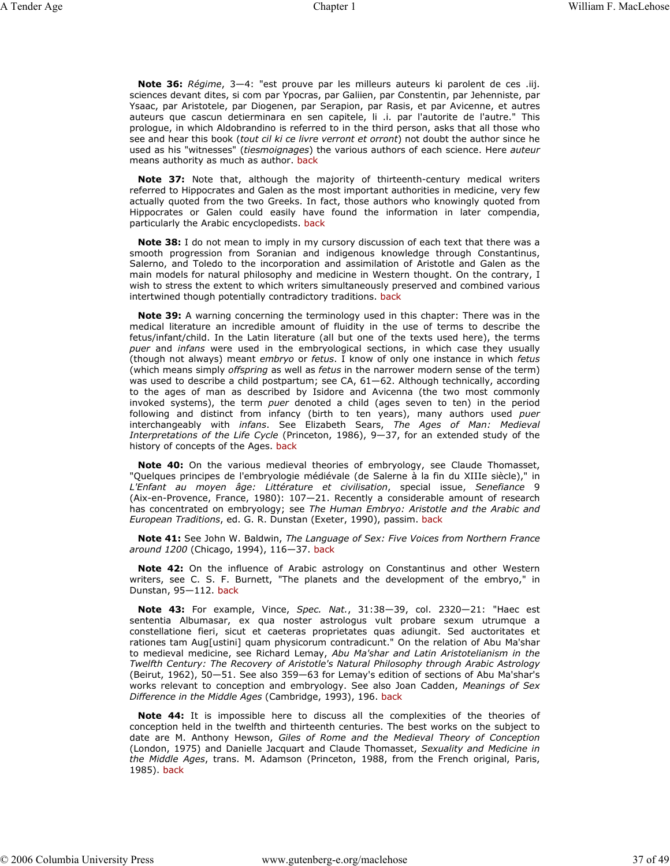**Note 36:** *Régime*, 3—4: "est prouve par les milleurs auteurs ki parolent de ces .iij. sciences devant dites, si com par Ypocras, par Galiien, par Constentin, par Jehenniste, par Ysaac, par Aristotele, par Diogenen, par Serapion, par Rasis, et par Avicenne, et autres auteurs que cascun detierminara en sen capitele, li .i. par l'autorite de l'autre." This prologue, in which Aldobrandino is referred to in the third person, asks that all those who see and hear this book (*tout cil ki ce livre verront et orront*) not doubt the author since he used as his "witnesses" (*tiesmoignages*) the various authors of each science. Here *auteur* means authority as much as author. back

**Note 37:** Note that, although the majority of thirteenth-century medical writers referred to Hippocrates and Galen as the most important authorities in medicine, very few actually quoted from the two Greeks. In fact, those authors who knowingly quoted from Hippocrates or Galen could easily have found the information in later compendia, particularly the Arabic encyclopedists. back

**Note 38:** I do not mean to imply in my cursory discussion of each text that there was a smooth progression from Soranian and indigenous knowledge through Constantinus, Salerno, and Toledo to the incorporation and assimilation of Aristotle and Galen as the main models for natural philosophy and medicine in Western thought. On the contrary, I wish to stress the extent to which writers simultaneously preserved and combined various intertwined though potentially contradictory traditions. back

**Note 39:** A warning concerning the terminology used in this chapter: There was in the medical literature an incredible amount of fluidity in the use of terms to describe the fetus/infant/child. In the Latin literature (all but one of the texts used here), the terms *puer* and *infans* were used in the embryological sections, in which case they usually (though not always) meant *embryo* or *fetus*. I know of only one instance in which *fetus* (which means simply *offspring* as well as *fetus* in the narrower modern sense of the term) was used to describe a child postpartum; see CA, 61-62. Although technically, according to the ages of man as described by Isidore and Avicenna (the two most commonly invoked systems), the term *puer* denoted a child (ages seven to ten) in the period following and distinct from infancy (birth to ten years), many authors used *puer* interchangeably with *infans*. See Elizabeth Sears, *The Ages of Man: Medieval Interpretations of the Life Cycle* (Princeton, 1986), 9—37, for an extended study of the history of concepts of the Ages. back

**Note 40:** On the various medieval theories of embryology, see Claude Thomasset, "Quelques principes de l'embryologie médiévale (de Salerne à la fin du XIIIe siècle)," in *L'Enfant au moyen âge: Littérature et civilisation*, special issue, *Senefiance* 9 (Aix-en-Provence, France, 1980): 107—21. Recently a considerable amount of research has concentrated on embryology; see *The Human Embryo: Aristotle and the Arabic and European Traditions*, ed. G. R. Dunstan (Exeter, 1990), passim. back

**Note 41:** See John W. Baldwin, *The Language of Sex: Five Voices from Northern France around 1200* (Chicago, 1994), 116—37. back

**Note 42:** On the influence of Arabic astrology on Constantinus and other Western writers, see C. S. F. Burnett, "The planets and the development of the embryo," in Dunstan, 95—112. back

**Note 43:** For example, Vince, *Spec. Nat.*, 31:38—39, col. 2320—21: "Haec est sententia Albumasar, ex qua noster astrologus vult probare sexum utrumque a constellatione fieri, sicut et caeteras proprietates quas adiungit. Sed auctoritates et rationes tam Aug[ustini] quam physicorum contradicunt." On the relation of Abu Ma'shar to medieval medicine, see Richard Lemay, *Abu Ma'shar and Latin Aristotelianism in the Twelfth Century: The Recovery of Aristotle's Natural Philosophy through Arabic Astrology* (Beirut, 1962), 50—51. See also 359—63 for Lemay's edition of sections of Abu Ma'shar's works relevant to conception and embryology. See also Joan Cadden, *Meanings of Sex Difference in the Middle Ages* (Cambridge, 1993), 196. back

**Note 44:** It is impossible here to discuss all the complexities of the theories of conception held in the twelfth and thirteenth centuries. The best works on the subject to date are M. Anthony Hewson, *Giles of Rome and the Medieval Theory of Conception* (London, 1975) and Danielle Jacquart and Claude Thomasset, *Sexuality and Medicine in the Middle Ages*, trans. M. Adamson (Princeton, 1988, from the French original, Paris, 1985). back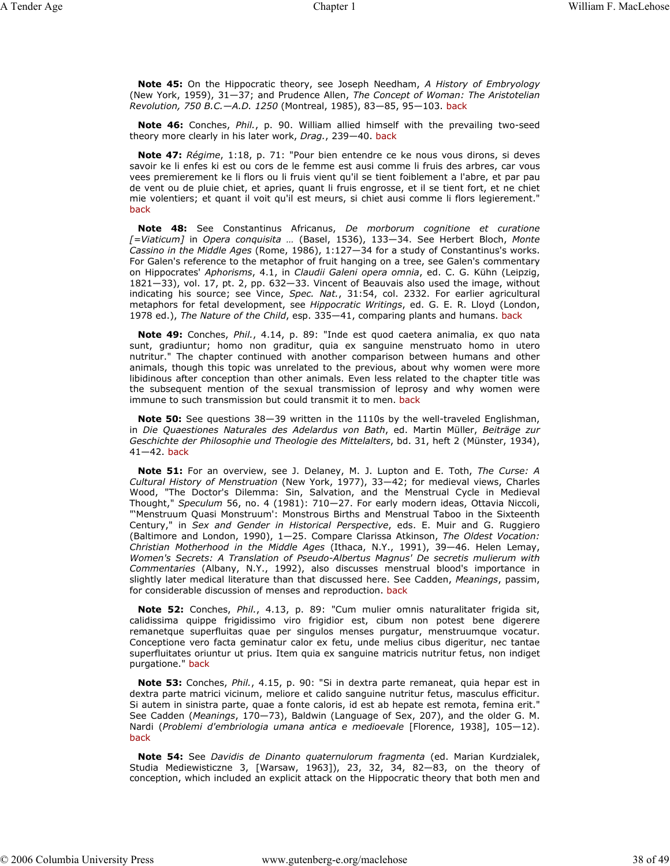**Note 45:** On the Hippocratic theory, see Joseph Needham, *A History of Embryology* (New York, 1959), 31—37; and Prudence Allen, *The Concept of Woman: The Aristotelian Revolution, 750 B.C.—A.D. 1250* (Montreal, 1985), 83—85, 95—103. back

**Note 46:** Conches, *Phil.*, p. 90. William allied himself with the prevailing two-seed theory more clearly in his later work, *Drag.*, 239—40. back

**Note 47:** *Régime*, 1:18, p. 71: "Pour bien entendre ce ke nous vous dirons, si deves savoir ke li enfes ki est ou cors de le femme est ausi comme li fruis des arbres, car vous vees premierement ke li flors ou li fruis vient qu'il se tient foiblement a l'abre, et par pau de vent ou de pluie chiet, et apries, quant li fruis engrosse, et il se tient fort, et ne chiet mie volentiers; et quant il voit qu'il est meurs, si chiet ausi comme li flors legierement." back

**Note 48:** See Constantinus Africanus, *De morborum cognitione et curatione [=Viaticum]* in *Opera conquisita …* (Basel, 1536), 133—34. See Herbert Bloch, *Monte Cassino in the Middle Ages* (Rome, 1986), 1:127—34 for a study of Constantinus's works. For Galen's reference to the metaphor of fruit hanging on a tree, see Galen's commentary on Hippocrates' *Aphorisms*, 4.1, in *Claudii Galeni opera omnia*, ed. C. G. Kühn (Leipzig, 1821—33), vol. 17, pt. 2, pp. 632—33. Vincent of Beauvais also used the image, without indicating his source; see Vince, *Spec. Nat.*, 31:54, col. 2332. For earlier agricultural metaphors for fetal development, see *Hippocratic Writings*, ed. G. E. R. Lloyd (London, 1978 ed.), *The Nature of the Child*, esp. 335—41, comparing plants and humans. back

**Note 49:** Conches, *Phil.*, 4.14, p. 89: "Inde est quod caetera animalia, ex quo nata sunt, gradiuntur; homo non graditur, quia ex sanguine menstruato homo in utero nutritur." The chapter continued with another comparison between humans and other animals, though this topic was unrelated to the previous, about why women were more libidinous after conception than other animals. Even less related to the chapter title was the subsequent mention of the sexual transmission of leprosy and why women were immune to such transmission but could transmit it to men. back

**Note 50:** See questions 38—39 written in the 1110s by the well-traveled Englishman, in *Die Quaestiones Naturales des Adelardus von Bath*, ed. Martin Müller, *Beiträge zur Geschichte der Philosophie und Theologie des Mittelalters*, bd. 31, heft 2 (Münster, 1934), 41—42. back

**Note 51:** For an overview, see J. Delaney, M. J. Lupton and E. Toth, *The Curse: A Cultural History of Menstruation* (New York, 1977), 33—42; for medieval views, Charles Wood, "The Doctor's Dilemma: Sin, Salvation, and the Menstrual Cycle in Medieval Thought," *Speculum* 56, no. 4 (1981): 710—27. For early modern ideas, Ottavia Niccoli, "'Menstruum Quasi Monstruum': Monstrous Births and Menstrual Taboo in the Sixteenth Century," in *Sex and Gender in Historical Perspective*, eds. E. Muir and G. Ruggiero (Baltimore and London, 1990), 1—25. Compare Clarissa Atkinson, *The Oldest Vocation: Christian Motherhood in the Middle Ages* (Ithaca, N.Y., 1991), 39—46. Helen Lemay, *Women's Secrets: A Translation of Pseudo-Albertus Magnus' De secretis mulierum with Commentaries* (Albany, N.Y., 1992), also discusses menstrual blood's importance in slightly later medical literature than that discussed here. See Cadden, *Meanings*, passim, for considerable discussion of menses and reproduction. back

**Note 52:** Conches, *Phil.*, 4.13, p. 89: "Cum mulier omnis naturalitater frigida sit, calidissima quippe frigidissimo viro frigidior est, cibum non potest bene digerere remanetque superfluitas quae per singulos menses purgatur, menstruumque vocatur. Conceptione vero facta geminatur calor ex fetu, unde melius cibus digeritur, nec tantae superfluitates oriuntur ut prius. Item quia ex sanguine matricis nutritur fetus, non indiget purgatione." back

**Note 53:** Conches, *Phil.*, 4.15, p. 90: "Si in dextra parte remaneat, quia hepar est in dextra parte matrici vicinum, meliore et calido sanguine nutritur fetus, masculus efficitur. Si autem in sinistra parte, quae a fonte caloris, id est ab hepate est remota, femina erit." See Cadden (*Meanings*, 170—73), Baldwin (Language of Sex, 207), and the older G. M. Nardi (*Problemi d'embriologia umana antica e medioevale* [Florence, 1938], 105—12). back

**Note 54:** See *Davidis de Dinanto quaternulorum fragmenta* (ed. Marian Kurdzialek, Studia Mediewisticzne 3, [Warsaw, 1963]), 23, 32, 34, 82—83, on the theory of conception, which included an explicit attack on the Hippocratic theory that both men and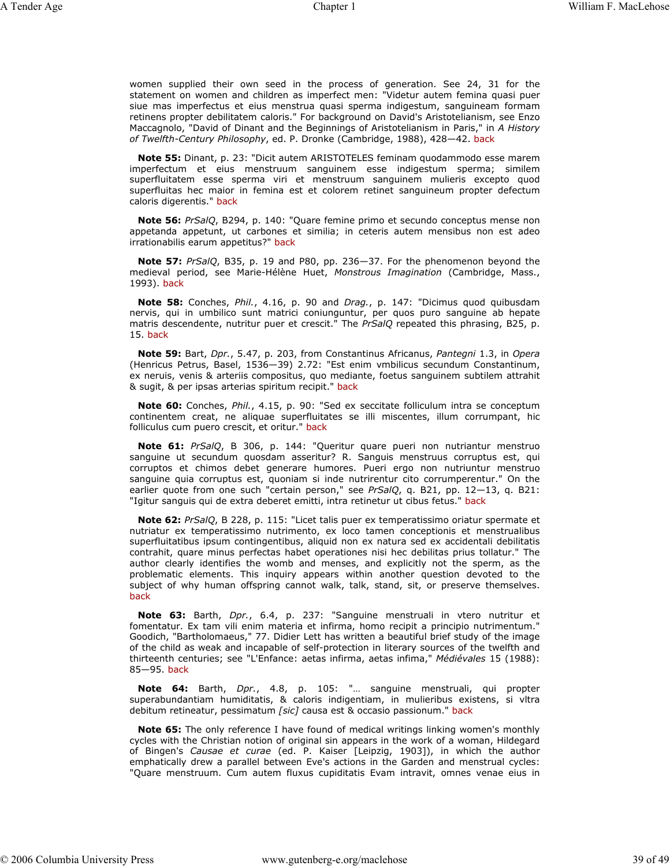women supplied their own seed in the process of generation. See 24, 31 for the statement on women and children as imperfect men: "Videtur autem femina quasi puer siue mas imperfectus et eius menstrua quasi sperma indigestum, sanguineam formam retinens propter debilitatem caloris." For background on David's Aristotelianism, see Enzo Maccagnolo, "David of Dinant and the Beginnings of Aristotelianism in Paris," in *A History of Twelfth-Century Philosophy*, ed. P. Dronke (Cambridge, 1988), 428—42. back

**Note 55:** Dinant, p. 23: "Dicit autem ARISTOTELES feminam quodammodo esse marem imperfectum et eius menstruum sanguinem esse indigestum sperma; similem superfluitatem esse sperma viri et menstruum sanguinem mulieris excepto quod superfluitas hec maior in femina est et colorem retinet sanguineum propter defectum caloris digerentis." back

**Note 56:** *PrSalQ*, B294, p. 140: "Quare femine primo et secundo conceptus mense non appetanda appetunt, ut carbones et similia; in ceteris autem mensibus non est adeo irrationabilis earum appetitus?" back

**Note 57:** *PrSalQ*, B35, p. 19 and P80, pp. 236—37. For the phenomenon beyond the medieval period, see Marie-Hélène Huet, *Monstrous Imagination* (Cambridge, Mass., 1993). back

**Note 58:** Conches, *Phil.*, 4.16, p. 90 and *Drag.*, p. 147: "Dicimus quod quibusdam nervis, qui in umbilico sunt matrici coniunguntur, per quos puro sanguine ab hepate matris descendente, nutritur puer et crescit." The *PrSalQ* repeated this phrasing, B25, p. 15. back

**Note 59:** Bart, *Dpr.*, 5.47, p. 203, from Constantinus Africanus, *Pantegni* 1.3, in *Opera* (Henricus Petrus, Basel, 1536—39) 2.72: "Est enim vmbilicus secundum Constantinum, ex neruis, venis & arteriis compositus, quo mediante, foetus sanguinem subtilem attrahit & sugit, & per ipsas arterias spiritum recipit." back

**Note 60:** Conches, *Phil.*, 4.15, p. 90: "Sed ex seccitate folliculum intra se conceptum continentem creat, ne aliquae superfluitates se illi miscentes, illum corrumpant, hic folliculus cum puero crescit, et oritur." back

**Note 61:** *PrSalQ*, B 306, p. 144: "Queritur quare pueri non nutriantur menstruo sanguine ut secundum quosdam asseritur? R. Sanguis menstruus corruptus est, qui corruptos et chimos debet generare humores. Pueri ergo non nutriuntur menstruo sanguine quia corruptus est, quoniam si inde nutrirentur cito corrumperentur." On the earlier quote from one such "certain person," see *PrSalQ*, q. B21, pp. 12—13, q. B21: "Igitur sanguis qui de extra deberet emitti, intra retinetur ut cibus fetus." back

**Note 62:** *PrSalQ*, B 228, p. 115: "Licet talis puer ex temperatissimo oriatur spermate et nutriatur ex temperatissimo nutrimento, ex loco tamen conceptionis et menstrualibus superfluitatibus ipsum contingentibus, aliquid non ex natura sed ex accidentali debilitatis contrahit, quare minus perfectas habet operationes nisi hec debilitas prius tollatur." The author clearly identifies the womb and menses, and explicitly not the sperm, as the problematic elements. This inquiry appears within another question devoted to the subject of why human offspring cannot walk, talk, stand, sit, or preserve themselves. back

**Note 63:** Barth, *Dpr.*, 6.4, p. 237: "Sanguine menstruali in vtero nutritur et fomentatur. Ex tam vili enim materia et infirma, homo recipit a principio nutrimentum." Goodich, "Bartholomaeus," 77. Didier Lett has written a beautiful brief study of the image of the child as weak and incapable of self-protection in literary sources of the twelfth and thirteenth centuries; see "L'Enfance: aetas infirma, aetas infima," *Médiévales* 15 (1988): 85—95. back

**Note 64:** Barth, *Dpr.*, 4.8, p. 105: "… sanguine menstruali, qui propter superabundantiam humiditatis, & caloris indigentiam, in mulieribus existens, si vltra debitum retineatur, pessimatum *[sic]* causa est & occasio passionum." back

**Note 65:** The only reference I have found of medical writings linking women's monthly cycles with the Christian notion of original sin appears in the work of a woman, Hildegard of Bingen's *Causae et curae* (ed. P. Kaiser [Leipzig, 1903]), in which the author emphatically drew a parallel between Eve's actions in the Garden and menstrual cycles: "Quare menstruum. Cum autem fluxus cupiditatis Evam intravit, omnes venae eius in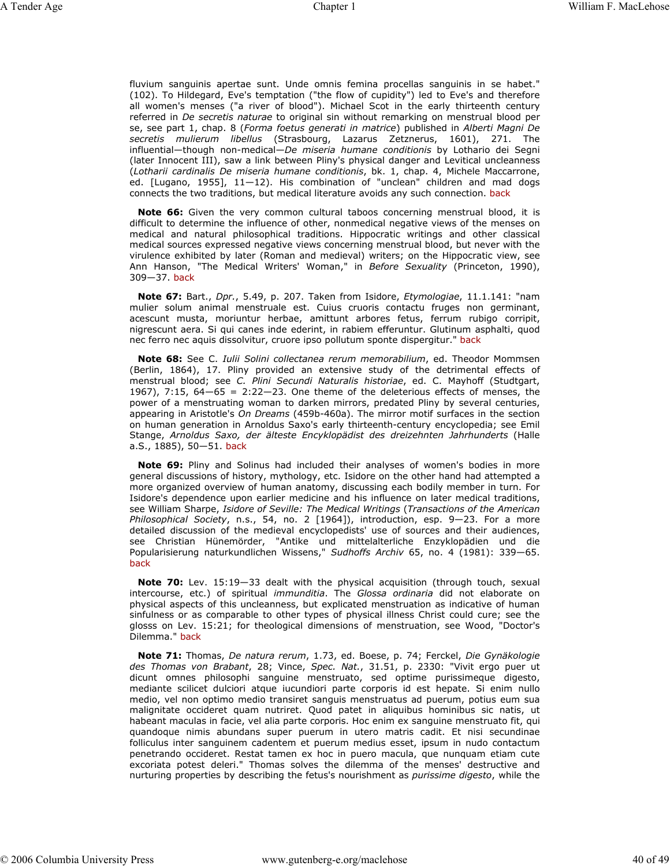fluvium sanguinis apertae sunt. Unde omnis femina procellas sanguinis in se habet." (102). To Hildegard, Eve's temptation ("the flow of cupidity") led to Eve's and therefore all women's menses ("a river of blood"). Michael Scot in the early thirteenth century referred in *De secretis naturae* to original sin without remarking on menstrual blood per se, see part 1, chap. 8 (*Forma foetus generati in matrice*) published in *Alberti Magni De secretis mulierum libellus* (Strasbourg, Lazarus Zetznerus, 1601), 271. The influential—though non-medical—*De miseria humane conditionis* by Lothario dei Segni (later Innocent III), saw a link between Pliny's physical danger and Levitical uncleanness (*Lotharii cardinalis De miseria humane conditionis*, bk. 1, chap. 4, Michele Maccarrone, ed. [Lugano, 1955], 11—12). His combination of "unclean" children and mad dogs connects the two traditions, but medical literature avoids any such connection. back

**Note 66:** Given the very common cultural taboos concerning menstrual blood, it is difficult to determine the influence of other, nonmedical negative views of the menses on medical and natural philosophical traditions. Hippocratic writings and other classical medical sources expressed negative views concerning menstrual blood, but never with the virulence exhibited by later (Roman and medieval) writers; on the Hippocratic view, see Ann Hanson, "The Medical Writers' Woman," in *Before Sexuality* (Princeton, 1990), 309—37. back

**Note 67:** Bart., *Dpr.*, 5.49, p. 207. Taken from Isidore, *Etymologiae*, 11.1.141: "nam mulier solum animal menstruale est. Cuius cruoris contactu fruges non germinant, acescunt musta, moriuntur herbae, amittunt arbores fetus, ferrum rubigo corripit, nigrescunt aera. Si qui canes inde ederint, in rabiem efferuntur. Glutinum asphalti, quod nec ferro nec aquis dissolvitur, cruore ipso pollutum sponte dispergitur." back

**Note 68:** See C. *Iulii Solini collectanea rerum memorabilium*, ed. Theodor Mommsen (Berlin, 1864), 17. Pliny provided an extensive study of the detrimental effects of menstrual blood; see *C. Plini Secundi Naturalis historiae*, ed. C. Mayhoff (Studtgart, 1967), 7:15,  $64-65 = 2:22-23$ . One theme of the deleterious effects of menses, the power of a menstruating woman to darken mirrors, predated Pliny by several centuries, appearing in Aristotle's *On Dreams* (459b-460a). The mirror motif surfaces in the section on human generation in Arnoldus Saxo's early thirteenth-century encyclopedia; see Emil Stange, *Arnoldus Saxo, der älteste Encyklopädist des dreizehnten Jahrhunderts* (Halle a.S., 1885), 50—51. back

**Note 69:** Pliny and Solinus had included their analyses of women's bodies in more general discussions of history, mythology, etc. Isidore on the other hand had attempted a more organized overview of human anatomy, discussing each bodily member in turn. For Isidore's dependence upon earlier medicine and his influence on later medical traditions, see William Sharpe, *Isidore of Seville: The Medical Writings* (*Transactions of the American Philosophical Society*, n.s., 54, no. 2 [1964]), introduction, esp. 9—23. For a more detailed discussion of the medieval encyclopedists' use of sources and their audiences, see Christian Hünemörder, "Antike und mittelalterliche Enzyklopädien und die Popularisierung naturkundlichen Wissens," *Sudhoffs Archiv* 65, no. 4 (1981): 339—65. back

**Note 70:** Lev. 15:19—33 dealt with the physical acquisition (through touch, sexual intercourse, etc.) of spiritual *immunditia*. The *Glossa ordinaria* did not elaborate on physical aspects of this uncleanness, but explicated menstruation as indicative of human sinfulness or as comparable to other types of physical illness Christ could cure; see the glosss on Lev. 15:21; for theological dimensions of menstruation, see Wood, "Doctor's Dilemma." back

**Note 71:** Thomas, *De natura rerum*, 1.73, ed. Boese, p. 74; Ferckel, *Die Gynäkologie des Thomas von Brabant*, 28; Vince, *Spec. Nat.*, 31.51, p. 2330: "Vivit ergo puer ut dicunt omnes philosophi sanguine menstruato, sed optime purissimeque digesto, mediante scilicet dulciori atque iucundiori parte corporis id est hepate. Si enim nullo medio, vel non optimo medio transiret sanguis menstruatus ad puerum, potius eum sua malignitate occideret quam nutriret. Quod patet in aliquibus hominibus sic natis, ut habeant maculas in facie, vel alia parte corporis. Hoc enim ex sanguine menstruato fit, qui quandoque nimis abundans super puerum in utero matris cadit. Et nisi secundinae folliculus inter sanguinem cadentem et puerum medius esset, ipsum in nudo contactum penetrando occideret. Restat tamen ex hoc in puero macula, que nunquam etiam cute excoriata potest deleri." Thomas solves the dilemma of the menses' destructive and nurturing properties by describing the fetus's nourishment as *purissime digesto*, while the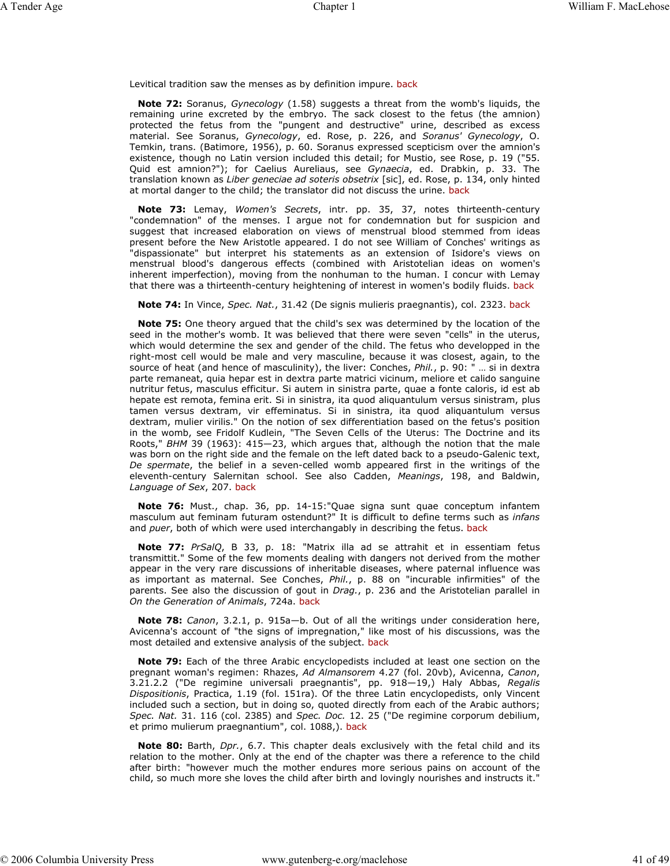Levitical tradition saw the menses as by definition impure. back

**Note 72:** Soranus, *Gynecology* (1.58) suggests a threat from the womb's liquids, the remaining urine excreted by the embryo. The sack closest to the fetus (the amnion) protected the fetus from the "pungent and destructive" urine, described as excess material. See Soranus, *Gynecology*, ed. Rose, p. 226, and *Soranus' Gynecology*, O. Temkin, trans. (Batimore, 1956), p. 60. Soranus expressed scepticism over the amnion's existence, though no Latin version included this detail; for Mustio, see Rose, p. 19 ("55. Quid est amnion?"); for Caelius Aureliaus, see *Gynaecia*, ed. Drabkin, p. 33. The translation known as *Liber geneciae ad soteris obsetrix* [sic], ed. Rose, p. 134, only hinted at mortal danger to the child; the translator did not discuss the urine. back

**Note 73:** Lemay, *Women's Secrets*, intr. pp. 35, 37, notes thirteenth-century "condemnation" of the menses. I argue not for condemnation but for suspicion and suggest that increased elaboration on views of menstrual blood stemmed from ideas present before the New Aristotle appeared. I do not see William of Conches' writings as "dispassionate" but interpret his statements as an extension of Isidore's views on menstrual blood's dangerous effects (combined with Aristotelian ideas on women's inherent imperfection), moving from the nonhuman to the human. I concur with Lemay that there was a thirteenth-century heightening of interest in women's bodily fluids. back

**Note 74:** In Vince, *Spec. Nat.*, 31.42 (De signis mulieris praegnantis), col. 2323. back

**Note 75:** One theory argued that the child's sex was determined by the location of the seed in the mother's womb. It was believed that there were seven "cells" in the uterus, which would determine the sex and gender of the child. The fetus who developped in the right-most cell would be male and very masculine, because it was closest, again, to the source of heat (and hence of masculinity), the liver: Conches, *Phil.*, p. 90: " ... si in dextra parte remaneat, quia hepar est in dextra parte matrici vicinum, meliore et calido sanguine nutritur fetus, masculus efficitur. Si autem in sinistra parte, quae a fonte caloris, id est ab hepate est remota, femina erit. Si in sinistra, ita quod aliquantulum versus sinistram, plus tamen versus dextram, vir effeminatus. Si in sinistra, ita quod aliquantulum versus dextram, mulier virilis." On the notion of sex differentiation based on the fetus's position in the womb, see Fridolf Kudlein, "The Seven Cells of the Uterus: The Doctrine and its Roots," *BHM* 39 (1963): 415—23, which argues that, although the notion that the male was born on the right side and the female on the left dated back to a pseudo-Galenic text, *De spermate*, the belief in a seven-celled womb appeared first in the writings of the eleventh-century Salernitan school. See also Cadden, *Meanings*, 198, and Baldwin, *Language of Sex*, 207. back

**Note 76:** Must., chap. 36, pp. 14-15:"Quae signa sunt quae conceptum infantem masculum aut feminam futuram ostendunt?" It is difficult to define terms such as *infans* and *puer*, both of which were used interchangably in describing the fetus. back

**Note 77:** *PrSalQ*, B 33, p. 18: "Matrix illa ad se attrahit et in essentiam fetus transmittit." Some of the few moments dealing with dangers not derived from the mother appear in the very rare discussions of inheritable diseases, where paternal influence was as important as maternal. See Conches, *Phil.*, p. 88 on "incurable infirmities" of the parents. See also the discussion of gout in *Drag.*, p. 236 and the Aristotelian parallel in *On the Generation of Animals*, 724a. back

**Note 78:** *Canon*, 3.2.1, p. 915a—b. Out of all the writings under consideration here, Avicenna's account of "the signs of impregnation," like most of his discussions, was the most detailed and extensive analysis of the subject. back

**Note 79:** Each of the three Arabic encyclopedists included at least one section on the pregnant woman's regimen: Rhazes, *Ad Almansorem* 4.27 (fol. 20vb), Avicenna, *Canon*, 3.21.2.2 ("De regimine universali praegnantis", pp. 918—19,) Haly Abbas, *Regalis Dispositionis*, Practica, 1.19 (fol. 151ra). Of the three Latin encyclopedists, only Vincent included such a section, but in doing so, quoted directly from each of the Arabic authors; *Spec. Nat.* 31. 116 (col. 2385) and *Spec. Doc.* 12. 25 ("De regimine corporum debilium, et primo mulierum praegnantium", col. 1088,). back

**Note 80:** Barth, *Dpr.*, 6.7. This chapter deals exclusively with the fetal child and its relation to the mother. Only at the end of the chapter was there a reference to the child after birth: "however much the mother endures more serious pains on account of the child, so much more she loves the child after birth and lovingly nourishes and instructs it."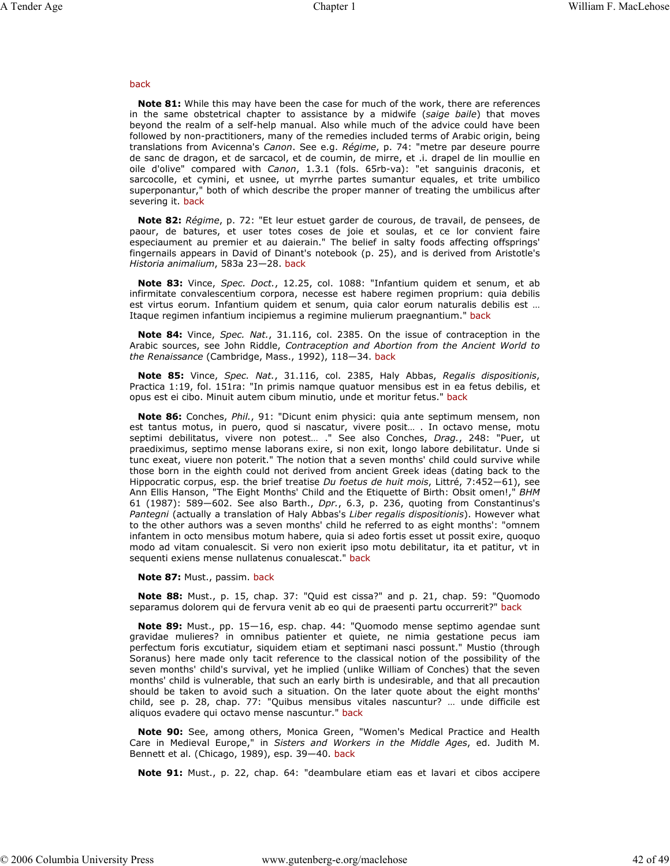#### back

**Note 81:** While this may have been the case for much of the work, there are references in the same obstetrical chapter to assistance by a midwife (*saige baile*) that moves beyond the realm of a self-help manual. Also while much of the advice could have been followed by non-practitioners, many of the remedies included terms of Arabic origin, being translations from Avicenna's *Canon*. See e.g. *Régime*, p. 74: "metre par deseure pourre de sanc de dragon, et de sarcacol, et de coumin, de mirre, et .i. drapel de lin moullie en oile d'olive" compared with *Canon*, 1.3.1 (fols. 65rb-va): "et sanguinis draconis, et sarcocolle, et cymini, et usnee, ut myrrhe partes sumantur equales, et trite umbilico superponantur," both of which describe the proper manner of treating the umbilicus after severing it. back

**Note 82:** *Régime*, p. 72: "Et leur estuet garder de courous, de travail, de pensees, de paour, de batures, et user totes coses de joie et soulas, et ce lor convient faire especiaument au premier et au daierain." The belief in salty foods affecting offsprings' fingernails appears in David of Dinant's notebook (p. 25), and is derived from Aristotle's *Historia animalium*, 583a 23—28. back

**Note 83:** Vince, *Spec. Doct.*, 12.25, col. 1088: "Infantium quidem et senum, et ab infirmitate convalescentium corpora, necesse est habere regimen proprium: quia debilis est virtus eorum. Infantium quidem et senum, quia calor eorum naturalis debilis est … Itaque regimen infantium incipiemus a regimine mulierum praegnantium." back

**Note 84:** Vince, *Spec. Nat.*, 31.116, col. 2385. On the issue of contraception in the Arabic sources, see John Riddle, *Contraception and Abortion from the Ancient World to the Renaissance* (Cambridge, Mass., 1992), 118—34. back

**Note 85:** Vince, *Spec. Nat.*, 31.116, col. 2385, Haly Abbas, *Regalis dispositionis*, Practica 1:19, fol. 151ra: "In primis namque quatuor mensibus est in ea fetus debilis, et opus est ei cibo. Minuit autem cibum minutio, unde et moritur fetus." back

**Note 86:** Conches, *Phil.*, 91: "Dicunt enim physici: quia ante septimum mensem, non est tantus motus, in puero, quod si nascatur, vivere posit… . In octavo mense, motu septimi debilitatus, vivere non potest… ." See also Conches, *Drag.*, 248: "Puer, ut praediximus, septimo mense laborans exire, si non exit, longo labore debilitatur. Unde si tunc exeat, viuere non poterit." The notion that a seven months' child could survive while those born in the eighth could not derived from ancient Greek ideas (dating back to the Hippocratic corpus, esp. the brief treatise *Du foetus de huit mois*, Littré, 7:452—61), see Ann Ellis Hanson, "The Eight Months' Child and the Etiquette of Birth: Obsit omen!," *BHM* 61 (1987): 589—602. See also Barth., *Dpr.*, 6.3, p. 236, quoting from Constantinus's *Pantegni* (actually a translation of Haly Abbas's *Liber regalis dispositionis*). However what to the other authors was a seven months' child he referred to as eight months': "omnem infantem in octo mensibus motum habere, quia si adeo fortis esset ut possit exire, quoquo modo ad vitam conualescit. Si vero non exierit ipso motu debilitatur, ita et patitur, vt in sequenti exiens mense nullatenus conualescat." back

**Note 87:** Must., passim. back

**Note 88:** Must., p. 15, chap. 37: "Quid est cissa?" and p. 21, chap. 59: "Quomodo separamus dolorem qui de fervura venit ab eo qui de praesenti partu occurrerit?" back

**Note 89:** Must., pp. 15—16, esp. chap. 44: "Quomodo mense septimo agendae sunt gravidae mulieres? in omnibus patienter et quiete, ne nimia gestatione pecus iam perfectum foris excutiatur, siquidem etiam et septimani nasci possunt." Mustio (through Soranus) here made only tacit reference to the classical notion of the possibility of the seven months' child's survival, yet he implied (unlike William of Conches) that the seven months' child is vulnerable, that such an early birth is undesirable, and that all precaution should be taken to avoid such a situation. On the later quote about the eight months' child, see p. 28, chap. 77: "Quibus mensibus vitales nascuntur? … unde difficile est aliquos evadere qui octavo mense nascuntur." back

**Note 90:** See, among others, Monica Green, "Women's Medical Practice and Health Care in Medieval Europe," in *Sisters and Workers in the Middle Ages*, ed. Judith M. Bennett et al. (Chicago, 1989), esp. 39—40. back

**Note 91:** Must., p. 22, chap. 64: "deambulare etiam eas et lavari et cibos accipere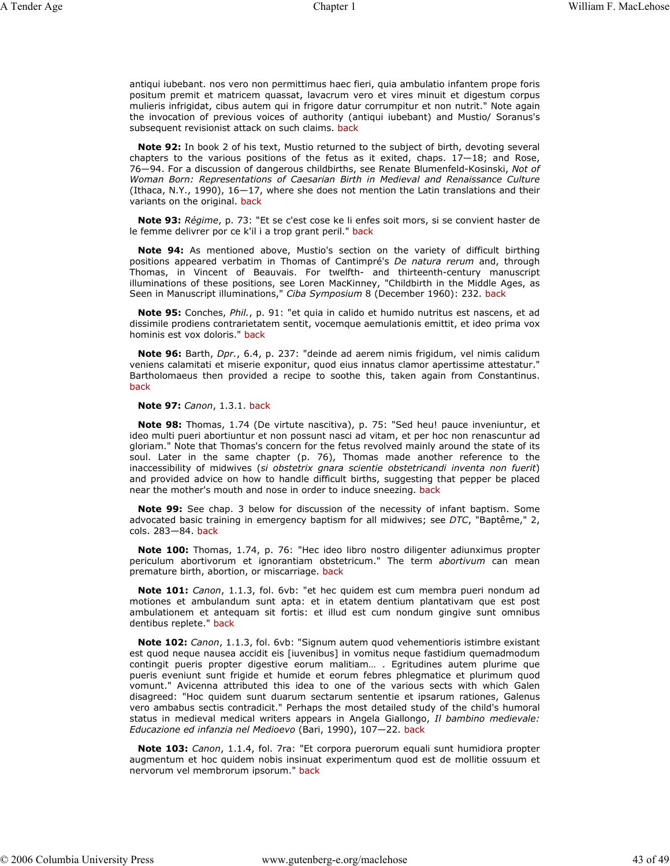antiqui iubebant. nos vero non permittimus haec fieri, quia ambulatio infantem prope foris positum premit et matricem quassat, lavacrum vero et vires minuit et digestum corpus mulieris infrigidat, cibus autem qui in frigore datur corrumpitur et non nutrit." Note again the invocation of previous voices of authority (antiqui iubebant) and Mustio/ Soranus's subsequent revisionist attack on such claims. back

**Note 92:** In book 2 of his text, Mustio returned to the subject of birth, devoting several chapters to the various positions of the fetus as it exited, chaps.  $17-18$ ; and Rose, 76—94. For a discussion of dangerous childbirths, see Renate Blumenfeld-Kosinski, *Not of Woman Born: Representations of Caesarian Birth in Medieval and Renaissance Culture* (Ithaca, N.Y., 1990),  $16-17$ , where she does not mention the Latin translations and their variants on the original. back

**Note 93:** *Régime*, p. 73: "Et se c'est cose ke li enfes soit mors, si se convient haster de le femme delivrer por ce k'il i a trop grant peril." back

**Note 94:** As mentioned above, Mustio's section on the variety of difficult birthing positions appeared verbatim in Thomas of Cantimpré's *De natura rerum* and, through Thomas, in Vincent of Beauvais. For twelfth- and thirteenth-century manuscript illuminations of these positions, see Loren MacKinney, "Childbirth in the Middle Ages, as Seen in Manuscript illuminations," *Ciba Symposium* 8 (December 1960): 232. back

**Note 95:** Conches, *Phil.*, p. 91: "et quia in calido et humido nutritus est nascens, et ad dissimile prodiens contrarietatem sentit, vocemque aemulationis emittit, et ideo prima vox hominis est vox doloris." back

**Note 96:** Barth, *Dpr.*, 6.4, p. 237: "deinde ad aerem nimis frigidum, vel nimis calidum veniens calamitati et miserie exponitur, quod eius innatus clamor apertissime attestatur." Bartholomaeus then provided a recipe to soothe this, taken again from Constantinus. back

**Note 97:** *Canon*, 1.3.1. back

**Note 98:** Thomas, 1.74 (De virtute nascitiva), p. 75: "Sed heu! pauce inveniuntur, et ideo multi pueri abortiuntur et non possunt nasci ad vitam, et per hoc non renascuntur ad gloriam." Note that Thomas's concern for the fetus revolved mainly around the state of its soul. Later in the same chapter (p. 76), Thomas made another reference to the inaccessibility of midwives (*si obstetrix gnara scientie obstetricandi inventa non fuerit*) and provided advice on how to handle difficult births, suggesting that pepper be placed near the mother's mouth and nose in order to induce sneezing. back

**Note 99:** See chap. 3 below for discussion of the necessity of infant baptism. Some advocated basic training in emergency baptism for all midwives; see *DTC*, "Baptême," 2, cols. 283—84. back

**Note 100:** Thomas, 1.74, p. 76: "Hec ideo libro nostro diligenter adiunximus propter periculum abortivorum et ignorantiam obstetricum." The term *abortivum* can mean premature birth, abortion, or miscarriage. back

**Note 101:** *Canon*, 1.1.3, fol. 6vb: "et hec quidem est cum membra pueri nondum ad motiones et ambulandum sunt apta: et in etatem dentium plantativam que est post ambulationem et antequam sit fortis: et illud est cum nondum gingive sunt omnibus dentibus replete." back

**Note 102:** *Canon*, 1.1.3, fol. 6vb: "Signum autem quod vehementioris istimbre existant est quod neque nausea accidit eis [iuvenibus] in vomitus neque fastidium quemadmodum contingit pueris propter digestive eorum malitiam… . Egritudines autem plurime que pueris eveniunt sunt frigide et humide et eorum febres phlegmatice et plurimum quod vomunt." Avicenna attributed this idea to one of the various sects with which Galen disagreed: "Hoc quidem sunt duarum sectarum sententie et ipsarum rationes, Galenus vero ambabus sectis contradicit." Perhaps the most detailed study of the child's humoral status in medieval medical writers appears in Angela Giallongo, *Il bambino medievale: Educazione ed infanzia nel Medioevo* (Bari, 1990), 107—22. back

**Note 103:** *Canon*, 1.1.4, fol. 7ra: "Et corpora puerorum equali sunt humidiora propter augmentum et hoc quidem nobis insinuat experimentum quod est de mollitie ossuum et nervorum vel membrorum ipsorum." back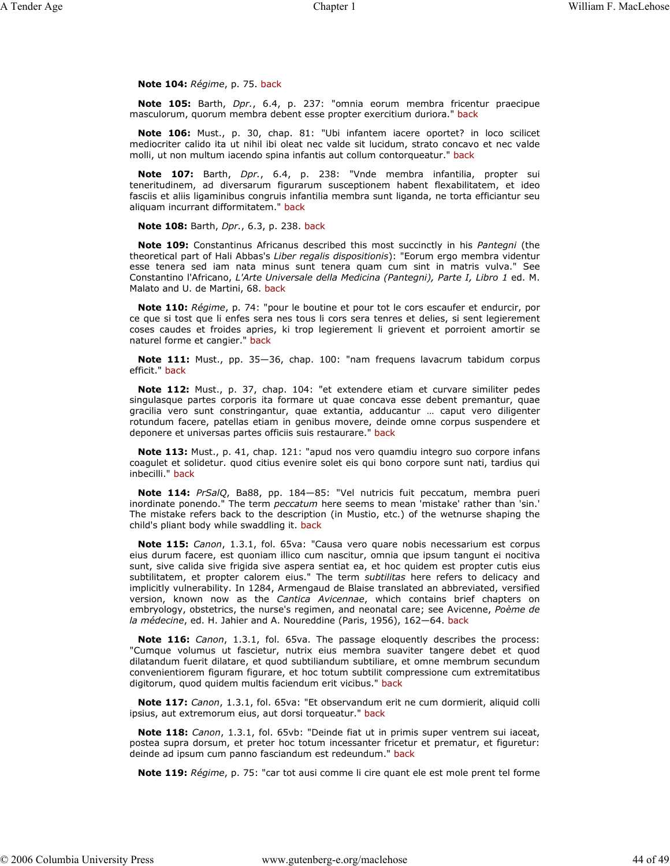### **Note 104:** *Régime*, p. 75. back

**Note 105:** Barth, *Dpr.*, 6.4, p. 237: "omnia eorum membra fricentur praecipue masculorum, quorum membra debent esse propter exercitium duriora." back

**Note 106:** Must., p. 30, chap. 81: "Ubi infantem iacere oportet? in loco scilicet mediocriter calido ita ut nihil ibi oleat nec valde sit lucidum, strato concavo et nec valde molli, ut non multum iacendo spina infantis aut collum contorqueatur." back

**Note 107:** Barth, *Dpr.*, 6.4, p. 238: "Vnde membra infantilia, propter sui teneritudinem, ad diversarum figurarum susceptionem habent flexabilitatem, et ideo fasciis et aliis ligaminibus congruis infantilia membra sunt liganda, ne torta efficiantur seu aliquam incurrant difformitatem." back

**Note 108:** Barth, *Dpr.*, 6.3, p. 238. back

**Note 109:** Constantinus Africanus described this most succinctly in his *Pantegni* (the theoretical part of Hali Abbas's *Liber regalis dispositionis*): "Eorum ergo membra videntur esse tenera sed iam nata minus sunt tenera quam cum sint in matris vulva." See Constantino l'Africano, *L'Arte Universale della Medicina (Pantegni), Parte I, Libro 1* ed. M. Malato and U. de Martini, 68. back

**Note 110:** *Régime*, p. 74: "pour le boutine et pour tot le cors escaufer et endurcir, por ce que si tost que li enfes sera nes tous li cors sera tenres et delies, si sent legierement coses caudes et froides apries, ki trop legierement li grievent et porroient amortir se naturel forme et cangier." back

**Note 111:** Must., pp. 35—36, chap. 100: "nam frequens lavacrum tabidum corpus efficit." back

**Note 112:** Must., p. 37, chap. 104: "et extendere etiam et curvare similiter pedes singulasque partes corporis ita formare ut quae concava esse debent premantur, quae gracilia vero sunt constringantur, quae extantia, adducantur … caput vero diligenter rotundum facere, patellas etiam in genibus movere, deinde omne corpus suspendere et deponere et universas partes officiis suis restaurare." back

**Note 113:** Must., p. 41, chap. 121: "apud nos vero quamdiu integro suo corpore infans coagulet et solidetur. quod citius evenire solet eis qui bono corpore sunt nati, tardius qui inbecilli." back

**Note 114:** *PrSalQ*, Ba88, pp. 184—85: "Vel nutricis fuit peccatum, membra pueri inordinate ponendo." The term *peccatum* here seems to mean 'mistake' rather than 'sin.' The mistake refers back to the description (in Mustio, etc.) of the wetnurse shaping the child's pliant body while swaddling it. back

**Note 115:** *Canon*, 1.3.1, fol. 65va: "Causa vero quare nobis necessarium est corpus eius durum facere, est quoniam illico cum nascitur, omnia que ipsum tangunt ei nocitiva sunt, sive calida sive frigida sive aspera sentiat ea, et hoc quidem est propter cutis eius subtilitatem, et propter calorem eius." The term *subtilitas* here refers to delicacy and implicitly vulnerability. In 1284, Armengaud de Blaise translated an abbreviated, versified version, known now as the *Cantica Avicennae*, which contains brief chapters on embryology, obstetrics, the nurse's regimen, and neonatal care; see Avicenne, *Poème de la médecine*, ed. H. Jahier and A. Noureddine (Paris, 1956), 162—64. back

**Note 116:** *Canon*, 1.3.1, fol. 65va. The passage eloquently describes the process: "Cumque volumus ut fascietur, nutrix eius membra suaviter tangere debet et quod dilatandum fuerit dilatare, et quod subtiliandum subtiliare, et omne membrum secundum convenientiorem figuram figurare, et hoc totum subtilit compressione cum extremitatibus digitorum, quod quidem multis faciendum erit vicibus." back

**Note 117:** *Canon*, 1.3.1, fol. 65va: "Et observandum erit ne cum dormierit, aliquid colli ipsius, aut extremorum eius, aut dorsi torqueatur." back

**Note 118:** *Canon*, 1.3.1, fol. 65vb: "Deinde fiat ut in primis super ventrem sui iaceat, postea supra dorsum, et preter hoc totum incessanter fricetur et prematur, et figuretur: deinde ad ipsum cum panno fasciandum est redeundum." back

**Note 119:** *Régime*, p. 75: "car tot ausi comme li cire quant ele est mole prent tel forme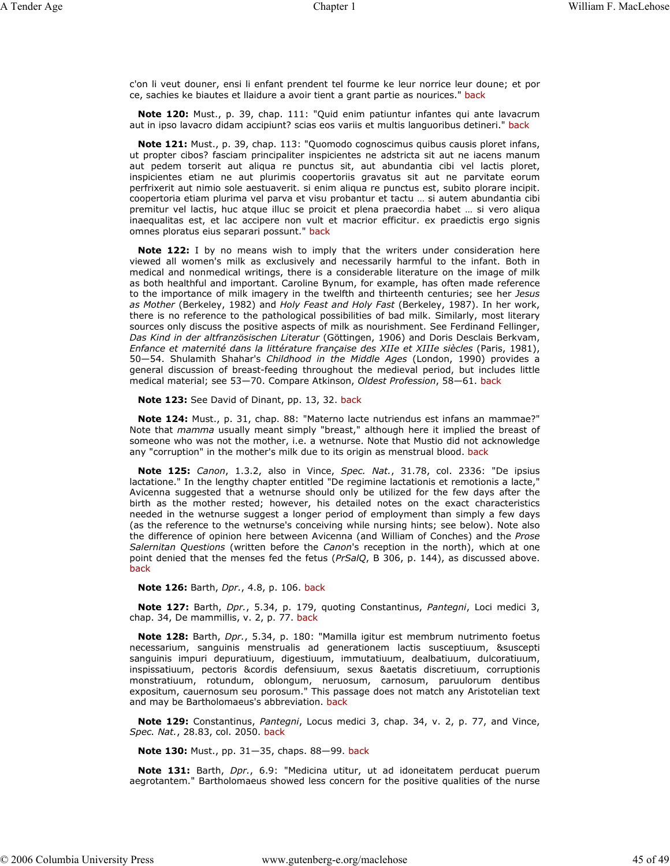c'on li veut douner, ensi li enfant prendent tel fourme ke leur norrice leur doune; et por ce, sachies ke biautes et llaidure a avoir tient a grant partie as nourices." back

**Note 120:** Must., p. 39, chap. 111: "Quid enim patiuntur infantes qui ante lavacrum aut in ipso lavacro didam accipiunt? scias eos variis et multis languoribus detineri." back

**Note 121:** Must., p. 39, chap. 113: "Quomodo cognoscimus quibus causis ploret infans, ut propter cibos? fasciam principaliter inspicientes ne adstricta sit aut ne iacens manum aut pedem torserit aut aliqua re punctus sit, aut abundantia cibi vel lactis ploret, inspicientes etiam ne aut plurimis coopertoriis gravatus sit aut ne parvitate eorum perfrixerit aut nimio sole aestuaverit. si enim aliqua re punctus est, subito plorare incipit. coopertoria etiam plurima vel parva et visu probantur et tactu … si autem abundantia cibi premitur vel lactis, huc atque illuc se proicit et plena praecordia habet … si vero aliqua inaequalitas est, et lac accipere non vult et macrior efficitur. ex praedictis ergo signis omnes ploratus eius separari possunt." back

**Note 122:** I by no means wish to imply that the writers under consideration here viewed all women's milk as exclusively and necessarily harmful to the infant. Both in medical and nonmedical writings, there is a considerable literature on the image of milk as both healthful and important. Caroline Bynum, for example, has often made reference to the importance of milk imagery in the twelfth and thirteenth centuries; see her *Jesus as Mother* (Berkeley, 1982) and *Holy Feast and Holy Fast* (Berkeley, 1987). In her work, there is no reference to the pathological possibilities of bad milk. Similarly, most literary sources only discuss the positive aspects of milk as nourishment. See Ferdinand Fellinger, *Das Kind in der altfranzösischen Literatur* (Göttingen, 1906) and Doris Desclais Berkvam, *Enfance et maternité dans la littérature française des XIIe et XIIIe siècles* (Paris, 1981), 50—54. Shulamith Shahar's *Childhood in the Middle Ages* (London, 1990) provides a general discussion of breast-feeding throughout the medieval period, but includes little medical material; see 53—70. Compare Atkinson, *Oldest Profession*, 58—61. back

**Note 123:** See David of Dinant, pp. 13, 32. back

**Note 124:** Must., p. 31, chap. 88: "Materno lacte nutriendus est infans an mammae?" Note that *mamma* usually meant simply "breast," although here it implied the breast of someone who was not the mother, i.e. a wetnurse. Note that Mustio did not acknowledge any "corruption" in the mother's milk due to its origin as menstrual blood. back

**Note 125:** *Canon*, 1.3.2, also in Vince, *Spec. Nat.*, 31.78, col. 2336: "De ipsius lactatione." In the lengthy chapter entitled "De regimine lactationis et remotionis a lacte," Avicenna suggested that a wetnurse should only be utilized for the few days after the birth as the mother rested; however, his detailed notes on the exact characteristics needed in the wetnurse suggest a longer period of employment than simply a few days (as the reference to the wetnurse's conceiving while nursing hints; see below). Note also the difference of opinion here between Avicenna (and William of Conches) and the *Prose Salernitan Questions* (written before the *Canon*'s reception in the north), which at one point denied that the menses fed the fetus (*PrSalQ*, B 306, p. 144), as discussed above. back

**Note 126:** Barth, *Dpr.*, 4.8, p. 106. back

**Note 127:** Barth, *Dpr.*, 5.34, p. 179, quoting Constantinus, *Pantegni*, Loci medici 3, chap. 34, De mammillis, v. 2, p. 77. back

**Note 128:** Barth, *Dpr.*, 5.34, p. 180: "Mamilla igitur est membrum nutrimento foetus necessarium, sanguinis menstrualis ad generationem lactis susceptiuum, &suscepti sanguinis impuri depuratiuum, digestiuum, immutatiuum, dealbatiuum, dulcoratiuum, inspissatiuum, pectoris &cordis defensiuum, sexus &aetatis discretiuum, corruptionis monstratiuum, rotundum, oblongum, neruosum, carnosum, paruulorum dentibus expositum, cauernosum seu porosum." This passage does not match any Aristotelian text and may be Bartholomaeus's abbreviation. back

**Note 129:** Constantinus, *Pantegni*, Locus medici 3, chap. 34, v. 2, p. 77, and Vince, *Spec. Nat.*, 28.83, col. 2050. back

**Note 130:** Must., pp. 31—35, chaps. 88—99. back

**Note 131:** Barth, *Dpr.*, 6.9: "Medicina utitur, ut ad idoneitatem perducat puerum aegrotantem." Bartholomaeus showed less concern for the positive qualities of the nurse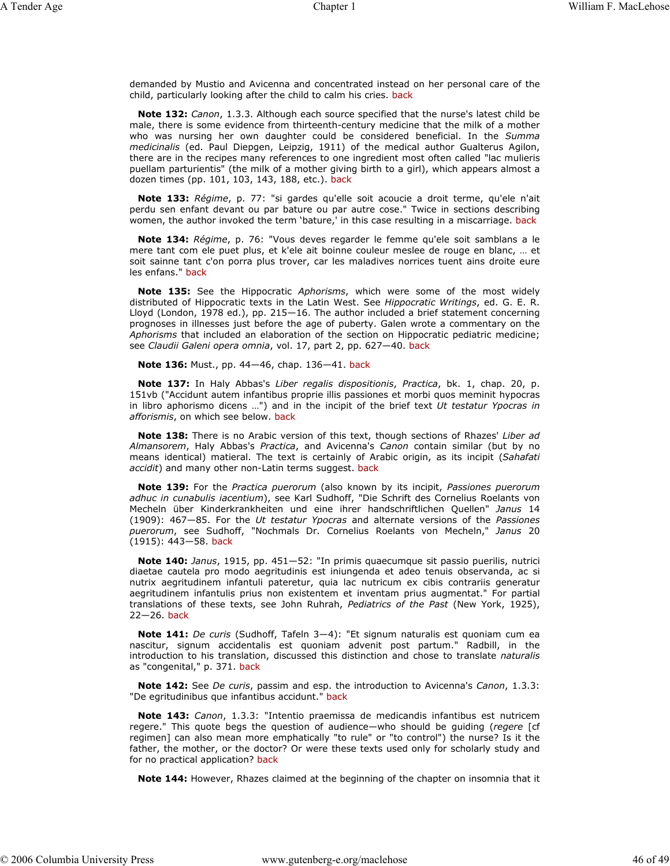demanded by Mustio and Avicenna and concentrated instead on her personal care of the child, particularly looking after the child to calm his cries. back

**Note 132:** *Canon*, 1.3.3. Although each source specified that the nurse's latest child be male, there is some evidence from thirteenth-century medicine that the milk of a mother who was nursing her own daughter could be considered beneficial. In the *Summa medicinalis* (ed. Paul Diepgen, Leipzig, 1911) of the medical author Gualterus Agilon, there are in the recipes many references to one ingredient most often called "lac mulieris puellam parturientis" (the milk of a mother giving birth to a girl), which appears almost a dozen times (pp. 101, 103, 143, 188, etc.). back

**Note 133:** *Régime*, p. 77: "si gardes qu'elle soit acoucie a droit terme, qu'ele n'ait perdu sen enfant devant ou par bature ou par autre cose." Twice in sections describing women, the author invoked the term 'bature,' in this case resulting in a miscarriage. back

**Note 134:** *Régime*, p. 76: "Vous deves regarder le femme qu'ele soit samblans a le mere tant com ele puet plus, et k'ele ait boinne couleur meslee de rouge en blanc, … et soit sainne tant c'on porra plus trover, car les maladives norrices tuent ains droite eure les enfans." back

**Note 135:** See the Hippocratic *Aphorisms*, which were some of the most widely distributed of Hippocratic texts in the Latin West. See *Hippocratic Writings*, ed. G. E. R. Lloyd (London, 1978 ed.), pp. 215—16. The author included a brief statement concerning prognoses in illnesses just before the age of puberty. Galen wrote a commentary on the *Aphorisms* that included an elaboration of the section on Hippocratic pediatric medicine; see *Claudii Galeni opera omnia*, vol. 17, part 2, pp. 627—40. back

**Note 136:** Must., pp. 44—46, chap. 136—41. back

**Note 137:** In Haly Abbas's *Liber regalis dispositionis*, *Practica*, bk. 1, chap. 20, p. 151vb ("Accidunt autem infantibus proprie illis passiones et morbi quos meminit hypocras in libro aphorismo dicens …") and in the incipit of the brief text *Ut testatur Ypocras in afforismis*, on which see below. back

**Note 138:** There is no Arabic version of this text, though sections of Rhazes' *Liber ad Almansorem*, Haly Abbas's *Practica*, and Avicenna's *Canon* contain similar (but by no means identical) matieral. The text is certainly of Arabic origin, as its incipit (*Sahafati accidit*) and many other non-Latin terms suggest. back

**Note 139:** For the *Practica puerorum* (also known by its incipit, *Passiones puerorum adhuc in cunabulis iacentium*), see Karl Sudhoff, "Die Schrift des Cornelius Roelants von Mecheln über Kinderkrankheiten und eine ihrer handschriftlichen Quellen" *Janus* 14 (1909): 467—85. For the *Ut testatur Ypocras* and alternate versions of the *Passiones puerorum*, see Sudhoff, "Nochmals Dr. Cornelius Roelants von Mecheln," *Janus* 20 (1915): 443—58. back

**Note 140:** *Janus*, 1915, pp. 451—52: "In primis quaecumque sit passio puerilis, nutrici diaetae cautela pro modo aegritudinis est iniungenda et adeo tenuis observanda, ac si nutrix aegritudinem infantuli pateretur, quia lac nutricum ex cibis contrariis generatur aegritudinem infantulis prius non existentem et inventam prius augmentat." For partial translations of these texts, see John Ruhrah, *Pediatrics of the Past* (New York, 1925), 22—26. back

**Note 141:** *De curis* (Sudhoff, Tafeln 3—4): "Et signum naturalis est quoniam cum ea nascitur, signum accidentalis est quoniam advenit post partum." Radbill, in the introduction to his translation, discussed this distinction and chose to translate *naturalis* as "congenital," p. 371. back

**Note 142:** See *De curis*, passim and esp. the introduction to Avicenna's *Canon*, 1.3.3: "De egritudinibus que infantibus accidunt." back

**Note 143:** *Canon*, 1.3.3: "Intentio praemissa de medicandis infantibus est nutricem regere." This quote begs the question of audience—who should be guiding (*regere* [cf regimen] can also mean more emphatically "to rule" or "to control") the nurse? Is it the father, the mother, or the doctor? Or were these texts used only for scholarly study and for no practical application? back

**Note 144:** However, Rhazes claimed at the beginning of the chapter on insomnia that it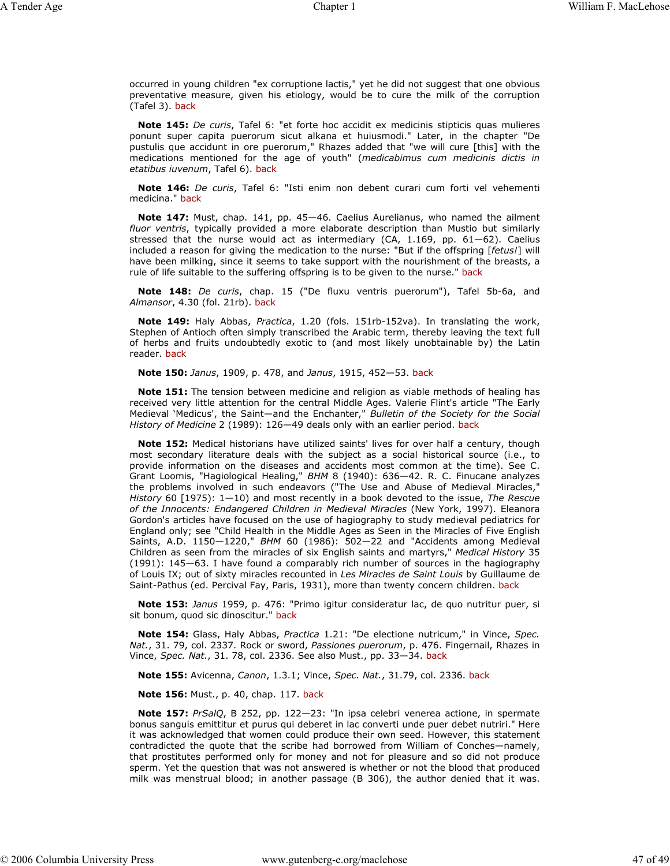occurred in young children "ex corruptione lactis," yet he did not suggest that one obvious preventative measure, given his etiology, would be to cure the milk of the corruption (Tafel 3). back

**Note 145:** *De curis*, Tafel 6: "et forte hoc accidit ex medicinis stipticis quas mulieres ponunt super capita puerorum sicut alkana et huiusmodi." Later, in the chapter "De pustulis que accidunt in ore puerorum," Rhazes added that "we will cure [this] with the medications mentioned for the age of youth" (*medicabimus cum medicinis dictis in etatibus iuvenum*, Tafel 6). back

**Note 146:** *De curis*, Tafel 6: "Isti enim non debent curari cum forti vel vehementi medicina." back

**Note 147:** Must, chap. 141, pp. 45—46. Caelius Aurelianus, who named the ailment *fluor ventris*, typically provided a more elaborate description than Mustio but similarly stressed that the nurse would act as intermediary (CA, 1.169, pp. 61—62). Caelius included a reason for giving the medication to the nurse: "But if the offspring [*fetus!*] will have been milking, since it seems to take support with the nourishment of the breasts, a rule of life suitable to the suffering offspring is to be given to the nurse." back

**Note 148:** *De curis*, chap. 15 ("De fluxu ventris puerorum"), Tafel 5b-6a, and *Almansor*, 4.30 (fol. 21rb). back

**Note 149:** Haly Abbas, *Practica*, 1.20 (fols. 151rb-152va). In translating the work, Stephen of Antioch often simply transcribed the Arabic term, thereby leaving the text full of herbs and fruits undoubtedly exotic to (and most likely unobtainable by) the Latin reader. back

**Note 150:** *Janus*, 1909, p. 478, and *Janus*, 1915, 452—53. back

**Note 151:** The tension between medicine and religion as viable methods of healing has received very little attention for the central Middle Ages. Valerie Flint's article "The Early Medieval 'Medicus', the Saint—and the Enchanter," *Bulletin of the Society for the Social History of Medicine* 2 (1989): 126—49 deals only with an earlier period. back

**Note 152:** Medical historians have utilized saints' lives for over half a century, though most secondary literature deals with the subject as a social historical source (i.e., to provide information on the diseases and accidents most common at the time). See C. Grant Loomis, "Hagiological Healing," *BHM* 8 (1940): 636—42. R. C. Finucane analyzes the problems involved in such endeavors ("The Use and Abuse of Medieval Miracles," *History* 60 [1975): 1—10) and most recently in a book devoted to the issue, *The Rescue of the Innocents: Endangered Children in Medieval Miracles* (New York, 1997). Eleanora Gordon's articles have focused on the use of hagiography to study medieval pediatrics for England only; see "Child Health in the Middle Ages as Seen in the Miracles of Five English Saints, A.D. 1150—1220," *BHM* 60 (1986): 502—22 and "Accidents among Medieval Children as seen from the miracles of six English saints and martyrs," *Medical History* 35 (1991): 145—63. I have found a comparably rich number of sources in the hagiography of Louis IX; out of sixty miracles recounted in *Les Miracles de Saint Louis* by Guillaume de Saint-Pathus (ed. Percival Fay, Paris, 1931), more than twenty concern children. back

**Note 153:** *Janus* 1959, p. 476: "Primo igitur consideratur lac, de quo nutritur puer, si sit bonum, quod sic dinoscitur." back

**Note 154:** Glass, Haly Abbas, *Practica* 1.21: "De electione nutricum," in Vince, *Spec. Nat.*, 31. 79, col. 2337. Rock or sword, *Passiones puerorum*, p. 476. Fingernail, Rhazes in Vince, *Spec. Nat.*, 31. 78, col. 2336. See also Must., pp. 33—34. back

**Note 155:** Avicenna, *Canon*, 1.3.1; Vince, *Spec. Nat.*, 31.79, col. 2336. back

**Note 156:** Must., p. 40, chap. 117. back

**Note 157:** *PrSalQ*, B 252, pp. 122—23: "In ipsa celebri venerea actione, in spermate bonus sanguis emittitur et purus qui deberet in lac converti unde puer debet nutriri." Here it was acknowledged that women could produce their own seed. However, this statement contradicted the quote that the scribe had borrowed from William of Conches—namely, that prostitutes performed only for money and not for pleasure and so did not produce sperm. Yet the question that was not answered is whether or not the blood that produced milk was menstrual blood; in another passage (B 306), the author denied that it was.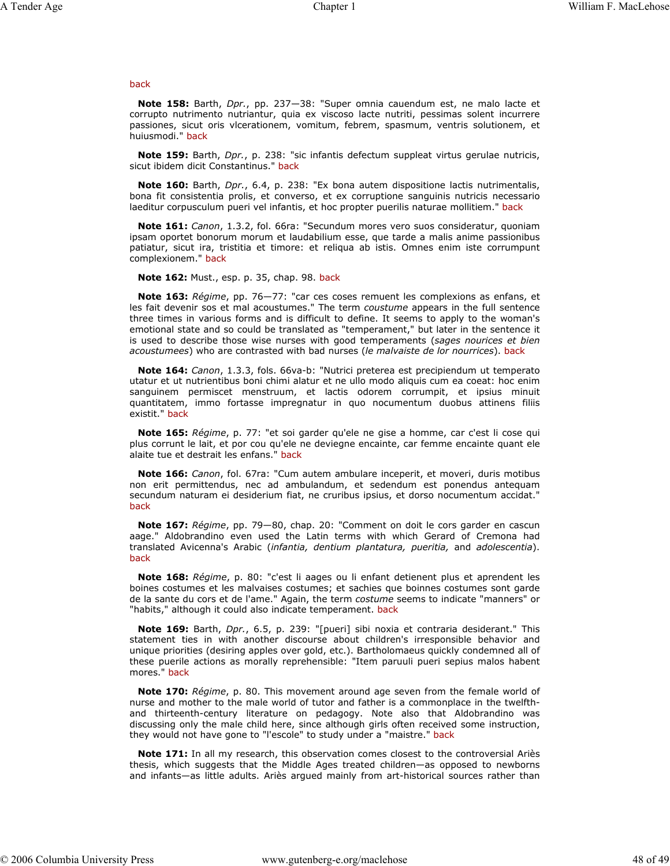#### back

**Note 158:** Barth, *Dpr.*, pp. 237—38: "Super omnia cauendum est, ne malo lacte et corrupto nutrimento nutriantur, quia ex viscoso lacte nutriti, pessimas solent incurrere passiones, sicut oris vlcerationem, vomitum, febrem, spasmum, ventris solutionem, et huiusmodi." back

**Note 159:** Barth, *Dpr.*, p. 238: "sic infantis defectum suppleat virtus gerulae nutricis, sicut ibidem dicit Constantinus." back

**Note 160:** Barth, *Dpr.*, 6.4, p. 238: "Ex bona autem dispositione lactis nutrimentalis, bona fit consistentia prolis, et converso, et ex corruptione sanguinis nutricis necessario laeditur corpusculum pueri vel infantis, et hoc propter puerilis naturae mollitiem." back

**Note 161:** *Canon*, 1.3.2, fol. 66ra: "Secundum mores vero suos consideratur, quoniam ipsam oportet bonorum morum et laudabilium esse, que tarde a malis anime passionibus patiatur, sicut ira, tristitia et timore: et reliqua ab istis. Omnes enim iste corrumpunt complexionem." back

**Note 162:** Must., esp. p. 35, chap. 98. back

**Note 163:** *Régime*, pp. 76—77: "car ces coses remuent les complexions as enfans, et les fait devenir sos et mal acoustumes." The term *coustume* appears in the full sentence three times in various forms and is difficult to define. It seems to apply to the woman's emotional state and so could be translated as "temperament," but later in the sentence it is used to describe those wise nurses with good temperaments (*sages nourices et bien acoustumees*) who are contrasted with bad nurses (*le malvaiste de lor nourrices*). back

**Note 164:** *Canon*, 1.3.3, fols. 66va-b: "Nutrici preterea est precipiendum ut temperato utatur et ut nutrientibus boni chimi alatur et ne ullo modo aliquis cum ea coeat: hoc enim sanguinem permiscet menstruum, et lactis odorem corrumpit, et ipsius minuit quantitatem, immo fortasse impregnatur in quo nocumentum duobus attinens filiis existit." back

**Note 165:** *Régime*, p. 77: "et soi garder qu'ele ne gise a homme, car c'est li cose qui plus corrunt le lait, et por cou qu'ele ne deviegne encainte, car femme encainte quant ele alaite tue et destrait les enfans." back

**Note 166:** *Canon*, fol. 67ra: "Cum autem ambulare inceperit, et moveri, duris motibus non erit permittendus, nec ad ambulandum, et sedendum est ponendus antequam secundum naturam ei desiderium fiat, ne cruribus ipsius, et dorso nocumentum accidat." back

**Note 167:** *Régime*, pp. 79—80, chap. 20: "Comment on doit le cors garder en cascun aage." Aldobrandino even used the Latin terms with which Gerard of Cremona had translated Avicenna's Arabic (*infantia, dentium plantatura, pueritia,* and *adolescentia*). back

**Note 168:** *Régime*, p. 80: "c'est li aages ou li enfant detienent plus et aprendent les boines costumes et les malvaises costumes; et sachies que boinnes costumes sont garde de la sante du cors et de l'ame." Again, the term *costume* seems to indicate "manners" or "habits," although it could also indicate temperament. back

**Note 169:** Barth, *Dpr.*, 6.5, p. 239: "[pueri] sibi noxia et contraria desiderant." This statement ties in with another discourse about children's irresponsible behavior and unique priorities (desiring apples over gold, etc.). Bartholomaeus quickly condemned all of these puerile actions as morally reprehensible: "Item paruuli pueri sepius malos habent mores." back

**Note 170:** *Régime*, p. 80. This movement around age seven from the female world of nurse and mother to the male world of tutor and father is a commonplace in the twelfthand thirteenth-century literature on pedagogy. Note also that Aldobrandino was discussing only the male child here, since although girls often received some instruction, they would not have gone to "l'escole" to study under a "maistre." back

**Note 171:** In all my research, this observation comes closest to the controversial Ariès thesis, which suggests that the Middle Ages treated children—as opposed to newborns and infants—as little adults. Ariès argued mainly from art-historical sources rather than